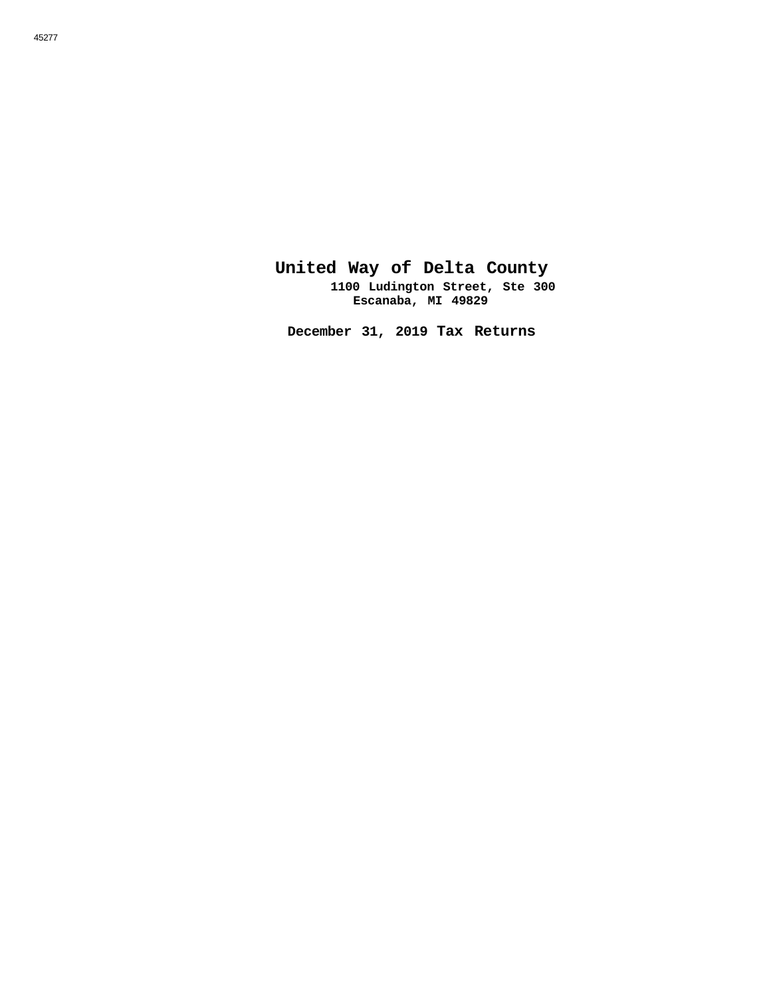**United Way of Delta County**

**1100 Ludington Street, Ste 300 Escanaba, MI 49829**

**December 31, 2019 Tax Returns**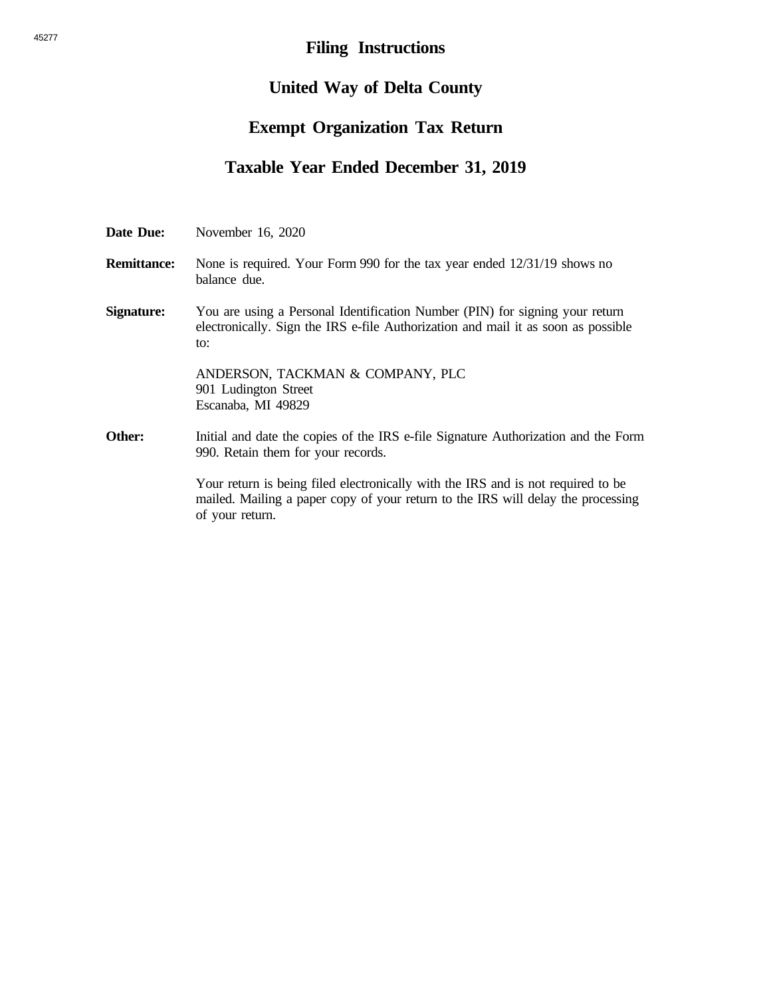## **Filing Instructions**

## **United Way of Delta County**

## **Exempt Organization Tax Return**

## **Taxable Year Ended December 31, 2019**

| Date Due:          | November 16, 2020                                                                                                                                                                       |
|--------------------|-----------------------------------------------------------------------------------------------------------------------------------------------------------------------------------------|
| <b>Remittance:</b> | None is required. Your Form 990 for the tax year ended 12/31/19 shows no<br>balance due.                                                                                                |
| Signature:         | You are using a Personal Identification Number (PIN) for signing your return<br>electronically. Sign the IRS e-file Authorization and mail it as soon as possible<br>to:                |
|                    | ANDERSON, TACKMAN & COMPANY, PLC<br>901 Ludington Street<br>Escanaba, MI 49829                                                                                                          |
| Other:             | Initial and date the copies of the IRS e-file Signature Authorization and the Form<br>990. Retain them for your records.                                                                |
|                    | Your return is being filed electronically with the IRS and is not required to be<br>mailed. Mailing a paper copy of your return to the IRS will delay the processing<br>of your return. |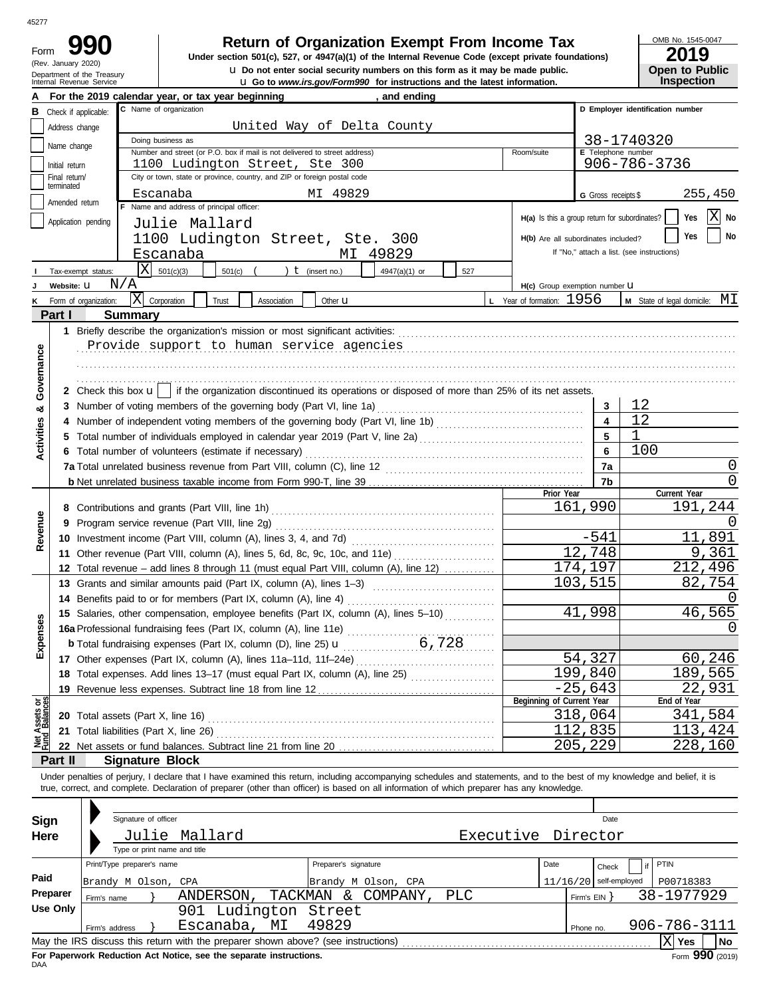| Form | 91                                                    |
|------|-------------------------------------------------------|
|      |                                                       |
|      | (Rev. January 2020)                                   |
|      | Department of the Treasur<br>Internal Revenue Service |

# **990 2000 2019 2019 Depending Solution Solution Solution Script Script Script Script Prom Income Tax 2019 2019**

**u** Go to *www.irs.gov/Form990* for instructions and the latest information. **u** Do not enter social security numbers on this form as it may be made public. OMB No. 1545-0047

|  | LV I J                |
|--|-----------------------|
|  | <b>Open to Public</b> |
|  | <b>Inspection</b>     |

|                                |                                 | For the 2019 calendar year, or tax year beginning<br>and ending                                                                                                                                                                                                                                                          |                                               |                         |                                             |
|--------------------------------|---------------------------------|--------------------------------------------------------------------------------------------------------------------------------------------------------------------------------------------------------------------------------------------------------------------------------------------------------------------------|-----------------------------------------------|-------------------------|---------------------------------------------|
| в                              | Check if applicable:            | C Name of organization                                                                                                                                                                                                                                                                                                   |                                               |                         | D Employer identification number            |
|                                | Address change                  | United Way of Delta County                                                                                                                                                                                                                                                                                               |                                               |                         |                                             |
|                                | Name change                     | Doing business as                                                                                                                                                                                                                                                                                                        |                                               |                         | 38-1740320                                  |
|                                |                                 | Number and street (or P.O. box if mail is not delivered to street address)                                                                                                                                                                                                                                               | Room/suite                                    | E Telephone number      |                                             |
|                                | Initial return<br>Final return/ | 1100 Ludington Street, Ste 300<br>City or town, state or province, country, and ZIP or foreign postal code                                                                                                                                                                                                               |                                               |                         | $906 - 786 - 3736$                          |
|                                | terminated                      |                                                                                                                                                                                                                                                                                                                          |                                               |                         |                                             |
|                                | Amended return                  | MI 49829<br>Escanaba<br>F Name and address of principal officer:                                                                                                                                                                                                                                                         |                                               | G Gross receipts \$     | 255,450                                     |
|                                | Application pending             |                                                                                                                                                                                                                                                                                                                          | H(a) Is this a group return for subordinates? |                         | X<br>No<br>Yes                              |
|                                |                                 | Julie Mallard                                                                                                                                                                                                                                                                                                            |                                               |                         | No                                          |
|                                |                                 | 1100 Ludington Street, Ste. 300                                                                                                                                                                                                                                                                                          | H(b) Are all subordinates included?           |                         | Yes                                         |
|                                |                                 | MI 49829<br>Escanaba                                                                                                                                                                                                                                                                                                     |                                               |                         | If "No," attach a list. (see instructions)  |
|                                | Tax-exempt status:              | $\overline{\text{X}}$<br>501(c)(3)<br>$501(c)$ (<br>$t$ (insert no.)<br>4947(a)(1) or<br>527                                                                                                                                                                                                                             |                                               |                         |                                             |
|                                | Website: U                      | N/A                                                                                                                                                                                                                                                                                                                      | H(c) Group exemption number U                 |                         |                                             |
| Κ                              | Form of organization:           | X<br>Corporation<br>Trust<br>Association<br>Other <b>u</b>                                                                                                                                                                                                                                                               | L Year of formation: $1956$                   |                         | M State of legal domicile: MI               |
|                                | Part I                          | <b>Summary</b>                                                                                                                                                                                                                                                                                                           |                                               |                         |                                             |
|                                |                                 | 1 Briefly describe the organization's mission or most significant activities:                                                                                                                                                                                                                                            |                                               |                         |                                             |
|                                |                                 | Provide support to human service agencies                                                                                                                                                                                                                                                                                |                                               |                         |                                             |
|                                |                                 |                                                                                                                                                                                                                                                                                                                          |                                               |                         |                                             |
| Governance                     |                                 |                                                                                                                                                                                                                                                                                                                          |                                               |                         |                                             |
|                                |                                 | 2 Check this box $\mathbf{u}$   if the organization discontinued its operations or disposed of more than 25% of its net assets.                                                                                                                                                                                          |                                               |                         |                                             |
| ಯ                              |                                 | 3 Number of voting members of the governing body (Part VI, line 1a)                                                                                                                                                                                                                                                      |                                               | 3                       | 12                                          |
|                                |                                 |                                                                                                                                                                                                                                                                                                                          |                                               | $\overline{\mathbf{A}}$ | $\overline{12}$                             |
|                                | 5.                              |                                                                                                                                                                                                                                                                                                                          |                                               | $5\phantom{a}$          | $\mathbf{1}$                                |
| <b>Activities</b>              |                                 | 6 Total number of volunteers (estimate if necessary)                                                                                                                                                                                                                                                                     |                                               | 6                       | 100                                         |
|                                |                                 |                                                                                                                                                                                                                                                                                                                          |                                               | 7a                      | 0                                           |
|                                |                                 |                                                                                                                                                                                                                                                                                                                          |                                               | 7b                      | $\Omega$                                    |
|                                |                                 |                                                                                                                                                                                                                                                                                                                          | Prior Year                                    |                         | Current Year                                |
|                                |                                 |                                                                                                                                                                                                                                                                                                                          |                                               | 161,990                 | 191,244                                     |
| Revenue                        |                                 | 9 Program service revenue (Part VIII, line 2g)                                                                                                                                                                                                                                                                           |                                               |                         | $\left( \right)$                            |
|                                |                                 |                                                                                                                                                                                                                                                                                                                          |                                               | $-541$                  | 11,891                                      |
|                                |                                 | 11 Other revenue (Part VIII, column (A), lines 5, 6d, 8c, 9c, 10c, and 11e)                                                                                                                                                                                                                                              |                                               | 12,748                  | 9,361                                       |
|                                |                                 | 12 Total revenue - add lines 8 through 11 (must equal Part VIII, column (A), line 12)                                                                                                                                                                                                                                    |                                               | 174,197                 | 212,496                                     |
|                                |                                 | 13 Grants and similar amounts paid (Part IX, column (A), lines 1-3)                                                                                                                                                                                                                                                      |                                               | 103,515                 | 82,754                                      |
|                                |                                 | 14 Benefits paid to or for members (Part IX, column (A), line 4)                                                                                                                                                                                                                                                         |                                               |                         |                                             |
|                                |                                 | 15 Salaries, other compensation, employee benefits (Part IX, column (A), lines 5-10)                                                                                                                                                                                                                                     |                                               | 41,998                  | 46,565                                      |
| Expenses                       |                                 | 15 Salaries, other components is, come of the Column (A), line 11e)<br>16a Professional fundraising fees (Part IX, column (A), line 11e)<br>25 a month of the 25 a month of the 25 a month of the 25 a month of the 25 a month of t                                                                                      |                                               |                         |                                             |
|                                |                                 |                                                                                                                                                                                                                                                                                                                          |                                               |                         |                                             |
|                                |                                 | 17 Other expenses (Part IX, column (A), lines 11a-11d, 11f-24e)                                                                                                                                                                                                                                                          |                                               | 54,327                  | 60,246                                      |
|                                |                                 | 18 Total expenses. Add lines 13-17 (must equal Part IX, column (A), line 25) [                                                                                                                                                                                                                                           |                                               | 199,840                 | 189,565                                     |
|                                |                                 | 19 Revenue less expenses. Subtract line 18 from line 12                                                                                                                                                                                                                                                                  |                                               | $-25,643$               | 22,931                                      |
| Net Assets or<br>Fund Balances |                                 |                                                                                                                                                                                                                                                                                                                          | Beginning of Current Year                     |                         | End of Year                                 |
|                                |                                 | 20 Total assets (Part X, line 16)                                                                                                                                                                                                                                                                                        |                                               | 318,064                 | 341,584                                     |
|                                | 21                              | Total liabilities (Part X, line 26)                                                                                                                                                                                                                                                                                      |                                               | 112,835                 | 113,424<br>228,160                          |
|                                |                                 | 22 Net assets or fund balances. Subtract line 21 from line 20                                                                                                                                                                                                                                                            |                                               | 205,229                 |                                             |
|                                | Part II                         | <b>Signature Block</b>                                                                                                                                                                                                                                                                                                   |                                               |                         |                                             |
|                                |                                 | Under penalties of perjury, I declare that I have examined this return, including accompanying schedules and statements, and to the best of my knowledge and belief, it is<br>true, correct, and complete. Declaration of preparer (other than officer) is based on all information of which preparer has any knowledge. |                                               |                         |                                             |
|                                |                                 |                                                                                                                                                                                                                                                                                                                          |                                               |                         |                                             |
|                                |                                 | Signature of officer                                                                                                                                                                                                                                                                                                     |                                               | Date                    |                                             |
| Sign                           |                                 |                                                                                                                                                                                                                                                                                                                          |                                               |                         |                                             |
| Here                           |                                 | Julie Mallard<br>Type or print name and title                                                                                                                                                                                                                                                                            | Executive Director                            |                         |                                             |
|                                |                                 | Print/Type preparer's name<br>Preparer's signature                                                                                                                                                                                                                                                                       | Date                                          |                         | PTIN<br>if                                  |
| Paid                           |                                 |                                                                                                                                                                                                                                                                                                                          |                                               | Check                   |                                             |
|                                | Preparer                        | Brandy M Olson, CPA<br>Brandy M Olson, CPA                                                                                                                                                                                                                                                                               | 11/16/20                                      | self-employed           | P00718383                                   |
|                                | <b>Use Only</b>                 | ANDERSON,<br>TACKMAN & COMPANY,<br><b>PLC</b><br>Firm's name                                                                                                                                                                                                                                                             |                                               | Firm's $EIN$ }          | 38-1977929                                  |
|                                |                                 | 901 Ludington Street<br>49829                                                                                                                                                                                                                                                                                            |                                               |                         |                                             |
|                                |                                 | Escanaba,<br>MΙ<br>Firm's address                                                                                                                                                                                                                                                                                        |                                               | Phone no.               | 906-786-3111<br>$\overline{\mathrm{X}}$ Yes |
|                                |                                 | May the IRS discuss this return with the preparer shown above? (see instructions)                                                                                                                                                                                                                                        |                                               |                         | No                                          |

| Sign     | Signature of officer                                                                                   |  |                                                                   |         |                      |   |                     |                    |      |              | Date                     |              |           |                                |
|----------|--------------------------------------------------------------------------------------------------------|--|-------------------------------------------------------------------|---------|----------------------|---|---------------------|--------------------|------|--------------|--------------------------|--------------|-----------|--------------------------------|
| Here     |                                                                                                        |  | Julie Mallard                                                     |         |                      |   |                     | Executive Director |      |              |                          |              |           |                                |
|          |                                                                                                        |  | Type or print name and title                                      |         |                      |   |                     |                    |      |              |                          |              |           |                                |
|          | Print/Type preparer's name                                                                             |  |                                                                   |         | Preparer's signature |   |                     |                    | Date |              | Check                    | PTIN<br>if   |           |                                |
| Paid     | Brandy M Olson, CPA                                                                                    |  |                                                                   |         |                      |   | Brandy M Olson, CPA |                    |      |              | $11/16/20$ self-employed |              | P00718383 |                                |
| Preparer | Firm's name                                                                                            |  | ANDERSON.                                                         | TACKMAN |                      | & | COMPANY,            | PLC                |      | Firm's $EIN$ |                          | 38-1977929   |           |                                |
| Use Only |                                                                                                        |  | 901 Ludington Street                                              |         |                      |   |                     |                    |      |              |                          |              |           |                                |
|          | Firm's address                                                                                         |  | Escanaba, MI                                                      |         | 49829                |   |                     |                    |      | Phone no.    |                          | 906-786-3111 |           |                                |
|          | ΙX<br>No<br>May the IRS discuss this return with the preparer shown above? (see instructions)<br>. Yes |  |                                                                   |         |                      |   |                     |                    |      |              |                          |              |           |                                |
|          |                                                                                                        |  | Ear Paperwork Poduction Act Notice, can the congrate instructions |         |                      |   |                     |                    |      |              |                          |              |           | $F_{\text{max}}$ 000 $(0.010)$ |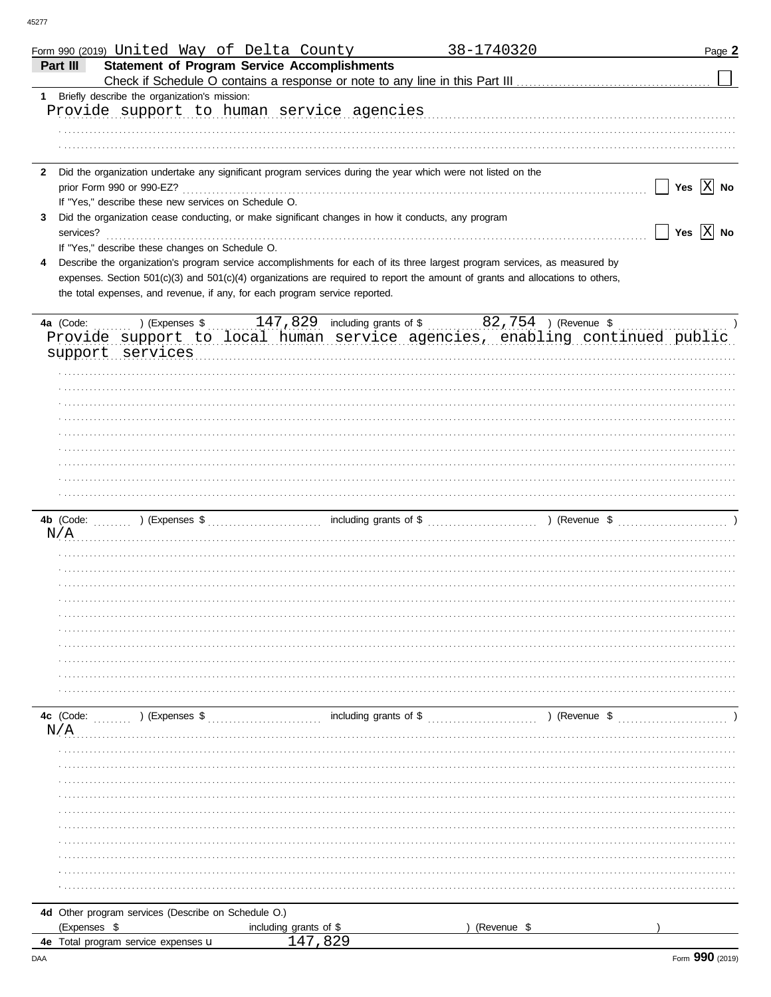|              | Form 990 (2019) United Way of Delta County                                                                                                                                                                                               |                        |                        | 38-1740320  |               | Page 2                |
|--------------|------------------------------------------------------------------------------------------------------------------------------------------------------------------------------------------------------------------------------------------|------------------------|------------------------|-------------|---------------|-----------------------|
| Part III     | <b>Statement of Program Service Accomplishments</b>                                                                                                                                                                                      |                        |                        |             |               |                       |
|              |                                                                                                                                                                                                                                          |                        |                        |             |               |                       |
| 1            | Briefly describe the organization's mission:                                                                                                                                                                                             |                        |                        |             |               |                       |
|              | Provide support to human service agencies                                                                                                                                                                                                |                        |                        |             |               |                       |
|              |                                                                                                                                                                                                                                          |                        |                        |             |               |                       |
|              |                                                                                                                                                                                                                                          |                        |                        |             |               |                       |
|              |                                                                                                                                                                                                                                          |                        |                        |             |               |                       |
| $\mathbf{2}$ | Did the organization undertake any significant program services during the year which were not listed on the                                                                                                                             |                        |                        |             |               |                       |
|              | prior Form 990 or 990-EZ?                                                                                                                                                                                                                |                        |                        |             |               | Yes $ X $ No          |
|              | If "Yes," describe these new services on Schedule O.                                                                                                                                                                                     |                        |                        |             |               |                       |
| 3            | Did the organization cease conducting, or make significant changes in how it conducts, any program                                                                                                                                       |                        |                        |             |               |                       |
| services?    |                                                                                                                                                                                                                                          |                        |                        |             |               | Yes $\overline{X}$ No |
|              | If "Yes," describe these changes on Schedule O.                                                                                                                                                                                          |                        |                        |             |               |                       |
| 4            | Describe the organization's program service accomplishments for each of its three largest program services, as measured by                                                                                                               |                        |                        |             |               |                       |
|              | expenses. Section 501(c)(3) and 501(c)(4) organizations are required to report the amount of grants and allocations to others,<br>the total expenses, and revenue, if any, for each program service reported.                            |                        |                        |             |               |                       |
|              |                                                                                                                                                                                                                                          |                        |                        |             |               |                       |
| 4a (Code:    |                                                                                                                                                                                                                                          |                        |                        |             |               |                       |
|              | la (Code: ) (Expenses \$147,829 including grants of \$2,754 ) (Revenue \$1,000) (Expenses \$147,829 including grants of \$2,754 ) (Revenue \$1,000 millions are \$1,000 millions are \$1,000 millions are \$1,000 millions are \$1,000 m |                        |                        |             |               |                       |
|              | support services                                                                                                                                                                                                                         |                        |                        |             |               |                       |
|              |                                                                                                                                                                                                                                          |                        |                        |             |               |                       |
|              |                                                                                                                                                                                                                                          |                        |                        |             |               |                       |
|              |                                                                                                                                                                                                                                          |                        |                        |             |               |                       |
|              |                                                                                                                                                                                                                                          |                        |                        |             |               |                       |
|              |                                                                                                                                                                                                                                          |                        |                        |             |               |                       |
|              |                                                                                                                                                                                                                                          |                        |                        |             |               |                       |
|              |                                                                                                                                                                                                                                          |                        |                        |             |               |                       |
|              |                                                                                                                                                                                                                                          |                        |                        |             |               |                       |
|              |                                                                                                                                                                                                                                          |                        |                        |             |               |                       |
|              |                                                                                                                                                                                                                                          |                        |                        |             |               |                       |
|              |                                                                                                                                                                                                                                          |                        |                        |             |               |                       |
| N/A          |                                                                                                                                                                                                                                          |                        |                        |             |               |                       |
|              |                                                                                                                                                                                                                                          |                        |                        |             |               |                       |
|              |                                                                                                                                                                                                                                          |                        |                        |             |               |                       |
|              |                                                                                                                                                                                                                                          |                        |                        |             |               |                       |
|              |                                                                                                                                                                                                                                          |                        |                        |             |               |                       |
|              |                                                                                                                                                                                                                                          |                        |                        |             |               |                       |
|              |                                                                                                                                                                                                                                          |                        |                        |             |               |                       |
|              |                                                                                                                                                                                                                                          |                        |                        |             |               |                       |
|              |                                                                                                                                                                                                                                          |                        |                        |             |               |                       |
|              |                                                                                                                                                                                                                                          |                        |                        |             |               |                       |
|              |                                                                                                                                                                                                                                          |                        |                        |             |               |                       |
|              |                                                                                                                                                                                                                                          |                        |                        |             |               |                       |
| 4c (Code:    | ) (Expenses \$                                                                                                                                                                                                                           |                        | including grants of \$ |             | ) (Revenue \$ |                       |
| N/A          |                                                                                                                                                                                                                                          |                        |                        |             |               |                       |
|              |                                                                                                                                                                                                                                          |                        |                        |             |               |                       |
|              |                                                                                                                                                                                                                                          |                        |                        |             |               |                       |
|              |                                                                                                                                                                                                                                          |                        |                        |             |               |                       |
|              |                                                                                                                                                                                                                                          |                        |                        |             |               |                       |
|              |                                                                                                                                                                                                                                          |                        |                        |             |               |                       |
|              |                                                                                                                                                                                                                                          |                        |                        |             |               |                       |
|              |                                                                                                                                                                                                                                          |                        |                        |             |               |                       |
|              |                                                                                                                                                                                                                                          |                        |                        |             |               |                       |
|              |                                                                                                                                                                                                                                          |                        |                        |             |               |                       |
|              |                                                                                                                                                                                                                                          |                        |                        |             |               |                       |
|              |                                                                                                                                                                                                                                          |                        |                        |             |               |                       |
|              | 4d Other program services (Describe on Schedule O.)                                                                                                                                                                                      |                        |                        |             |               |                       |
| (Expenses \$ |                                                                                                                                                                                                                                          | including grants of \$ |                        | (Revenue \$ |               |                       |
|              | 4e Total program service expenses u                                                                                                                                                                                                      | 147,829                |                        |             |               |                       |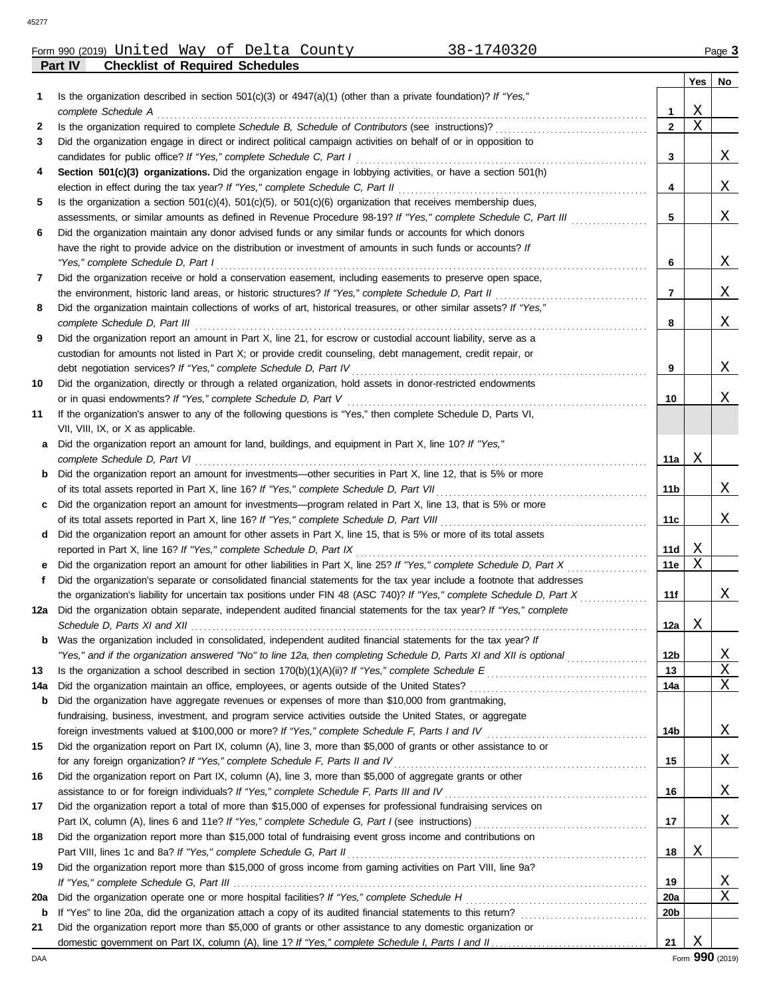45277

**Part IV Checklist of Required Schedules**

|     |                                                                                                                                                                                                                                     |                 | Yes | No       |
|-----|-------------------------------------------------------------------------------------------------------------------------------------------------------------------------------------------------------------------------------------|-----------------|-----|----------|
| 1   | Is the organization described in section $501(c)(3)$ or $4947(a)(1)$ (other than a private foundation)? If "Yes,"                                                                                                                   |                 |     |          |
|     | complete Schedule A                                                                                                                                                                                                                 | 1               | Χ   |          |
| 2   |                                                                                                                                                                                                                                     | $\mathbf{2}$    | X   |          |
| 3   | Did the organization engage in direct or indirect political campaign activities on behalf of or in opposition to                                                                                                                    |                 |     |          |
|     | candidates for public office? If "Yes," complete Schedule C, Part I                                                                                                                                                                 | 3               |     | Χ        |
| 4   | Section 501(c)(3) organizations. Did the organization engage in lobbying activities, or have a section 501(h)                                                                                                                       |                 |     |          |
|     |                                                                                                                                                                                                                                     | 4               |     | Χ        |
| 5   | Is the organization a section $501(c)(4)$ , $501(c)(5)$ , or $501(c)(6)$ organization that receives membership dues,                                                                                                                |                 |     |          |
|     | assessments, or similar amounts as defined in Revenue Procedure 98-19? If "Yes," complete Schedule C, Part III                                                                                                                      | 5               |     | Χ        |
| 6   | Did the organization maintain any donor advised funds or any similar funds or accounts for which donors                                                                                                                             |                 |     |          |
|     | have the right to provide advice on the distribution or investment of amounts in such funds or accounts? If                                                                                                                         |                 |     |          |
|     | "Yes," complete Schedule D, Part I                                                                                                                                                                                                  | 6               |     | Χ        |
| 7   | Did the organization receive or hold a conservation easement, including easements to preserve open space,                                                                                                                           |                 |     |          |
|     | the environment, historic land areas, or historic structures? If "Yes," complete Schedule D, Part II                                                                                                                                | 7               |     | Χ        |
| 8   | Did the organization maintain collections of works of art, historical treasures, or other similar assets? If "Yes,"                                                                                                                 |                 |     |          |
|     | complete Schedule D, Part III                                                                                                                                                                                                       | 8               |     | Χ        |
| 9   | Did the organization report an amount in Part X, line 21, for escrow or custodial account liability, serve as a                                                                                                                     |                 |     |          |
|     | custodian for amounts not listed in Part X; or provide credit counseling, debt management, credit repair, or                                                                                                                        |                 |     |          |
|     |                                                                                                                                                                                                                                     | 9               |     | Χ        |
| 10  | Did the organization, directly or through a related organization, hold assets in donor-restricted endowments                                                                                                                        |                 |     |          |
|     |                                                                                                                                                                                                                                     | 10              |     | Χ        |
| 11  | If the organization's answer to any of the following questions is "Yes," then complete Schedule D, Parts VI,                                                                                                                        |                 |     |          |
|     | VII, VIII, IX, or X as applicable.                                                                                                                                                                                                  |                 |     |          |
| a   | Did the organization report an amount for land, buildings, and equipment in Part X, line 10? If "Yes,"                                                                                                                              |                 |     |          |
|     |                                                                                                                                                                                                                                     | 11a             | X   |          |
|     | <b>b</b> Did the organization report an amount for investments—other securities in Part X, line 12, that is 5% or more                                                                                                              |                 |     |          |
|     |                                                                                                                                                                                                                                     | 11 b            |     | Χ        |
| C   | Did the organization report an amount for investments—program related in Part X, line 13, that is 5% or more                                                                                                                        |                 |     | Χ        |
|     | of its total assets reported in Part X, line 16? If "Yes," complete Schedule D, Part VIII [[[[[[[[[[[[[[[[[[[[<br>Did the organization report an amount for other assets in Part X, line 15, that is 5% or more of its total assets | 11c             |     |          |
| d.  | reported in Part X, line 16? If "Yes," complete Schedule D, Part IX                                                                                                                                                                 | 11d             | Χ   |          |
| е   | Did the organization report an amount for other liabilities in Part X, line 25? If "Yes," complete Schedule D, Part X                                                                                                               | 11e             | Χ   |          |
| f   | Did the organization's separate or consolidated financial statements for the tax year include a footnote that addresses                                                                                                             |                 |     |          |
|     | the organization's liability for uncertain tax positions under FIN 48 (ASC 740)? If "Yes," complete Schedule D, Part X                                                                                                              | 11f             |     | Χ        |
| 12a | Did the organization obtain separate, independent audited financial statements for the tax year? If "Yes," complete                                                                                                                 |                 |     |          |
|     |                                                                                                                                                                                                                                     | 12a             | х   |          |
| b   | Was the organization included in consolidated, independent audited financial statements for the tax year? If                                                                                                                        |                 |     |          |
|     | "Yes," and if the organization answered "No" to line 12a, then completing Schedule D, Parts XI and XII is optional                                                                                                                  | 12 <sub>b</sub> |     | <u>X</u> |
| 13  |                                                                                                                                                                                                                                     | 13              |     | X        |
| 14a |                                                                                                                                                                                                                                     | 14a             |     | X        |
| b   | Did the organization have aggregate revenues or expenses of more than \$10,000 from grantmaking,                                                                                                                                    |                 |     |          |
|     | fundraising, business, investment, and program service activities outside the United States, or aggregate                                                                                                                           |                 |     |          |
|     |                                                                                                                                                                                                                                     | 14b             |     | Χ        |
| 15  | Did the organization report on Part IX, column (A), line 3, more than \$5,000 of grants or other assistance to or                                                                                                                   |                 |     |          |
|     | for any foreign organization? If "Yes," complete Schedule F, Parts II and IV                                                                                                                                                        | 15              |     | Χ        |
| 16  | Did the organization report on Part IX, column (A), line 3, more than \$5,000 of aggregate grants or other                                                                                                                          |                 |     |          |
|     | assistance to or for foreign individuals? If "Yes," complete Schedule F, Parts III and IV                                                                                                                                           | 16              |     | Χ        |
| 17  | Did the organization report a total of more than \$15,000 of expenses for professional fundraising services on                                                                                                                      |                 |     |          |
|     |                                                                                                                                                                                                                                     | 17              |     | Χ        |
| 18  | Did the organization report more than \$15,000 total of fundraising event gross income and contributions on                                                                                                                         |                 |     |          |
|     | Part VIII, lines 1c and 8a? If "Yes," complete Schedule G, Part II                                                                                                                                                                  | 18              | Χ   |          |
| 19  | Did the organization report more than \$15,000 of gross income from gaming activities on Part VIII, line 9a?                                                                                                                        |                 |     |          |
|     |                                                                                                                                                                                                                                     | 19              |     | X        |
| 20a |                                                                                                                                                                                                                                     | 20a             |     | X        |
| b   |                                                                                                                                                                                                                                     | 20 <sub>b</sub> |     |          |
| 21  | Did the organization report more than \$5,000 of grants or other assistance to any domestic organization or                                                                                                                         |                 |     |          |
|     |                                                                                                                                                                                                                                     | 21              | Χ   |          |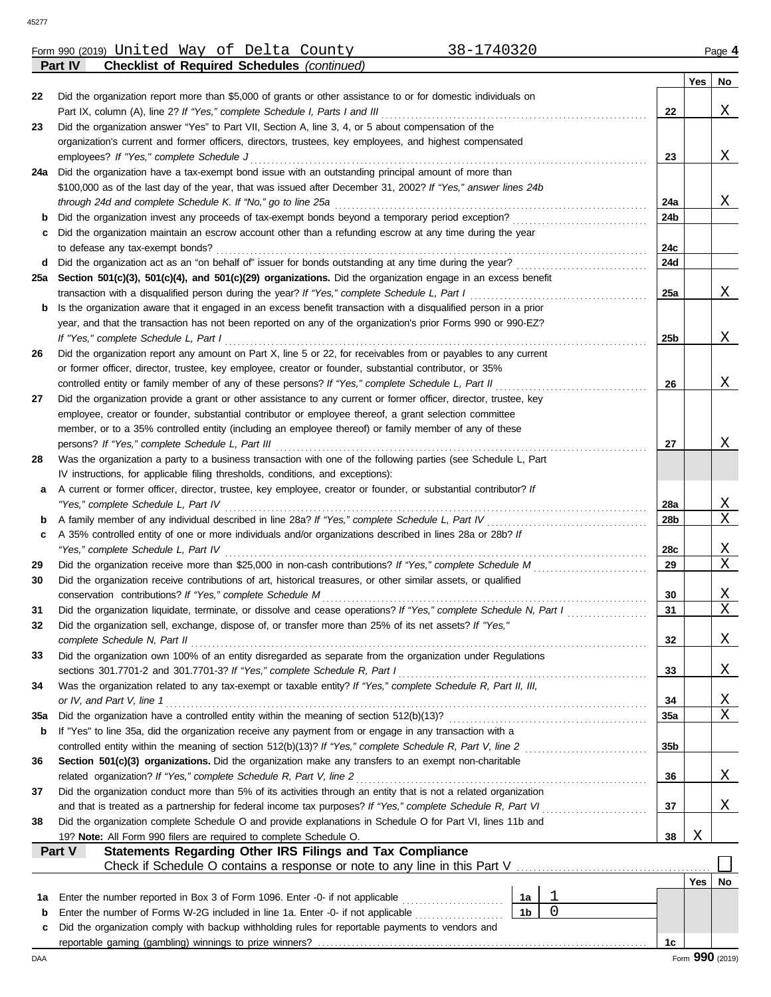|             | <b>Checklist of Required Schedules (continued)</b><br><b>Part IV</b>                                                                                                                                                       |                  |     |                            |
|-------------|----------------------------------------------------------------------------------------------------------------------------------------------------------------------------------------------------------------------------|------------------|-----|----------------------------|
|             |                                                                                                                                                                                                                            |                  | Yes | No                         |
| 22          | Did the organization report more than \$5,000 of grants or other assistance to or for domestic individuals on                                                                                                              |                  |     |                            |
|             | Part IX, column (A), line 2? If "Yes," complete Schedule I, Parts I and III                                                                                                                                                | 22               |     | X                          |
| 23          | Did the organization answer "Yes" to Part VII, Section A, line 3, 4, or 5 about compensation of the                                                                                                                        |                  |     |                            |
|             | organization's current and former officers, directors, trustees, key employees, and highest compensated                                                                                                                    |                  |     | Χ                          |
| 24a         | employees? If "Yes," complete Schedule J<br>Did the organization have a tax-exempt bond issue with an outstanding principal amount of more than                                                                            | 23               |     |                            |
|             | \$100,000 as of the last day of the year, that was issued after December 31, 2002? If "Yes," answer lines 24b                                                                                                              |                  |     |                            |
|             | through 24d and complete Schedule K. If "No," go to line 25a                                                                                                                                                               | 24a              |     | Χ                          |
| b           | Did the organization invest any proceeds of tax-exempt bonds beyond a temporary period exception?                                                                                                                          | 24b              |     |                            |
| с           | Did the organization maintain an escrow account other than a refunding escrow at any time during the year                                                                                                                  |                  |     |                            |
|             | to defease any tax-exempt bonds?                                                                                                                                                                                           | 24c              |     |                            |
| d           | Did the organization act as an "on behalf of" issuer for bonds outstanding at any time during the year?                                                                                                                    | 24d              |     |                            |
| 25a         | Section 501(c)(3), 501(c)(4), and 501(c)(29) organizations. Did the organization engage in an excess benefit                                                                                                               |                  |     |                            |
|             | transaction with a disqualified person during the year? If "Yes," complete Schedule L, Part I                                                                                                                              | 25a              |     | X                          |
| $\mathbf b$ | Is the organization aware that it engaged in an excess benefit transaction with a disqualified person in a prior                                                                                                           |                  |     |                            |
|             | year, and that the transaction has not been reported on any of the organization's prior Forms 990 or 990-EZ?                                                                                                               |                  |     |                            |
|             | If "Yes," complete Schedule L, Part I                                                                                                                                                                                      | 25 <sub>b</sub>  |     | X                          |
| 26          | Did the organization report any amount on Part X, line 5 or 22, for receivables from or payables to any current                                                                                                            |                  |     |                            |
|             | or former officer, director, trustee, key employee, creator or founder, substantial contributor, or 35%                                                                                                                    |                  |     |                            |
|             | controlled entity or family member of any of these persons? If "Yes," complete Schedule L, Part II                                                                                                                         | 26               |     | Χ                          |
| 27          | Did the organization provide a grant or other assistance to any current or former officer, director, trustee, key                                                                                                          |                  |     |                            |
|             | employee, creator or founder, substantial contributor or employee thereof, a grant selection committee                                                                                                                     |                  |     |                            |
|             | member, or to a 35% controlled entity (including an employee thereof) or family member of any of these                                                                                                                     |                  |     |                            |
|             | persons? If "Yes," complete Schedule L, Part III                                                                                                                                                                           | 27               |     | Χ                          |
| 28          | Was the organization a party to a business transaction with one of the following parties (see Schedule L, Part                                                                                                             |                  |     |                            |
|             | IV instructions, for applicable filing thresholds, conditions, and exceptions):                                                                                                                                            |                  |     |                            |
| а           | A current or former officer, director, trustee, key employee, creator or founder, or substantial contributor? If                                                                                                           |                  |     |                            |
|             | "Yes," complete Schedule L, Part IV                                                                                                                                                                                        | 28a              |     | <u>X</u><br>$\overline{X}$ |
| b           | A family member of any individual described in line 28a? If "Yes," complete Schedule L, Part IV                                                                                                                            | 28 <sub>b</sub>  |     |                            |
| c           | A 35% controlled entity of one or more individuals and/or organizations described in lines 28a or 28b? If<br>"Yes," complete Schedule L, Part IV                                                                           |                  |     |                            |
|             |                                                                                                                                                                                                                            | <b>28c</b><br>29 |     | <u>X</u><br>$\overline{X}$ |
| 29<br>30    | Did the organization receive more than \$25,000 in non-cash contributions? If "Yes," complete Schedule M<br>Did the organization receive contributions of art, historical treasures, or other similar assets, or qualified |                  |     |                            |
|             | conservation contributions? If "Yes," complete Schedule M                                                                                                                                                                  | 30               |     | <u>X</u>                   |
| 31          | Did the organization liquidate, terminate, or dissolve and cease operations? If "Yes," complete Schedule N, Part I                                                                                                         | 31               |     | $\overline{X}$             |
|             | Did the organization sell, exchange, dispose of, or transfer more than 25% of its net assets? If "Yes,"                                                                                                                    |                  |     |                            |
|             | complete Schedule N, Part II                                                                                                                                                                                               | 32               |     | Χ                          |
| 33          | Did the organization own 100% of an entity disregarded as separate from the organization under Regulations                                                                                                                 |                  |     |                            |
|             | sections 301.7701-2 and 301.7701-3? If "Yes," complete Schedule R, Part I                                                                                                                                                  | 33               |     | Χ                          |
| 34          | Was the organization related to any tax-exempt or taxable entity? If "Yes," complete Schedule R, Part II, III,                                                                                                             |                  |     |                            |
|             | or IV, and Part V, line 1                                                                                                                                                                                                  | 34               |     | <u>X</u>                   |
| 35a         |                                                                                                                                                                                                                            | <b>35a</b>       |     | $\mathbf X$                |
| b           | If "Yes" to line 35a, did the organization receive any payment from or engage in any transaction with a                                                                                                                    |                  |     |                            |
|             | controlled entity within the meaning of section 512(b)(13)? If "Yes," complete Schedule R, Part V, line 2                                                                                                                  | 35b              |     |                            |
| 36          | Section 501(c)(3) organizations. Did the organization make any transfers to an exempt non-charitable                                                                                                                       |                  |     |                            |
|             | related organization? If "Yes," complete Schedule R, Part V, line 2                                                                                                                                                        | 36               |     | Χ                          |
| 37          | Did the organization conduct more than 5% of its activities through an entity that is not a related organization                                                                                                           |                  |     |                            |
|             | and that is treated as a partnership for federal income tax purposes? If "Yes," complete Schedule R, Part VI                                                                                                               | 37               |     | Χ                          |
| 38          | Did the organization complete Schedule O and provide explanations in Schedule O for Part VI, lines 11b and                                                                                                                 |                  |     |                            |
|             | 19? Note: All Form 990 filers are required to complete Schedule O.                                                                                                                                                         | 38               | Χ   |                            |
|             | Part V<br>Statements Regarding Other IRS Filings and Tax Compliance                                                                                                                                                        |                  |     |                            |
|             |                                                                                                                                                                                                                            |                  |     |                            |
|             |                                                                                                                                                                                                                            |                  | Yes | No                         |
| 1а          | $\mathbf 1$<br>Enter the number reported in Box 3 of Form 1096. Enter -0- if not applicable<br>1a                                                                                                                          |                  |     |                            |
| b           | $\overline{0}$<br>1 <sub>b</sub><br>Enter the number of Forms W-2G included in line 1a. Enter -0- if not applicable                                                                                                        |                  |     |                            |
| c           | Did the organization comply with backup withholding rules for reportable payments to vendors and                                                                                                                           |                  |     |                            |
|             |                                                                                                                                                                                                                            | 1c               |     |                            |
| DAA         |                                                                                                                                                                                                                            |                  |     | Form 990 (2019)            |

United Way of Delta County 38-1740320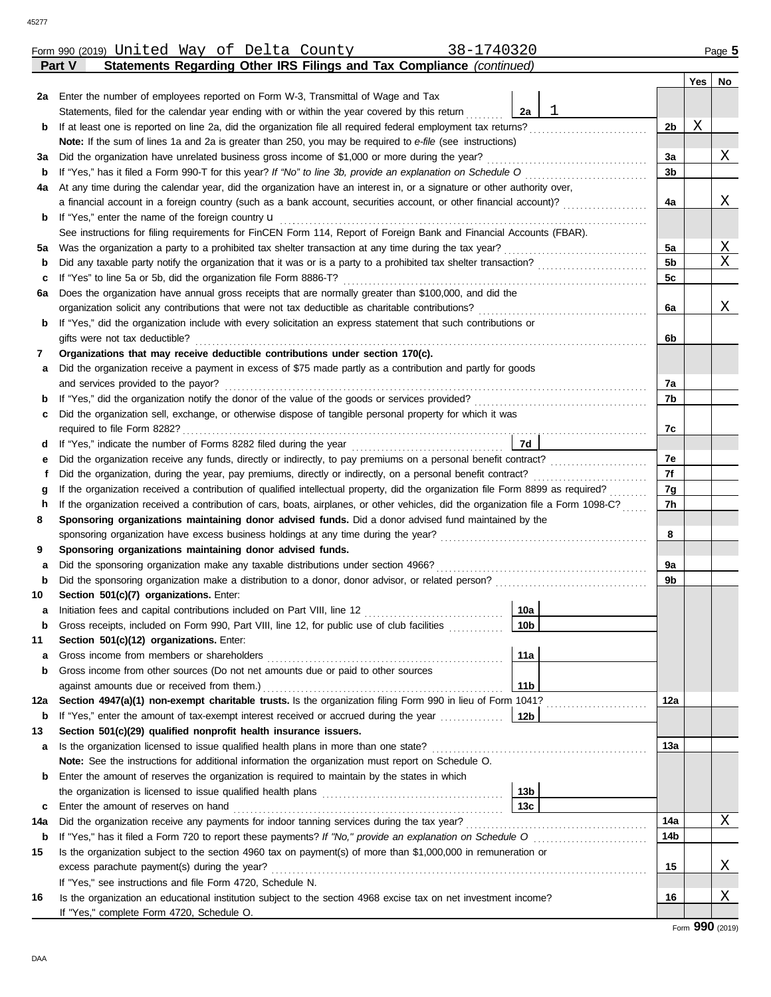|             | Statements Regarding Other IRS Filings and Tax Compliance (continued)<br>Part V                                                         |                                    |   |                |     |          |  |  |  |
|-------------|-----------------------------------------------------------------------------------------------------------------------------------------|------------------------------------|---|----------------|-----|----------|--|--|--|
|             |                                                                                                                                         |                                    |   |                | Yes | No       |  |  |  |
| 2a          | Enter the number of employees reported on Form W-3, Transmittal of Wage and Tax                                                         |                                    |   |                |     |          |  |  |  |
|             | Statements, filed for the calendar year ending with or within the year covered by this return                                           | 2a                                 | ı |                |     |          |  |  |  |
| b           | If at least one is reported on line 2a, did the organization file all required federal employment tax returns?                          |                                    |   | 2b             | Χ   |          |  |  |  |
|             | Note: If the sum of lines 1a and 2a is greater than 250, you may be required to e-file (see instructions)                               |                                    |   |                |     |          |  |  |  |
| за          | Did the organization have unrelated business gross income of \$1,000 or more during the year?                                           |                                    |   |                |     |          |  |  |  |
| b           | If "Yes," has it filed a Form 990-T for this year? If "No" to line 3b, provide an explanation on Schedule O consequences                |                                    |   |                |     |          |  |  |  |
| 4a          | At any time during the calendar year, did the organization have an interest in, or a signature or other authority over,                 |                                    |   |                |     |          |  |  |  |
|             | a financial account in a foreign country (such as a bank account, securities account, or other financial account)?                      |                                    |   | 4a             |     | Χ        |  |  |  |
| b           | If "Yes," enter the name of the foreign country $\mathbf u$                                                                             |                                    |   |                |     |          |  |  |  |
|             | See instructions for filing requirements for FinCEN Form 114, Report of Foreign Bank and Financial Accounts (FBAR).                     |                                    |   |                |     |          |  |  |  |
| 5а          | Was the organization a party to a prohibited tax shelter transaction at any time during the tax year?                                   |                                    |   | 5a             |     | <u>X</u> |  |  |  |
| b           |                                                                                                                                         |                                    |   | 5 <sub>b</sub> |     | X        |  |  |  |
| c           | If "Yes" to line 5a or 5b, did the organization file Form 8886-T?                                                                       |                                    |   | 5c             |     |          |  |  |  |
| 6а          | Does the organization have annual gross receipts that are normally greater than \$100,000, and did the                                  |                                    |   |                |     |          |  |  |  |
|             | organization solicit any contributions that were not tax deductible as charitable contributions?                                        |                                    |   | 6a             |     | Χ        |  |  |  |
| b           | If "Yes," did the organization include with every solicitation an express statement that such contributions or                          |                                    |   |                |     |          |  |  |  |
|             | gifts were not tax deductible?                                                                                                          |                                    |   | 6b             |     |          |  |  |  |
| 7           | Organizations that may receive deductible contributions under section 170(c).                                                           |                                    |   |                |     |          |  |  |  |
| a           | Did the organization receive a payment in excess of \$75 made partly as a contribution and partly for goods                             |                                    |   |                |     |          |  |  |  |
|             | and services provided to the payor?                                                                                                     |                                    |   | 7a             |     |          |  |  |  |
| $\mathbf b$ |                                                                                                                                         |                                    |   | 7b             |     |          |  |  |  |
| с           | Did the organization sell, exchange, or otherwise dispose of tangible personal property for which it was                                |                                    |   |                |     |          |  |  |  |
|             |                                                                                                                                         |                                    |   | 7c             |     |          |  |  |  |
| d           |                                                                                                                                         | 7d                                 |   |                |     |          |  |  |  |
| е           |                                                                                                                                         |                                    |   | 7e             |     |          |  |  |  |
|             | Did the organization, during the year, pay premiums, directly or indirectly, on a personal benefit contract?                            |                                    |   | 7f             |     |          |  |  |  |
| g           | If the organization received a contribution of qualified intellectual property, did the organization file Form 8899 as required?        |                                    |   | 7g<br>7h       |     |          |  |  |  |
|             | If the organization received a contribution of cars, boats, airplanes, or other vehicles, did the organization file a Form 1098-C?<br>h |                                    |   |                |     |          |  |  |  |
|             | Sponsoring organizations maintaining donor advised funds. Did a donor advised fund maintained by the<br>8                               |                                    |   |                |     |          |  |  |  |
|             | sponsoring organization have excess business holdings at any time during the year?                                                      |                                    |   | 8              |     |          |  |  |  |
| 9           | Sponsoring organizations maintaining donor advised funds.                                                                               |                                    |   | 9a             |     |          |  |  |  |
|             | Did the sponsoring organization make any taxable distributions under section 4966?<br>а                                                 |                                    |   |                |     |          |  |  |  |
| b           |                                                                                                                                         |                                    |   | 9b             |     |          |  |  |  |
| 10          | Section 501(c)(7) organizations. Enter:                                                                                                 |                                    |   |                |     |          |  |  |  |
| а           | Initiation fees and capital contributions included on Part VIII, line 12 [11] [11] [12] [11] [12] [11] [12] [1                          | 10a                                |   |                |     |          |  |  |  |
|             | Gross receipts, included on Form 990, Part VIII, line 12, for public use of club facilities                                             | 10 <sub>b</sub>                    |   |                |     |          |  |  |  |
| 11          | Section 501(c)(12) organizations. Enter:                                                                                                |                                    |   |                |     |          |  |  |  |
| а           | Gross income from members or shareholders                                                                                               | 11a                                |   |                |     |          |  |  |  |
| b           | Gross income from other sources (Do not net amounts due or paid to other sources                                                        |                                    |   |                |     |          |  |  |  |
|             | against amounts due or received from them.)                                                                                             | 11 <sub>b</sub>                    |   |                |     |          |  |  |  |
| 12a         | Section 4947(a)(1) non-exempt charitable trusts. Is the organization filing Form 990 in lieu of Form 1041?                              |                                    |   | 12a            |     |          |  |  |  |
| b           | If "Yes," enter the amount of tax-exempt interest received or accrued during the year                                                   | 12b                                |   |                |     |          |  |  |  |
| 13          | Section 501(c)(29) qualified nonprofit health insurance issuers.                                                                        |                                    |   |                |     |          |  |  |  |
| а           | Is the organization licensed to issue qualified health plans in more than one state?                                                    |                                    |   | 13а            |     |          |  |  |  |
|             | Note: See the instructions for additional information the organization must report on Schedule O.                                       |                                    |   |                |     |          |  |  |  |
| b           | Enter the amount of reserves the organization is required to maintain by the states in which                                            |                                    |   |                |     |          |  |  |  |
|             |                                                                                                                                         | 13 <sub>b</sub><br>13 <sub>c</sub> |   |                |     |          |  |  |  |
| c           | Enter the amount of reserves on hand                                                                                                    |                                    |   | 14a            |     | Χ        |  |  |  |
| 14a         | Did the organization receive any payments for indoor tanning services during the tax year?                                              |                                    |   |                |     |          |  |  |  |
| b           |                                                                                                                                         |                                    |   | 14b            |     |          |  |  |  |
| 15          | Is the organization subject to the section 4960 tax on payment(s) of more than \$1,000,000 in remuneration or                           |                                    |   |                |     |          |  |  |  |
|             | excess parachute payment(s) during the year?                                                                                            |                                    |   | 15             |     | X        |  |  |  |
|             | If "Yes," see instructions and file Form 4720, Schedule N.                                                                              |                                    |   |                |     | Χ        |  |  |  |
| 16          | Is the organization an educational institution subject to the section 4968 excise tax on net investment income?                         |                                    |   | 16             |     |          |  |  |  |
|             | If "Yes," complete Form 4720, Schedule O.                                                                                               |                                    |   |                |     |          |  |  |  |

|  | Form 990<br>(2019) | --<br>٦m٠<br>____<br>$\sim$<br>UILL LEU | Way | ັ | -<br>De 1 | -------<br>COUIIL | $\cdot$ $\cdot$<br>---- | Page<br>- - |
|--|--------------------|-----------------------------------------|-----|---|-----------|-------------------|-------------------------|-------------|
|--|--------------------|-----------------------------------------|-----|---|-----------|-------------------|-------------------------|-------------|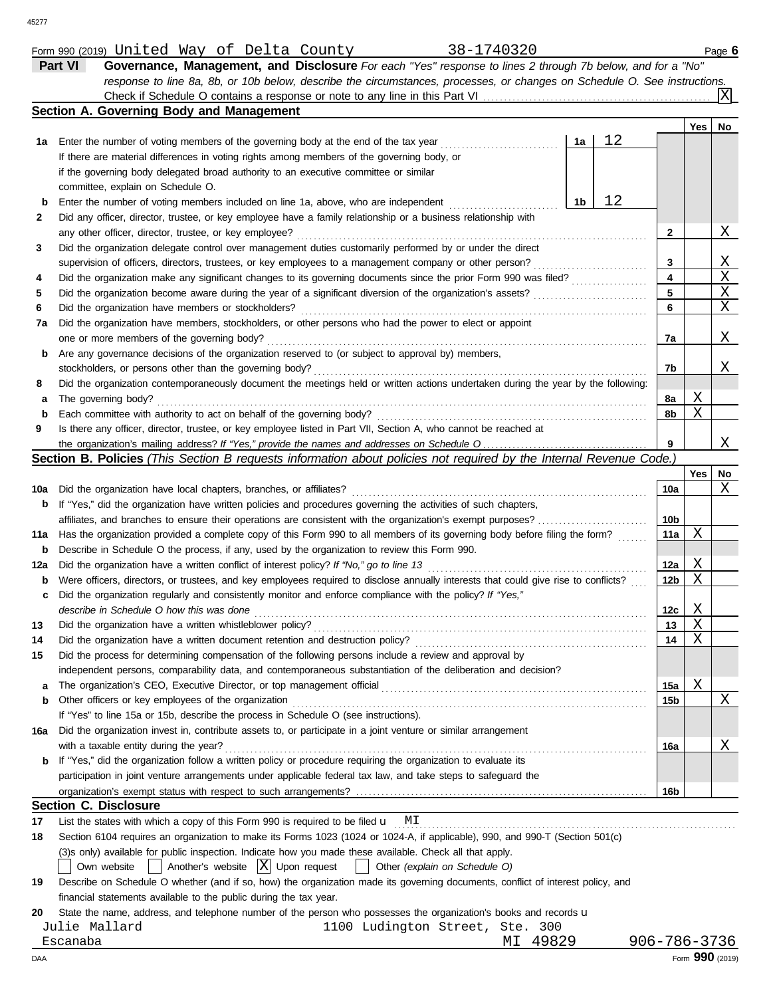|             | response to line 8a, 8b, or 10b below, describe the circumstances, processes, or changes on Schedule O. See instructions.                                            |    |    |                         |                 |             |
|-------------|----------------------------------------------------------------------------------------------------------------------------------------------------------------------|----|----|-------------------------|-----------------|-------------|
|             |                                                                                                                                                                      |    |    |                         |                 |             |
|             | Section A. Governing Body and Management                                                                                                                             |    |    |                         |                 |             |
|             |                                                                                                                                                                      |    |    |                         | Yes             | No          |
| 1а          | Enter the number of voting members of the governing body at the end of the tax year                                                                                  | 1a | 12 |                         |                 |             |
|             | If there are material differences in voting rights among members of the governing body, or                                                                           |    |    |                         |                 |             |
|             | if the governing body delegated broad authority to an executive committee or similar                                                                                 |    |    |                         |                 |             |
|             | committee, explain on Schedule O.                                                                                                                                    |    |    |                         |                 |             |
| b           | Enter the number of voting members included on line 1a, above, who are independent                                                                                   | 1b | 12 |                         |                 |             |
| 2           | Did any officer, director, trustee, or key employee have a family relationship or a business relationship with                                                       |    |    |                         |                 |             |
|             | any other officer, director, trustee, or key employee?                                                                                                               |    |    | 2                       |                 | Χ           |
| 3           | Did the organization delegate control over management duties customarily performed by or under the direct                                                            |    |    |                         |                 |             |
|             | supervision of officers, directors, trustees, or key employees to a management company or other person?                                                              |    | .  | 3                       |                 | Χ           |
| 4           | Did the organization make any significant changes to its governing documents since the prior Form 990 was filed?                                                     |    |    | $\overline{\mathbf{4}}$ |                 | $\mathbf X$ |
| 5           | Did the organization become aware during the year of a significant diversion of the organization's assets?                                                           |    |    | 5                       |                 | X           |
| 6           | Did the organization have members or stockholders?                                                                                                                   |    |    | 6                       |                 | X           |
| 7a          | Did the organization have members, stockholders, or other persons who had the power to elect or appoint                                                              |    |    |                         |                 |             |
|             | one or more members of the governing body?                                                                                                                           |    |    | 7a                      |                 | Χ           |
| b           | Are any governance decisions of the organization reserved to (or subject to approval by) members,                                                                    |    |    |                         |                 |             |
|             | stockholders, or persons other than the governing body?                                                                                                              |    |    | 7b                      |                 | Χ           |
| 8           | Did the organization contemporaneously document the meetings held or written actions undertaken during the year by the following:                                    |    |    |                         |                 |             |
| а           | The governing body?                                                                                                                                                  |    |    | 8a                      | Χ               |             |
| $\mathbf b$ | Each committee with authority to act on behalf of the governing body?                                                                                                |    |    | 8b                      | X               |             |
| 9           | Is there any officer, director, trustee, or key employee listed in Part VII, Section A, who cannot be reached at                                                     |    |    |                         |                 |             |
|             |                                                                                                                                                                      |    |    | 9                       |                 | Χ           |
|             | Section B. Policies (This Section B requests information about policies not required by the Internal Revenue Code.)                                                  |    |    |                         |                 |             |
|             |                                                                                                                                                                      |    |    |                         | Yes             | No          |
| 10a         | Did the organization have local chapters, branches, or affiliates?                                                                                                   |    |    | 10a                     |                 | Χ           |
| b           | If "Yes," did the organization have written policies and procedures governing the activities of such chapters,                                                       |    |    |                         |                 |             |
|             | affiliates, and branches to ensure their operations are consistent with the organization's exempt purposes?                                                          |    |    | 10b                     |                 |             |
| 11a         | Has the organization provided a complete copy of this Form 990 to all members of its governing body before filing the form?                                          |    |    | 11a                     | X               |             |
| b           | Describe in Schedule O the process, if any, used by the organization to review this Form 990.                                                                        |    |    |                         |                 |             |
| 12a         | Did the organization have a written conflict of interest policy? If "No," go to line 13                                                                              |    |    | 12a                     | Χ               |             |
| b           | Were officers, directors, or trustees, and key employees required to disclose annually interests that could give rise to conflicts?                                  |    |    | 12 <sub>b</sub>         | X               |             |
| c           | Did the organization regularly and consistently monitor and enforce compliance with the policy? If "Yes,"                                                            |    |    |                         |                 |             |
|             | describe in Schedule O how this was done                                                                                                                             |    |    | 12c                     | Χ               |             |
| 13          | Did the organization have a written whistleblower policy?                                                                                                            |    |    | 13                      | X               |             |
|             | Did the organization have a written document retention and destruction policy?                                                                                       |    |    | 14                      | $\rm X$         |             |
| 15          | Did the process for determining compensation of the following persons include a review and approval by                                                               |    |    |                         |                 |             |
|             | independent persons, comparability data, and contemporaneous substantiation of the deliberation and decision?                                                        |    |    |                         |                 |             |
| а           | The organization's CEO, Executive Director, or top management official                                                                                               |    |    | 15a                     | Χ               |             |
| b           | Other officers or key employees of the organization                                                                                                                  |    |    | 15 <sub>b</sub>         |                 | Χ           |
|             | If "Yes" to line 15a or 15b, describe the process in Schedule O (see instructions).                                                                                  |    |    |                         |                 |             |
| 16a         | Did the organization invest in, contribute assets to, or participate in a joint venture or similar arrangement                                                       |    |    |                         |                 |             |
|             | with a taxable entity during the year?                                                                                                                               |    |    | 16a                     |                 | Χ           |
| b           | If "Yes," did the organization follow a written policy or procedure requiring the organization to evaluate its                                                       |    |    |                         |                 |             |
|             | participation in joint venture arrangements under applicable federal tax law, and take steps to safeguard the                                                        |    |    |                         |                 |             |
|             |                                                                                                                                                                      |    |    | 16b                     |                 |             |
|             | <b>Section C. Disclosure</b>                                                                                                                                         |    |    |                         |                 |             |
| 17          | List the states with which a copy of this Form 990 is required to be filed $\mathbf{u}$ MI                                                                           |    |    |                         |                 |             |
| 18          | Section 6104 requires an organization to make its Forms 1023 (1024 or 1024-A, if applicable), 990, and 990-T (Section 501(c)                                         |    |    |                         |                 |             |
|             | (3)s only) available for public inspection. Indicate how you made these available. Check all that apply.                                                             |    |    |                         |                 |             |
|             | Another's website $ X $ Upon request<br>Own website<br>Other (explain on Schedule O)                                                                                 |    |    |                         |                 |             |
| 19          | Describe on Schedule O whether (and if so, how) the organization made its governing documents, conflict of interest policy, and                                      |    |    |                         |                 |             |
|             | financial statements available to the public during the tax year.                                                                                                    |    |    |                         |                 |             |
|             |                                                                                                                                                                      |    |    |                         |                 |             |
| 20          | State the name, address, and telephone number of the person who possesses the organization's books and records u<br>Julie Mallard<br>1100 Ludington Street, Ste. 300 |    |    |                         |                 |             |
|             | 49829<br>МI<br>Escanaba                                                                                                                                              |    |    | 906-786-3736            |                 |             |
|             |                                                                                                                                                                      |    |    |                         | Form 990 (2019) |             |
| DAA         |                                                                                                                                                                      |    |    |                         |                 |             |

Form 990 (2019) Page **6** United Way of Delta County 38-1740320 **Part VI Governance, Management, and Disclosure** *For each "Yes" response to lines 2 through 7b below, and for a "No"*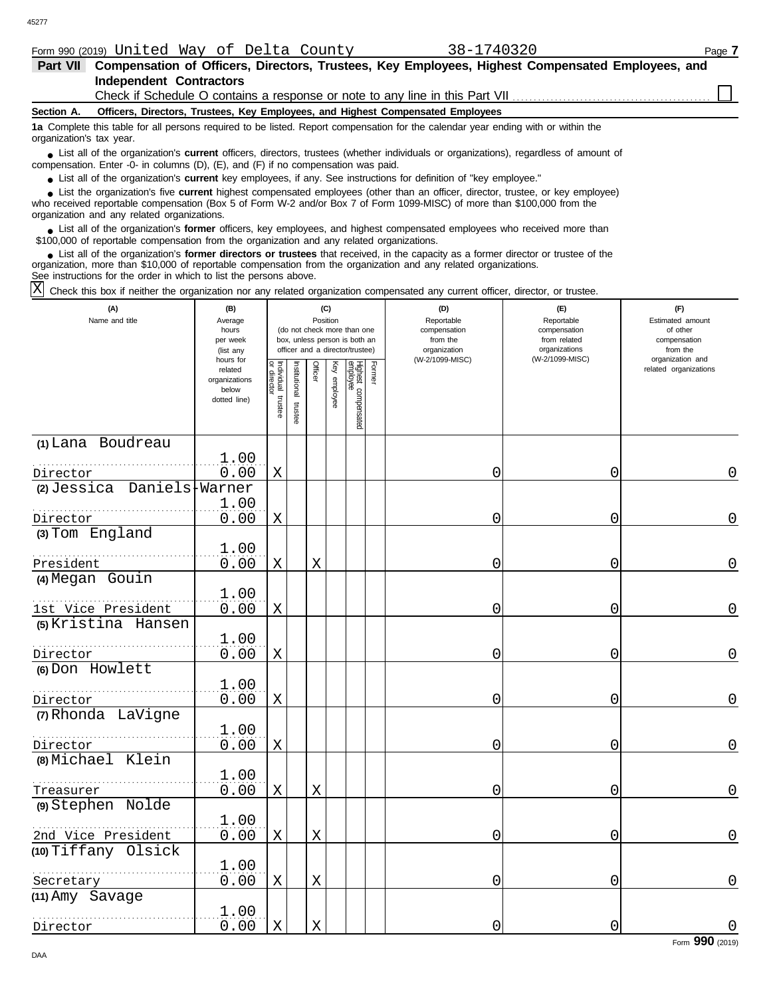| <b>Part VII</b>          | Compensation of Officers, Directors, Trustees, Key Employees, Highest Compensated Employees, and                                                                                                                                                                                                           |
|--------------------------|------------------------------------------------------------------------------------------------------------------------------------------------------------------------------------------------------------------------------------------------------------------------------------------------------------|
|                          | <b>Independent Contractors</b>                                                                                                                                                                                                                                                                             |
|                          |                                                                                                                                                                                                                                                                                                            |
| Section A.               | Officers, Directors, Trustees, Key Employees, and Highest Compensated Employees                                                                                                                                                                                                                            |
| organization's tax year. | 1a Complete this table for all persons required to be listed. Report compensation for the calendar year ending with or within the                                                                                                                                                                          |
|                          | • List all of the organization's <b>current</b> officers, directors, trustees (whether individuals or organizations), regardless of amount of<br>compensation. Enter -0- in columns $(D)$ , $(E)$ , and $(F)$ if no compensation was paid.                                                                 |
|                          | • List all of the organization's <b>current</b> key employees, if any. See instructions for definition of "key employee."                                                                                                                                                                                  |
|                          | • List the organization's five current highest compensated employees (other than an officer, director, trustee, or key employee)<br>who received reportable compensation (Box 5 of Form W-2 and/or Box 7 of Form 1099-MISC) of more than \$100,000 from the<br>organization and any related organizations. |
|                          | • List all of the organization's former officers, key employees, and highest compensated employees who received more than<br>\$100,000 of reportable compensation from the organization and any related organizations.                                                                                     |
|                          | • List all of the organization's former directors or trustees that received, in the capacity as a former director or trustee of the                                                                                                                                                                        |

organization, more than \$10,000 of reportable compensation from the organization and any related organizations. **•**

See instructions for the order in which to list the persons above.

Check this box if neither the organization nor any related organization compensated any current officer, director, or trustee. X

| (A)<br>Name and title                     | (B)<br>Average<br>hours<br>per week<br>(list any               | (C)<br>Position<br>(do not check more than one<br>box, unless person is both an<br>officer and a director/trustee) |                      |             |              |                                 | (D)<br>Reportable<br>compensation<br>from the<br>organization | (E)<br>Reportable<br>compensation<br>from related<br>organizations | (F)<br>Estimated amount<br>of other<br>compensation<br>from the |                                           |
|-------------------------------------------|----------------------------------------------------------------|--------------------------------------------------------------------------------------------------------------------|----------------------|-------------|--------------|---------------------------------|---------------------------------------------------------------|--------------------------------------------------------------------|-----------------------------------------------------------------|-------------------------------------------|
|                                           | hours for<br>related<br>organizations<br>below<br>dotted line) | Individual<br>or director<br>trustee                                                                               | nstitutional trustee | Officer     | Key employee | Highest compensated<br>employee | Former                                                        | (W-2/1099-MISC)                                                    | (W-2/1099-MISC)                                                 | organization and<br>related organizations |
| (1) Lana Boudreau<br>Director             | 1.00<br>0.00                                                   | $\mathbf X$                                                                                                        |                      |             |              |                                 |                                                               | 0                                                                  | 0                                                               | 0                                         |
| Daniels Warner<br>$(2)$ Jessica           | 1.00                                                           |                                                                                                                    |                      |             |              |                                 |                                                               |                                                                    |                                                                 |                                           |
| Director<br>(3) Tom England               | 0.00                                                           | X                                                                                                                  |                      |             |              |                                 |                                                               | 0                                                                  | 0                                                               | $\mathsf{O}\xspace$                       |
| President                                 | 1.00<br>0.00                                                   | $\mathbf X$                                                                                                        |                      | X           |              |                                 |                                                               | 0                                                                  | 0                                                               | $\mathsf{O}$                              |
| (4) Megan Gouin                           | 1.00                                                           |                                                                                                                    |                      |             |              |                                 |                                                               |                                                                    |                                                                 |                                           |
| 1st Vice President<br>(5) Kristina Hansen | 0.00<br>1.00                                                   | $\mathbf X$                                                                                                        |                      |             |              |                                 |                                                               | 0                                                                  | 0                                                               | $\mathbf 0$                               |
| Director<br>(6) Don Howlett               | 0.00                                                           | X                                                                                                                  |                      |             |              |                                 |                                                               | 0                                                                  | 0                                                               | $\mathsf{O}\xspace$                       |
| Director                                  | 1.00<br>0.00                                                   | Χ                                                                                                                  |                      |             |              |                                 |                                                               | 0                                                                  | 0                                                               | $\mathsf{O}\xspace$                       |
| (7) Rhonda LaVigne                        | 1.00                                                           |                                                                                                                    |                      |             |              |                                 |                                                               |                                                                    |                                                                 |                                           |
| Director<br>(8) Michael Klein             | 0.00<br>1.00                                                   | $\mathbf X$                                                                                                        |                      |             |              |                                 |                                                               | 0                                                                  | 0                                                               | $\mathbf 0$                               |
| Treasurer<br>(9) Stephen Nolde            | 0.00                                                           | Χ                                                                                                                  |                      | X           |              |                                 |                                                               | 0                                                                  | 0                                                               | $\mathsf 0$                               |
| 2nd Vice President                        | 1.00<br>0.00                                                   | $\mathbf X$                                                                                                        |                      | X           |              |                                 |                                                               | 0                                                                  | 0                                                               | 0                                         |
| (10) Tiffany Olsick                       | 1.00                                                           |                                                                                                                    |                      |             |              |                                 |                                                               |                                                                    |                                                                 |                                           |
| Secretary<br>(11) Amy Savage              | 0.00                                                           | X                                                                                                                  |                      | X           |              |                                 |                                                               | 0                                                                  | 0                                                               | $\overline{0}$                            |
| Director                                  | 1.00<br>0.00                                                   | $\mathbf X$                                                                                                        |                      | $\mathbf X$ |              |                                 |                                                               | 0                                                                  | 0                                                               | 0                                         |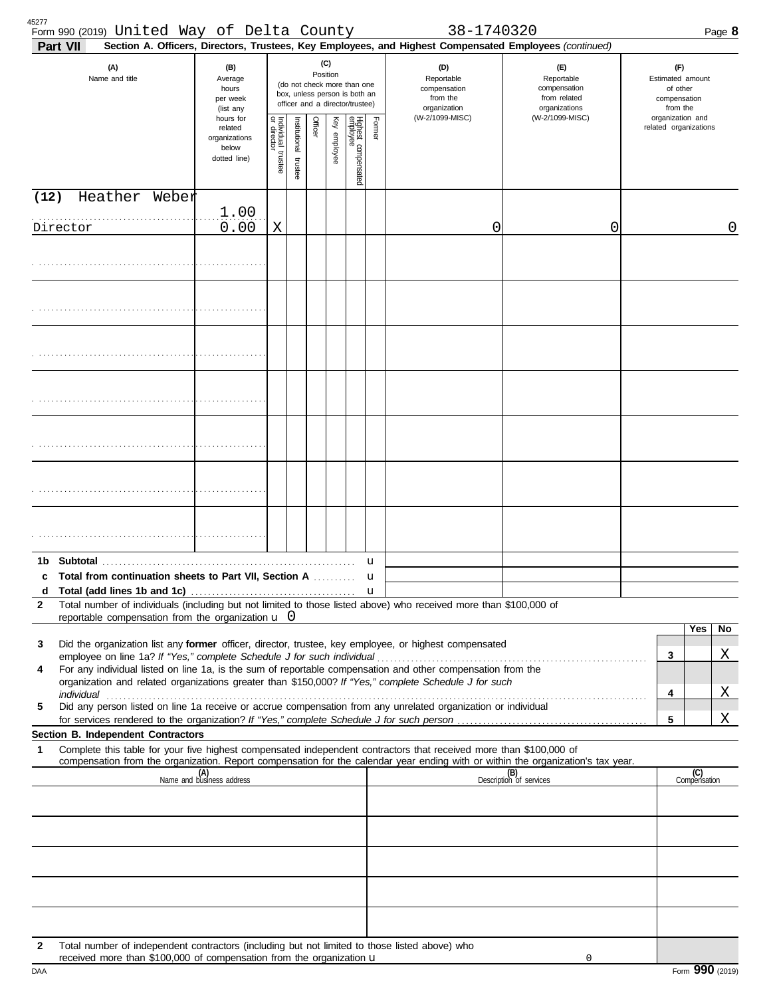| 45277<br>Part VII | Form 990 (2019) United Way of Delta County                                                                                                                                                                                     |                                                                |                                                                                                                    |                       |         |              |                                 |        | 38-1740320<br>Section A. Officers, Directors, Trustees, Key Employees, and Highest Compensated Employees (continued)                                                                                                 |                                                                    |                                                                 |                                           | Page 8       |
|-------------------|--------------------------------------------------------------------------------------------------------------------------------------------------------------------------------------------------------------------------------|----------------------------------------------------------------|--------------------------------------------------------------------------------------------------------------------|-----------------------|---------|--------------|---------------------------------|--------|----------------------------------------------------------------------------------------------------------------------------------------------------------------------------------------------------------------------|--------------------------------------------------------------------|-----------------------------------------------------------------|-------------------------------------------|--------------|
|                   | (A)<br>Name and title                                                                                                                                                                                                          | (B)<br>Average<br>hours<br>per week<br>(list any               | (C)<br>Position<br>(do not check more than one<br>box, unless person is both an<br>officer and a director/trustee) |                       |         |              |                                 |        | (D)<br>Reportable<br>compensation<br>from the<br>organization                                                                                                                                                        | (E)<br>Reportable<br>compensation<br>from related<br>organizations | (F)<br>Estimated amount<br>of other<br>compensation<br>from the |                                           |              |
|                   |                                                                                                                                                                                                                                | hours for<br>related<br>organizations<br>below<br>dotted line) | Individual<br>or director<br>trustee                                                                               | Institutional trustee | Officer | Key employee | Highest compensated<br>employee | Former | (W-2/1099-MISC)                                                                                                                                                                                                      | (W-2/1099-MISC)                                                    |                                                                 | organization and<br>related organizations |              |
| (12)              | Heather Weber                                                                                                                                                                                                                  |                                                                |                                                                                                                    |                       |         |              |                                 |        |                                                                                                                                                                                                                      |                                                                    |                                                                 |                                           |              |
| Director          |                                                                                                                                                                                                                                | 1.00<br>0.00                                                   | X                                                                                                                  |                       |         |              |                                 |        | 0                                                                                                                                                                                                                    | 0                                                                  |                                                                 |                                           | 0            |
|                   |                                                                                                                                                                                                                                |                                                                |                                                                                                                    |                       |         |              |                                 |        |                                                                                                                                                                                                                      |                                                                    |                                                                 |                                           |              |
|                   |                                                                                                                                                                                                                                |                                                                |                                                                                                                    |                       |         |              |                                 |        |                                                                                                                                                                                                                      |                                                                    |                                                                 |                                           |              |
|                   |                                                                                                                                                                                                                                |                                                                |                                                                                                                    |                       |         |              |                                 |        |                                                                                                                                                                                                                      |                                                                    |                                                                 |                                           |              |
|                   |                                                                                                                                                                                                                                |                                                                |                                                                                                                    |                       |         |              |                                 |        |                                                                                                                                                                                                                      |                                                                    |                                                                 |                                           |              |
|                   |                                                                                                                                                                                                                                |                                                                |                                                                                                                    |                       |         |              |                                 |        |                                                                                                                                                                                                                      |                                                                    |                                                                 |                                           |              |
|                   |                                                                                                                                                                                                                                |                                                                |                                                                                                                    |                       |         |              |                                 |        |                                                                                                                                                                                                                      |                                                                    |                                                                 |                                           |              |
|                   |                                                                                                                                                                                                                                |                                                                |                                                                                                                    |                       |         |              |                                 |        |                                                                                                                                                                                                                      |                                                                    |                                                                 |                                           |              |
|                   |                                                                                                                                                                                                                                |                                                                |                                                                                                                    |                       |         |              |                                 |        |                                                                                                                                                                                                                      |                                                                    |                                                                 |                                           |              |
|                   | c Total from continuation sheets to Part VII, Section A                                                                                                                                                                        |                                                                |                                                                                                                    |                       |         |              |                                 | u<br>u |                                                                                                                                                                                                                      |                                                                    |                                                                 |                                           |              |
| d                 |                                                                                                                                                                                                                                |                                                                |                                                                                                                    |                       |         |              |                                 | u      |                                                                                                                                                                                                                      |                                                                    |                                                                 |                                           |              |
| 2                 | reportable compensation from the organization $\mathbf u$ 0                                                                                                                                                                    |                                                                |                                                                                                                    |                       |         |              |                                 |        | Total number of individuals (including but not limited to those listed above) who received more than \$100,000 of                                                                                                    |                                                                    |                                                                 |                                           |              |
|                   |                                                                                                                                                                                                                                |                                                                |                                                                                                                    |                       |         |              |                                 |        |                                                                                                                                                                                                                      |                                                                    |                                                                 |                                           | Yes<br>No    |
| 3                 |                                                                                                                                                                                                                                |                                                                |                                                                                                                    |                       |         |              |                                 |        | Did the organization list any former officer, director, trustee, key employee, or highest compensated                                                                                                                |                                                                    |                                                                 | 3                                         | Χ            |
| 4                 |                                                                                                                                                                                                                                |                                                                |                                                                                                                    |                       |         |              |                                 |        | For any individual listed on line 1a, is the sum of reportable compensation and other compensation from the<br>organization and related organizations greater than \$150,000? If "Yes," complete Schedule J for such |                                                                    |                                                                 |                                           |              |
| 5                 | individual communications and contact the contract of the contract of the contract of the contract of the contract of the contract of the contract of the contract of the contract of the contract of the contract of the cont |                                                                |                                                                                                                    |                       |         |              |                                 |        | Did any person listed on line 1a receive or accrue compensation from any unrelated organization or individual                                                                                                        |                                                                    |                                                                 | 4                                         | Χ            |
|                   |                                                                                                                                                                                                                                |                                                                |                                                                                                                    |                       |         |              |                                 |        |                                                                                                                                                                                                                      |                                                                    |                                                                 | 5                                         | Χ            |
| 1                 | Section B. Independent Contractors                                                                                                                                                                                             |                                                                |                                                                                                                    |                       |         |              |                                 |        | Complete this table for your five highest compensated independent contractors that received more than \$100,000 of                                                                                                   |                                                                    |                                                                 |                                           |              |
|                   |                                                                                                                                                                                                                                |                                                                |                                                                                                                    |                       |         |              |                                 |        | compensation from the organization. Report compensation for the calendar year ending with or within the organization's tax year.                                                                                     |                                                                    |                                                                 |                                           | (C)          |
|                   |                                                                                                                                                                                                                                | (A)<br>Name and business address                               |                                                                                                                    |                       |         |              |                                 |        |                                                                                                                                                                                                                      | (B)<br>Description of services                                     |                                                                 |                                           | Compensation |
|                   |                                                                                                                                                                                                                                |                                                                |                                                                                                                    |                       |         |              |                                 |        |                                                                                                                                                                                                                      |                                                                    |                                                                 |                                           |              |
|                   |                                                                                                                                                                                                                                |                                                                |                                                                                                                    |                       |         |              |                                 |        |                                                                                                                                                                                                                      |                                                                    |                                                                 |                                           |              |
|                   |                                                                                                                                                                                                                                |                                                                |                                                                                                                    |                       |         |              |                                 |        |                                                                                                                                                                                                                      |                                                                    |                                                                 |                                           |              |
|                   |                                                                                                                                                                                                                                |                                                                |                                                                                                                    |                       |         |              |                                 |        |                                                                                                                                                                                                                      |                                                                    |                                                                 |                                           |              |
|                   |                                                                                                                                                                                                                                |                                                                |                                                                                                                    |                       |         |              |                                 |        |                                                                                                                                                                                                                      |                                                                    |                                                                 |                                           |              |
| 2                 | Total number of independent contractors (including but not limited to those listed above) who<br>received more than \$100,000 of compensation from the organization u                                                          |                                                                |                                                                                                                    |                       |         |              |                                 |        |                                                                                                                                                                                                                      | 0                                                                  |                                                                 |                                           |              |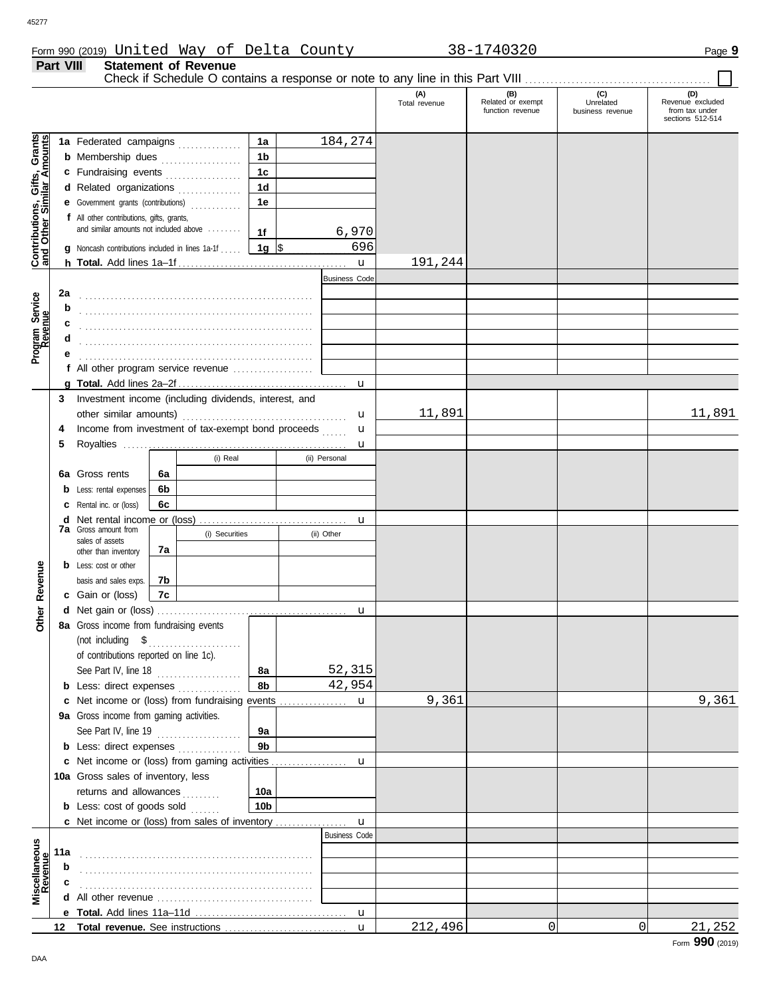**Part VIII Statement of Revenue**

#### **(A) (B) (C) (D)** Total revenue Related or exempt Unrelated Revenue excluded function revenue business revenue from tax under sections 512-514 Gifts, Grants<br>illar Amounts **Contributions, Gifts, Grants and Other Similar Amounts 1a** 184,274 **1a** Federated campaigns **. . . . . . . . . . . . 1b b** Membership dues . . . . . . . . . . . . . . . . **1c c** Fundraising events **. . . . . . . . . . . . . .** . . **1d d** Related organizations . . . . . . . . . . . . . Contributions,<br>and Other Sim **1e e** Government grants (contributions) . . . . . . . . . . . . **f** All other contributions, gifts, grants, and similar amounts not included above ........ **1f** 6,970 **1g**  $\frac{$}{96}$ **g** Noncash contributions included in lines 1a-1f . . . . . u 191,244 **h Total.** Add lines 1a–1f . . . . . . . . . . . . . . . . . . . . . . . . . . . . . . . . . . . . . . . . Business Code Program Service<br>Revenue **2a Program Service** . . . . . . . . . . . . . . . . . . . . . . . . . . . . . . . . . . . . . . . . . . . . . . . . . . . . . . . **b c** . . . . . . . . . . . . . . . . . . . . . . . . . . . . . . . . . . . . . . . . . . . . . . . . . . . . . . . **d** . . . . . . . . . . . . . . . . . . . . . . . . . . . . . . . . . . . . . . . . . . . . . . . . . . . . . . . **e** . . . . . . . . . . . . . . . . . . . . . . . . . . . . . . . . . . . . . . . . . . . . . . . . . . . . . . . **f** All other program service revenue . . . . . . . . . . . . . . . . . . . **g Total.** Add lines 2a–2f . . . . . . . . . . . . . . . . . . . . . . . . . . . . . . . . . . . . . . . . u **3** Investment income (including dividends, interest, and 11,891 11,891 other similar amounts) . . . . . . . . . . . . . . . . . . . . . . . . . . . . . . . . . . . . . . . u u **4** Income from investment of tax-exempt bond proceeds ...... **5** Royalties ..... u (i) Real (ii) Personal **6a 6a** Gross rents **6b b** Less: rental expenses **6c c** Rental inc. or (loss) **d** Net rental income or (loss) . . . . . . . . . . . . . . . . . . . . . . . . . . . . . . . . . . . u **7a** Gross amount from (i) Securities (ii) Other sales of assets **7a** other than inventory Revenue **b** Less: cost or other **Other Revenue** basis and sales exps. **7b 7c c** Gain or (loss) **Other d** u Net gain or (loss) . . . . . . . . . . . . . . . . . . . . . . . . . . . . . . . . . . . . . . . . . . . . . **8a** Gross income from fundraising events (not including \$ . . . . . . . . . . . . . . . . . . . . . . of contributions reported on line 1c). See Part IV, line 18 . . . . . . . . . . . . . . . . . . . . **8a** 52,315 **8b** 42,954 **b** Less: direct expenses . . . . . . . . . . . . . u 9,361 9,361 **c** Net income or (loss) from fundraising events ............... **9a** Gross income from gaming activities. See Part IV, line 19 . . . . . . . . . . . . . . . . . . . . **9a 9b b** Less: direct expenses ............... u Net income or (loss) from gaming activities . . . . . . . . . . . . . . . . . . **c** 10a Gross sales of inventory, less returns and allowances .......... **10a 10b b** Less: cost of goods sold  $\ldots$ Net income or (loss) from sales of inventory . . . . . . . . . . . . . . . . . **c** u Business Code **Revenue Miscellaneous 11a** . . . . . . . . . . . . . . . . . . . . . . . . . . . . . . . . . . . . . . . . . . . . . . . . . . . . . . . **b c d** All other revenue . . . . . . . . . . . . . . . . . . . . . . . . . . . . . . . . . . . . . **e Total.** Add lines 11a–11d . . . . . . . . . . . . . . . . . . . . . . . . . . . . . . . . . . . . u 212,496 0 0 21,252 **Total revenue.** See instructions **12** u

Check if Schedule O contains a response or note to any line in this Part VIII ........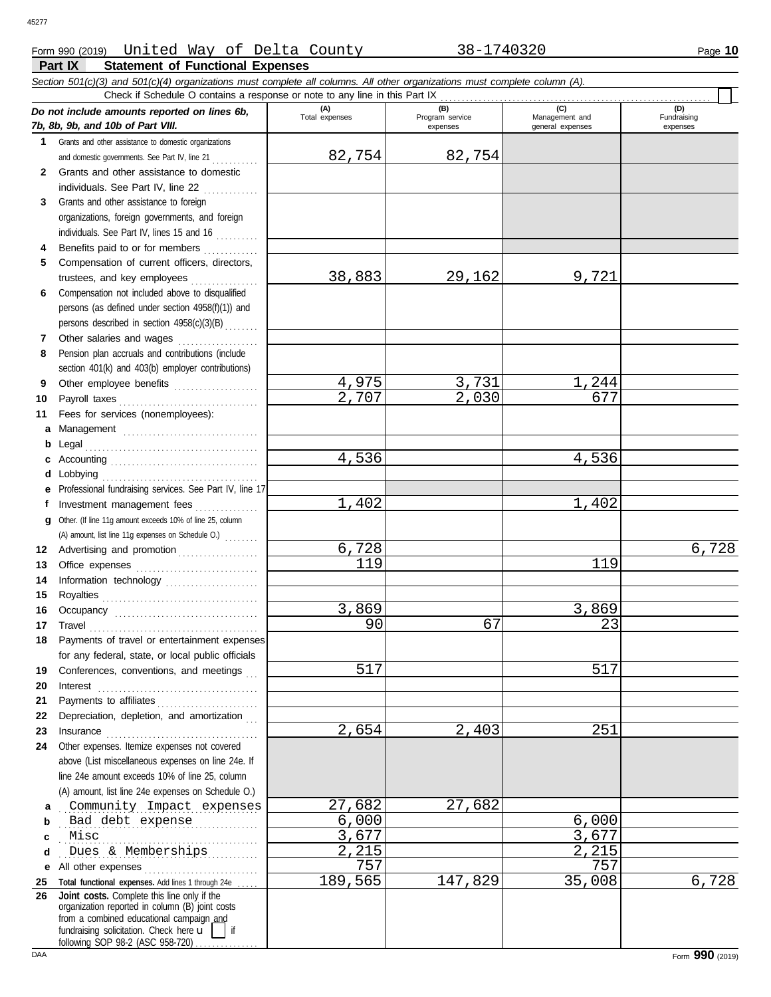#### **Part IX Statement of Functional Expenses** Form 990 (2019) Page **10** United Way of Delta County 38-1740320

|              | Check if Schedule O contains a response or note to any line in this Part IX                          |                       |                        |                       |                    |
|--------------|------------------------------------------------------------------------------------------------------|-----------------------|------------------------|-----------------------|--------------------|
|              | Do not include amounts reported on lines 6b,                                                         | (A)<br>Total expenses | (B)<br>Program service | (C)<br>Management and | (D)<br>Fundraising |
|              | 7b, 8b, 9b, and 10b of Part VIII.                                                                    |                       | expenses               | general expenses      | expenses           |
| $\mathbf 1$  | Grants and other assistance to domestic organizations                                                |                       |                        |                       |                    |
|              | and domestic governments. See Part IV, line 21                                                       | 82,754                | 82,754                 |                       |                    |
| $\mathbf{2}$ | Grants and other assistance to domestic                                                              |                       |                        |                       |                    |
|              | individuals. See Part IV, line 22                                                                    |                       |                        |                       |                    |
| 3            | Grants and other assistance to foreign                                                               |                       |                        |                       |                    |
|              | organizations, foreign governments, and foreign                                                      |                       |                        |                       |                    |
|              | individuals. See Part IV, lines 15 and 16                                                            |                       |                        |                       |                    |
| 4            | Benefits paid to or for members                                                                      |                       |                        |                       |                    |
| 5            | Compensation of current officers, directors,                                                         |                       |                        |                       |                    |
|              | trustees, and key employees                                                                          | 38,883                | 29,162                 | 9,721                 |                    |
| 6            | Compensation not included above to disqualified<br>persons (as defined under section 4958(f)(1)) and |                       |                        |                       |                    |
|              |                                                                                                      |                       |                        |                       |                    |
|              | persons described in section 4958(c)(3)(B)                                                           |                       |                        |                       |                    |
| 7<br>8       | Other salaries and wages<br>Pension plan accruals and contributions (include                         |                       |                        |                       |                    |
|              | section 401(k) and 403(b) employer contributions)                                                    |                       |                        |                       |                    |
| 9            | Other employee benefits                                                                              | 4,975                 | 3,731                  | 1,244                 |                    |
| 10           |                                                                                                      | 2,707                 | $\overline{2,030}$     | 677                   |                    |
| 11           | Fees for services (nonemployees):                                                                    |                       |                        |                       |                    |
| a            |                                                                                                      |                       |                        |                       |                    |
| b            | Management<br>Legal                                                                                  |                       |                        |                       |                    |
| c            |                                                                                                      | 4,536                 |                        | 4,536                 |                    |
| d            | Lobbying                                                                                             |                       |                        |                       |                    |
| е            | Professional fundraising services. See Part IV, line 17                                              |                       |                        |                       |                    |
| f            | Investment management fees                                                                           | 1,402                 |                        | 1,402                 |                    |
| a            | Other. (If line 11g amount exceeds 10% of line 25, column                                            |                       |                        |                       |                    |
|              | (A) amount, list line 11g expenses on Schedule O.)                                                   |                       |                        |                       |                    |
| 12           | Advertising and promotion                                                                            | 6,728                 |                        |                       | 6,728              |
| 13           |                                                                                                      | 119                   |                        | 119                   |                    |
| 14           |                                                                                                      |                       |                        |                       |                    |
| 15           |                                                                                                      |                       |                        |                       |                    |
| 16           |                                                                                                      | 3,869                 |                        | 3,869                 |                    |
| 17           |                                                                                                      | 90                    | 67                     | 23                    |                    |
|              | Payments of travel or entertainment expenses                                                         |                       |                        |                       |                    |
|              | for any federal, state, or local public officials                                                    |                       |                        |                       |                    |
| 19           | Conferences, conventions, and meetings                                                               | 517                   |                        | 517                   |                    |
| 20           | Interest                                                                                             |                       |                        |                       |                    |
| 21           | Payments to affiliates                                                                               |                       |                        |                       |                    |
| 22           | Depreciation, depletion, and amortization                                                            |                       |                        |                       |                    |
| 23           | Insurance <b>construction</b>                                                                        | 2,654                 | 2,403                  | 251                   |                    |
| 24           | Other expenses. Itemize expenses not covered                                                         |                       |                        |                       |                    |
|              | above (List miscellaneous expenses on line 24e. If                                                   |                       |                        |                       |                    |
|              | line 24e amount exceeds 10% of line 25, column                                                       |                       |                        |                       |                    |
|              | (A) amount, list line 24e expenses on Schedule O.)                                                   |                       |                        |                       |                    |
| a            | Community Impact expenses                                                                            | 27,682                | 27,682                 |                       |                    |
| b            | Bad debt expense                                                                                     | 6,000                 |                        | 6,000                 |                    |
| c            | Misc                                                                                                 | 3,677                 |                        | 3,677                 |                    |
| d            | Dues & Memberships                                                                                   | 2,215                 |                        | 2,215                 |                    |
| е            | All other expenses                                                                                   | 757                   |                        | 757                   |                    |
| 25           | Total functional expenses. Add lines 1 through 24e                                                   | 189,565               | 147,829                | 35,008                | 6,728              |
| 26           | Joint costs. Complete this line only if the<br>organization reported in column (B) joint costs       |                       |                        |                       |                    |
|              | from a combined educational campaign and                                                             |                       |                        |                       |                    |
|              | fundraising solicitation. Check here $\mathbf{u}$<br>if                                              |                       |                        |                       |                    |
|              | following SOP 98-2 (ASC 958-720)                                                                     |                       |                        |                       |                    |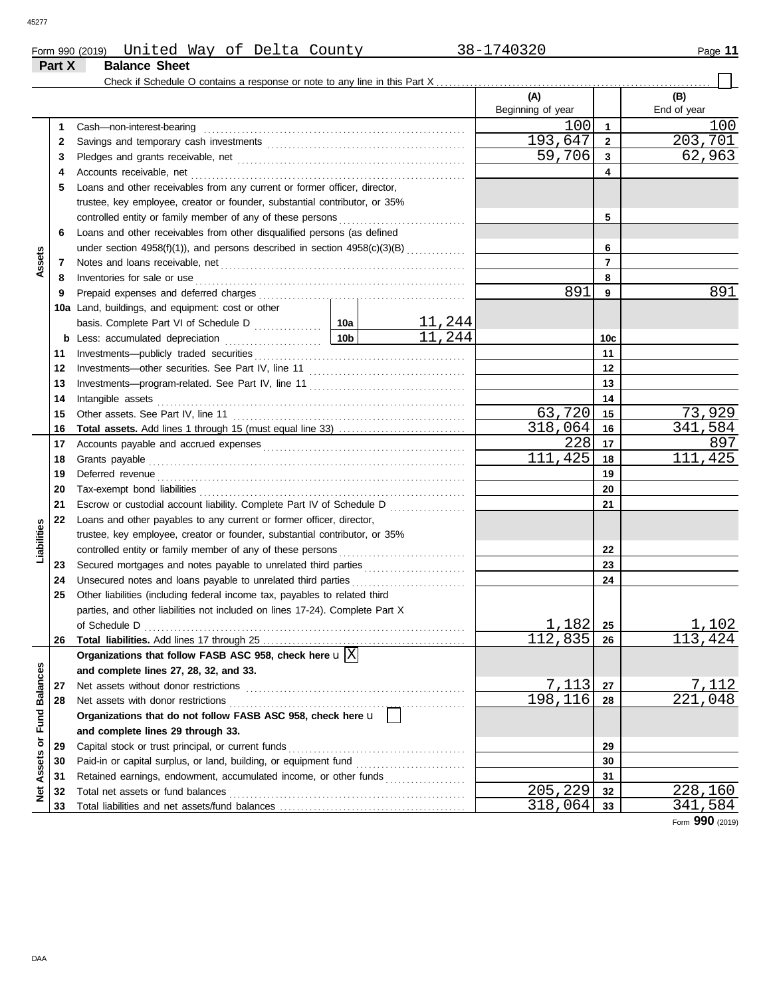#### Form 990 (2019) Page **11** United Way of Delta County 38-1740320 **Part X Balance Sheet**

|                      |    |                                                                                                      |        | (A)               |                | (B)                     |
|----------------------|----|------------------------------------------------------------------------------------------------------|--------|-------------------|----------------|-------------------------|
|                      |    |                                                                                                      |        | Beginning of year |                | End of year             |
|                      | 1  | Cash-non-interest-bearing                                                                            |        | 100               | $\overline{1}$ | 100                     |
|                      | 2  |                                                                                                      |        | 193,647           | $\mathbf{2}$   | 203,701                 |
|                      | 3  |                                                                                                      |        | 59,706            | $\mathbf{3}$   | 62,963                  |
|                      | 4  |                                                                                                      |        |                   | 4              |                         |
|                      | 5  | Loans and other receivables from any current or former officer, director,                            |        |                   |                |                         |
|                      |    | trustee, key employee, creator or founder, substantial contributor, or 35%                           |        |                   |                |                         |
|                      |    |                                                                                                      |        |                   | 5              |                         |
|                      | 6  | Loans and other receivables from other disqualified persons (as defined                              |        |                   |                |                         |
|                      |    | under section 4958(f)(1)), and persons described in section 4958(c)(3)(B)                            |        |                   | 6              |                         |
| Assets               | 7  |                                                                                                      |        |                   | 7              |                         |
|                      | 8  |                                                                                                      |        |                   | 8              |                         |
|                      | 9  |                                                                                                      |        | 891               | 9              | 891                     |
|                      |    | 10a Land, buildings, and equipment: cost or other                                                    |        |                   |                |                         |
|                      |    |                                                                                                      | 11,244 |                   |                |                         |
|                      |    |                                                                                                      | 11,244 |                   | 10c            |                         |
|                      | 11 |                                                                                                      |        |                   | 11             |                         |
|                      | 12 |                                                                                                      |        |                   | 12             |                         |
|                      | 13 |                                                                                                      |        |                   | 13             |                         |
|                      | 14 | Intangible assets                                                                                    |        |                   | 14             |                         |
|                      | 15 |                                                                                                      |        | 63,720            | 15             | 73,929                  |
|                      | 16 |                                                                                                      |        | 318,064           | 16             | 341,584                 |
|                      | 17 |                                                                                                      |        | 228               | 17             | 897                     |
|                      | 18 |                                                                                                      |        | 111,425           | 18             | 111,425                 |
|                      | 19 |                                                                                                      |        | 19                |                |                         |
|                      | 20 |                                                                                                      |        |                   | 20             |                         |
|                      | 21 | Escrow or custodial account liability. Complete Part IV of Schedule D                                |        |                   | 21             |                         |
|                      | 22 | Loans and other payables to any current or former officer, director,                                 |        |                   |                |                         |
| Liabilities          |    | trustee, key employee, creator or founder, substantial contributor, or 35%                           |        |                   |                |                         |
|                      |    |                                                                                                      |        |                   | 22             |                         |
|                      | 23 | Secured mortgages and notes payable to unrelated third parties [[[[[[[[[[[[[[[[[[[[[[[[[[[[[]]]]]]]] |        |                   | 23             |                         |
|                      | 24 |                                                                                                      |        |                   | 24             |                         |
|                      | 25 | Other liabilities (including federal income tax, payables to related third                           |        |                   |                |                         |
|                      |    | parties, and other liabilities not included on lines 17-24). Complete Part X                         |        |                   |                |                         |
|                      |    |                                                                                                      |        | 1,182             | 25             | <u>1,102</u>            |
|                      | 26 |                                                                                                      |        | 112,835           | 26             | 113,424                 |
|                      |    | Organizations that follow FASB ASC 958, check here $\mathbf{u}$ $ \mathrm{X} $                       |        |                   |                |                         |
|                      |    | and complete lines 27, 28, 32, and 33.                                                               |        |                   |                |                         |
|                      | 27 | Net assets without donor restrictions                                                                |        | <u>7,113</u>      | 27             |                         |
|                      | 28 | Net assets with donor restrictions                                                                   |        | 198, 116          | 28             | $\frac{7,112}{221,048}$ |
| <b>Fund Balances</b> |    | Organizations that do not follow FASB ASC 958, check here u                                          |        |                   |                |                         |
|                      |    | and complete lines 29 through 33.                                                                    |        |                   |                |                         |
| $\overline{\sigma}$  | 29 | Capital stock or trust principal, or current funds                                                   |        |                   | 29             |                         |
|                      | 30 |                                                                                                      |        |                   | 30             |                         |
|                      | 31 | Retained earnings, endowment, accumulated income, or other funds                                     |        |                   | 31             |                         |
| <b>Net Assets</b>    | 32 | Total net assets or fund balances                                                                    |        | 205,229           | 32             | 228,160                 |
|                      | 33 |                                                                                                      |        | 318,064           | 33             | 341,584                 |

Form **990** (2019)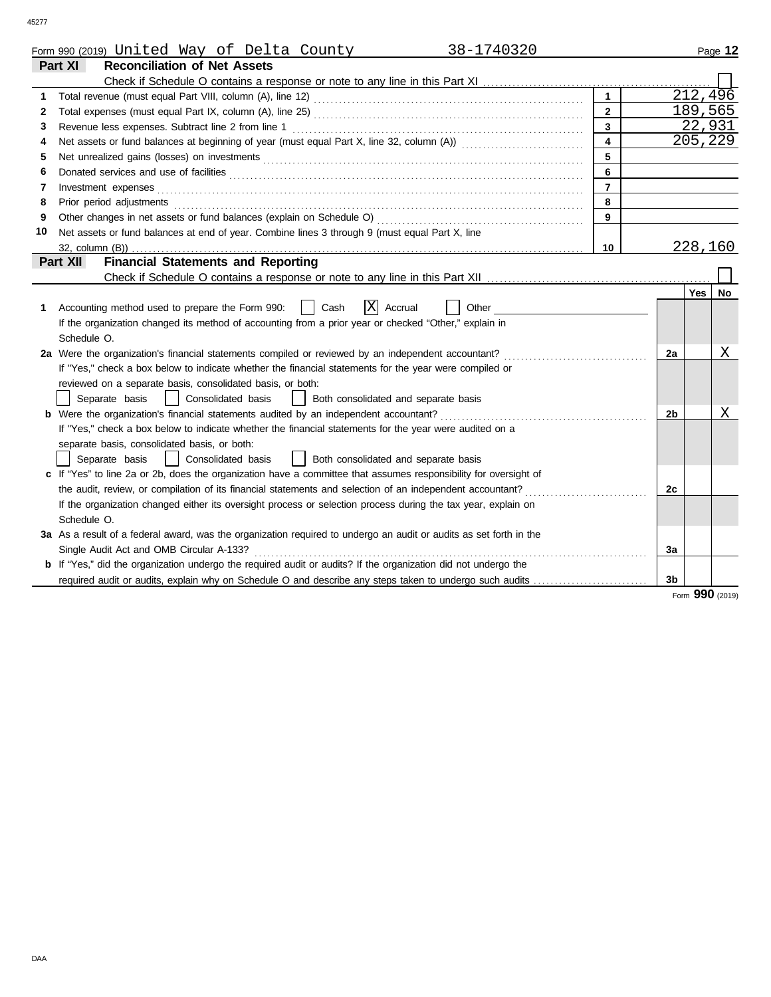|    | 38-1740320<br>Form 990 (2019) United Way of Delta County                                                              |                         |                |         | Page 12         |
|----|-----------------------------------------------------------------------------------------------------------------------|-------------------------|----------------|---------|-----------------|
|    | <b>Reconciliation of Net Assets</b><br>Part XI                                                                        |                         |                |         |                 |
|    |                                                                                                                       |                         |                |         |                 |
| 1  |                                                                                                                       |                         |                | 212,496 |                 |
| 2  |                                                                                                                       | $\overline{2}$          |                | 189,565 |                 |
| 3  | Revenue less expenses. Subtract line 2 from line 1                                                                    | 3                       |                | 22,931  |                 |
| 4  |                                                                                                                       | $\overline{\mathbf{4}}$ |                | 205,229 |                 |
| 5  |                                                                                                                       | 5                       |                |         |                 |
| 6  |                                                                                                                       | 6                       |                |         |                 |
| 7  | Investment expenses                                                                                                   | $\overline{7}$          |                |         |                 |
| 8  | Prior period adjustments                                                                                              | 8                       |                |         |                 |
| 9  | Other changes in net assets or fund balances (explain on Schedule O)                                                  | 9                       |                |         |                 |
| 10 | Net assets or fund balances at end of year. Combine lines 3 through 9 (must equal Part X, line                        |                         |                |         |                 |
|    |                                                                                                                       | 10                      |                | 228,160 |                 |
|    | <b>Financial Statements and Reporting</b><br>Part XII                                                                 |                         |                |         |                 |
|    |                                                                                                                       |                         |                |         |                 |
|    |                                                                                                                       |                         |                | Yes     | No              |
| 1  | ΙX<br>Accounting method used to prepare the Form 990:<br>Cash<br>Accrual<br>Other                                     |                         |                |         |                 |
|    | If the organization changed its method of accounting from a prior year or checked "Other," explain in                 |                         |                |         |                 |
|    | Schedule O.                                                                                                           |                         |                |         |                 |
|    | 2a Were the organization's financial statements compiled or reviewed by an independent accountant?                    |                         | 2a             |         | Χ               |
|    | If "Yes," check a box below to indicate whether the financial statements for the year were compiled or                |                         |                |         |                 |
|    | reviewed on a separate basis, consolidated basis, or both:                                                            |                         |                |         |                 |
|    | Separate basis<br>Consolidated basis<br>Both consolidated and separate basis                                          |                         |                |         |                 |
|    | b Were the organization's financial statements audited by an independent accountant?                                  |                         | 2 <sub>b</sub> |         | Χ               |
|    | If "Yes," check a box below to indicate whether the financial statements for the year were audited on a               |                         |                |         |                 |
|    | separate basis, consolidated basis, or both:                                                                          |                         |                |         |                 |
|    | Both consolidated and separate basis<br>Separate basis<br>Consolidated basis                                          |                         |                |         |                 |
|    | c If "Yes" to line 2a or 2b, does the organization have a committee that assumes responsibility for oversight of      |                         |                |         |                 |
|    | the audit, review, or compilation of its financial statements and selection of an independent accountant?             |                         | 2c             |         |                 |
|    | If the organization changed either its oversight process or selection process during the tax year, explain on         |                         |                |         |                 |
|    | Schedule O.                                                                                                           |                         |                |         |                 |
|    | 3a As a result of a federal award, was the organization required to undergo an audit or audits as set forth in the    |                         |                |         |                 |
|    | Single Audit Act and OMB Circular A-133?                                                                              |                         | За             |         |                 |
|    | <b>b</b> If "Yes," did the organization undergo the required audit or audits? If the organization did not undergo the |                         |                |         |                 |
|    | required audit or audits, explain why on Schedule O and describe any steps taken to undergo such audits               |                         | 3b             |         |                 |
|    |                                                                                                                       |                         |                |         | Form 990 (2019) |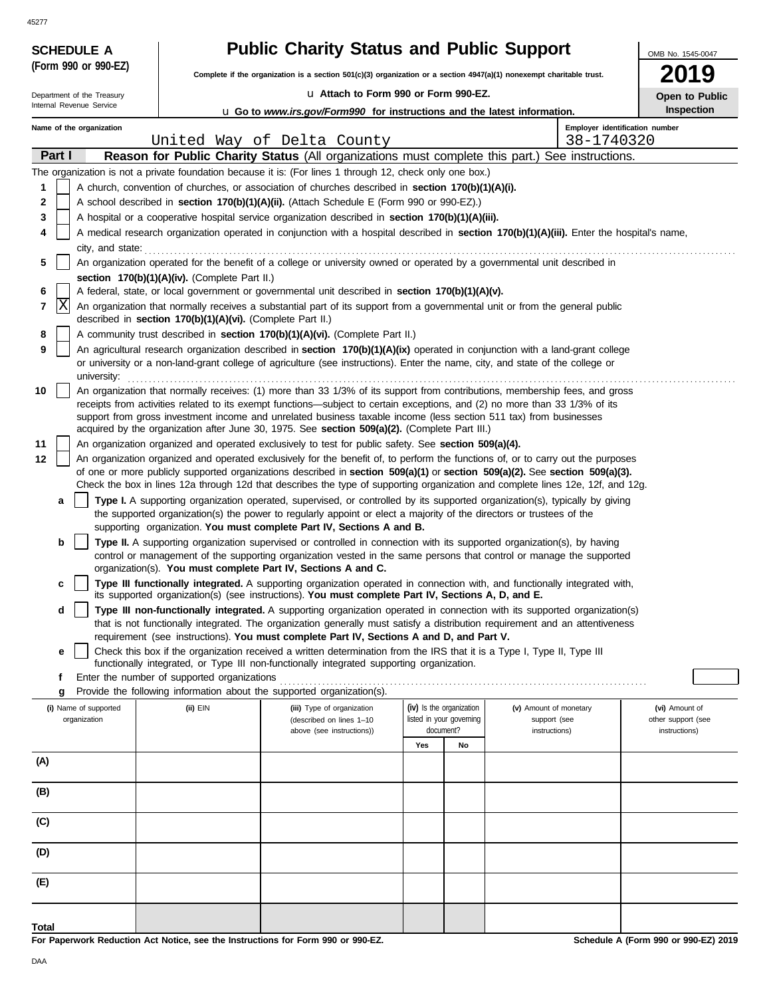45277

|        | <b>SCHEDULE A</b>                                                                                                                 |                                                            | <b>Public Charity Status and Public Support</b>                                                                                                                                                                                                                 |     |                          |                                | OMB No. 1545-0047  |  |  |  |  |
|--------|-----------------------------------------------------------------------------------------------------------------------------------|------------------------------------------------------------|-----------------------------------------------------------------------------------------------------------------------------------------------------------------------------------------------------------------------------------------------------------------|-----|--------------------------|--------------------------------|--------------------|--|--|--|--|
|        | (Form 990 or 990-EZ)                                                                                                              |                                                            | Complete if the organization is a section 501(c)(3) organization or a section 4947(a)(1) nonexempt charitable trust.                                                                                                                                            |     |                          |                                | 2019               |  |  |  |  |
|        | Department of the Treasury                                                                                                        |                                                            | La Attach to Form 990 or Form 990-EZ.                                                                                                                                                                                                                           |     |                          |                                | Open to Public     |  |  |  |  |
|        | Internal Revenue Service                                                                                                          |                                                            | <b>u</b> Go to www.irs.gov/Form990 for instructions and the latest information.                                                                                                                                                                                 |     |                          |                                | Inspection         |  |  |  |  |
|        | Name of the organization                                                                                                          |                                                            |                                                                                                                                                                                                                                                                 |     |                          | Employer identification number |                    |  |  |  |  |
|        | Part I                                                                                                                            |                                                            | United Way of Delta County<br>Reason for Public Charity Status (All organizations must complete this part.) See instructions.                                                                                                                                   |     |                          | 38-1740320                     |                    |  |  |  |  |
|        |                                                                                                                                   |                                                            | The organization is not a private foundation because it is: (For lines 1 through 12, check only one box.)                                                                                                                                                       |     |                          |                                |                    |  |  |  |  |
| 1      |                                                                                                                                   |                                                            | A church, convention of churches, or association of churches described in section 170(b)(1)(A)(i).                                                                                                                                                              |     |                          |                                |                    |  |  |  |  |
| 2      |                                                                                                                                   |                                                            | A school described in section 170(b)(1)(A)(ii). (Attach Schedule E (Form 990 or 990-EZ).)                                                                                                                                                                       |     |                          |                                |                    |  |  |  |  |
| 3      |                                                                                                                                   |                                                            | A hospital or a cooperative hospital service organization described in section 170(b)(1)(A)(iii).                                                                                                                                                               |     |                          |                                |                    |  |  |  |  |
| 4      |                                                                                                                                   |                                                            | A medical research organization operated in conjunction with a hospital described in section 170(b)(1)(A)(iii). Enter the hospital's name,                                                                                                                      |     |                          |                                |                    |  |  |  |  |
| 5      | city, and state:                                                                                                                  |                                                            | An organization operated for the benefit of a college or university owned or operated by a governmental unit described in                                                                                                                                       |     |                          |                                |                    |  |  |  |  |
|        |                                                                                                                                   | section 170(b)(1)(A)(iv). (Complete Part II.)              |                                                                                                                                                                                                                                                                 |     |                          |                                |                    |  |  |  |  |
| 6      |                                                                                                                                   |                                                            | A federal, state, or local government or governmental unit described in section 170(b)(1)(A)(v).                                                                                                                                                                |     |                          |                                |                    |  |  |  |  |
| 7      | x<br>An organization that normally receives a substantial part of its support from a governmental unit or from the general public |                                                            |                                                                                                                                                                                                                                                                 |     |                          |                                |                    |  |  |  |  |
|        |                                                                                                                                   | described in section 170(b)(1)(A)(vi). (Complete Part II.) |                                                                                                                                                                                                                                                                 |     |                          |                                |                    |  |  |  |  |
| 8<br>9 |                                                                                                                                   |                                                            | A community trust described in section 170(b)(1)(A)(vi). (Complete Part II.)                                                                                                                                                                                    |     |                          |                                |                    |  |  |  |  |
|        | university:                                                                                                                       |                                                            | An agricultural research organization described in section 170(b)(1)(A)(ix) operated in conjunction with a land-grant college<br>or university or a non-land-grant college of agriculture (see instructions). Enter the name, city, and state of the college or |     |                          |                                |                    |  |  |  |  |
| 10     |                                                                                                                                   |                                                            | An organization that normally receives: (1) more than 33 1/3% of its support from contributions, membership fees, and gross                                                                                                                                     |     |                          |                                |                    |  |  |  |  |
|        |                                                                                                                                   |                                                            | receipts from activities related to its exempt functions—subject to certain exceptions, and (2) no more than 33 1/3% of its                                                                                                                                     |     |                          |                                |                    |  |  |  |  |
|        |                                                                                                                                   |                                                            | support from gross investment income and unrelated business taxable income (less section 511 tax) from businesses<br>acquired by the organization after June 30, 1975. See section 509(a)(2). (Complete Part III.)                                              |     |                          |                                |                    |  |  |  |  |
| 11     |                                                                                                                                   |                                                            | An organization organized and operated exclusively to test for public safety. See section 509(a)(4).                                                                                                                                                            |     |                          |                                |                    |  |  |  |  |
| 12     |                                                                                                                                   |                                                            | An organization organized and operated exclusively for the benefit of, to perform the functions of, or to carry out the purposes                                                                                                                                |     |                          |                                |                    |  |  |  |  |
|        |                                                                                                                                   |                                                            | of one or more publicly supported organizations described in section 509(a)(1) or section 509(a)(2). See section 509(a)(3).                                                                                                                                     |     |                          |                                |                    |  |  |  |  |
|        |                                                                                                                                   |                                                            | Check the box in lines 12a through 12d that describes the type of supporting organization and complete lines 12e, 12f, and 12g.<br>Type I. A supporting organization operated, supervised, or controlled by its supported organization(s), typically by giving  |     |                          |                                |                    |  |  |  |  |
|        | а                                                                                                                                 |                                                            | the supported organization(s) the power to regularly appoint or elect a majority of the directors or trustees of the<br>supporting organization. You must complete Part IV, Sections A and B.                                                                   |     |                          |                                |                    |  |  |  |  |
|        | b                                                                                                                                 |                                                            | Type II. A supporting organization supervised or controlled in connection with its supported organization(s), by having                                                                                                                                         |     |                          |                                |                    |  |  |  |  |
|        |                                                                                                                                   |                                                            | control or management of the supporting organization vested in the same persons that control or manage the supported                                                                                                                                            |     |                          |                                |                    |  |  |  |  |
|        |                                                                                                                                   |                                                            | organization(s). You must complete Part IV, Sections A and C.                                                                                                                                                                                                   |     |                          |                                |                    |  |  |  |  |
|        | c                                                                                                                                 |                                                            | Type III functionally integrated. A supporting organization operated in connection with, and functionally integrated with,<br>its supported organization(s) (see instructions). You must complete Part IV, Sections A, D, and E.                                |     |                          |                                |                    |  |  |  |  |
|        | d                                                                                                                                 |                                                            | Type III non-functionally integrated. A supporting organization operated in connection with its supported organization(s)                                                                                                                                       |     |                          |                                |                    |  |  |  |  |
|        |                                                                                                                                   |                                                            | that is not functionally integrated. The organization generally must satisfy a distribution requirement and an attentiveness<br>requirement (see instructions). You must complete Part IV, Sections A and D, and Part V.                                        |     |                          |                                |                    |  |  |  |  |
|        | е                                                                                                                                 |                                                            | Check this box if the organization received a written determination from the IRS that it is a Type I, Type II, Type III                                                                                                                                         |     |                          |                                |                    |  |  |  |  |
|        |                                                                                                                                   |                                                            | functionally integrated, or Type III non-functionally integrated supporting organization.                                                                                                                                                                       |     |                          |                                |                    |  |  |  |  |
|        | f                                                                                                                                 | Enter the number of supported organizations                | Provide the following information about the supported organization(s).                                                                                                                                                                                          |     |                          |                                |                    |  |  |  |  |
|        | g<br>(i) Name of supported                                                                                                        | $(ii)$ EIN                                                 | (iii) Type of organization                                                                                                                                                                                                                                      |     | (iv) Is the organization | (v) Amount of monetary         | (vi) Amount of     |  |  |  |  |
|        | organization                                                                                                                      |                                                            | (described on lines 1-10                                                                                                                                                                                                                                        |     | listed in your governing | support (see                   | other support (see |  |  |  |  |
|        |                                                                                                                                   |                                                            | above (see instructions))                                                                                                                                                                                                                                       |     | document?                | instructions)                  | instructions)      |  |  |  |  |
| (A)    |                                                                                                                                   |                                                            |                                                                                                                                                                                                                                                                 | Yes | No                       |                                |                    |  |  |  |  |
|        |                                                                                                                                   |                                                            |                                                                                                                                                                                                                                                                 |     |                          |                                |                    |  |  |  |  |
| (B)    |                                                                                                                                   |                                                            |                                                                                                                                                                                                                                                                 |     |                          |                                |                    |  |  |  |  |
| (C)    |                                                                                                                                   |                                                            |                                                                                                                                                                                                                                                                 |     |                          |                                |                    |  |  |  |  |
| (D)    |                                                                                                                                   |                                                            |                                                                                                                                                                                                                                                                 |     |                          |                                |                    |  |  |  |  |
| (E)    |                                                                                                                                   |                                                            |                                                                                                                                                                                                                                                                 |     |                          |                                |                    |  |  |  |  |
| Total  |                                                                                                                                   |                                                            |                                                                                                                                                                                                                                                                 |     |                          |                                |                    |  |  |  |  |

**For Paperwork Reduction Act Notice, see the Instructions for Form 990 or 990-EZ.**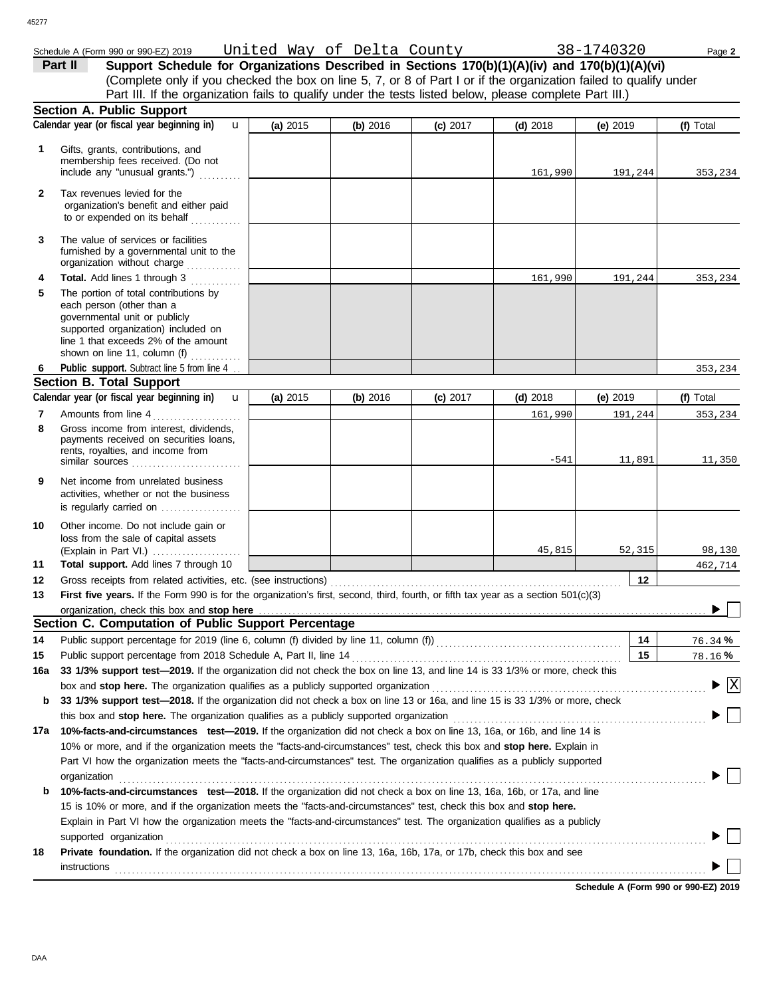|     | Schedule A (Form 990 or 990-EZ) 2019                                                                                                                                                                                                |          | United Way of Delta County |            |                                                                                                                                                                                                                               | 38-1740320 | Page 2    |
|-----|-------------------------------------------------------------------------------------------------------------------------------------------------------------------------------------------------------------------------------------|----------|----------------------------|------------|-------------------------------------------------------------------------------------------------------------------------------------------------------------------------------------------------------------------------------|------------|-----------|
|     | Support Schedule for Organizations Described in Sections 170(b)(1)(A)(iv) and 170(b)(1)(A)(vi)<br>Part II                                                                                                                           |          |                            |            |                                                                                                                                                                                                                               |            |           |
|     | (Complete only if you checked the box on line 5, 7, or 8 of Part I or if the organization failed to qualify under                                                                                                                   |          |                            |            |                                                                                                                                                                                                                               |            |           |
|     | Part III. If the organization fails to qualify under the tests listed below, please complete Part III.)                                                                                                                             |          |                            |            |                                                                                                                                                                                                                               |            |           |
|     | Section A. Public Support                                                                                                                                                                                                           |          |                            |            |                                                                                                                                                                                                                               |            |           |
|     | Calendar year (or fiscal year beginning in)<br>$\mathbf{u}$                                                                                                                                                                         | (a) 2015 | (b) 2016                   | $(c)$ 2017 | $(d)$ 2018                                                                                                                                                                                                                    | (e) $2019$ | (f) Total |
| 1   | Gifts, grants, contributions, and                                                                                                                                                                                                   |          |                            |            |                                                                                                                                                                                                                               |            |           |
|     | membership fees received. (Do not                                                                                                                                                                                                   |          |                            |            |                                                                                                                                                                                                                               |            |           |
|     | include any "unusual grants.")                                                                                                                                                                                                      |          |                            |            | 161,990                                                                                                                                                                                                                       | 191,244    | 353,234   |
| 2   | Tax revenues levied for the                                                                                                                                                                                                         |          |                            |            |                                                                                                                                                                                                                               |            |           |
|     | organization's benefit and either paid                                                                                                                                                                                              |          |                            |            |                                                                                                                                                                                                                               |            |           |
|     | to or expended on its behalf                                                                                                                                                                                                        |          |                            |            |                                                                                                                                                                                                                               |            |           |
| 3   | The value of services or facilities                                                                                                                                                                                                 |          |                            |            |                                                                                                                                                                                                                               |            |           |
|     | furnished by a governmental unit to the                                                                                                                                                                                             |          |                            |            |                                                                                                                                                                                                                               |            |           |
|     | organization without charge                                                                                                                                                                                                         |          |                            |            |                                                                                                                                                                                                                               |            |           |
| 4   | Total. Add lines 1 through 3<br>.                                                                                                                                                                                                   |          |                            |            | 161,990                                                                                                                                                                                                                       | 191,244    | 353,234   |
| 5   | The portion of total contributions by                                                                                                                                                                                               |          |                            |            |                                                                                                                                                                                                                               |            |           |
|     | each person (other than a<br>governmental unit or publicly                                                                                                                                                                          |          |                            |            |                                                                                                                                                                                                                               |            |           |
|     | supported organization) included on                                                                                                                                                                                                 |          |                            |            |                                                                                                                                                                                                                               |            |           |
|     | line 1 that exceeds 2% of the amount                                                                                                                                                                                                |          |                            |            |                                                                                                                                                                                                                               |            |           |
|     | shown on line 11, column (f) $\ldots$                                                                                                                                                                                               |          |                            |            |                                                                                                                                                                                                                               |            |           |
| 6   | Public support. Subtract line 5 from line 4                                                                                                                                                                                         |          |                            |            |                                                                                                                                                                                                                               |            | 353,234   |
|     | <b>Section B. Total Support</b><br>Calendar year (or fiscal year beginning in)<br>$\mathbf{u}$                                                                                                                                      | (a) 2015 | (b) 2016                   |            |                                                                                                                                                                                                                               |            |           |
|     |                                                                                                                                                                                                                                     |          |                            | $(c)$ 2017 | $(d)$ 2018                                                                                                                                                                                                                    | (e) $2019$ | (f) Total |
| 7   | Amounts from line 4<br>Gross income from interest, dividends,                                                                                                                                                                       |          |                            |            | 161,990                                                                                                                                                                                                                       | 191,244    | 353,234   |
| 8   | payments received on securities loans,                                                                                                                                                                                              |          |                            |            |                                                                                                                                                                                                                               |            |           |
|     | rents, royalties, and income from                                                                                                                                                                                                   |          |                            |            |                                                                                                                                                                                                                               |            |           |
|     | similar sources                                                                                                                                                                                                                     |          |                            |            | $-541$                                                                                                                                                                                                                        | 11,891     | 11,350    |
| 9   | Net income from unrelated business                                                                                                                                                                                                  |          |                            |            |                                                                                                                                                                                                                               |            |           |
|     | activities, whether or not the business                                                                                                                                                                                             |          |                            |            |                                                                                                                                                                                                                               |            |           |
|     | is regularly carried on                                                                                                                                                                                                             |          |                            |            |                                                                                                                                                                                                                               |            |           |
| 10  | Other income. Do not include gain or                                                                                                                                                                                                |          |                            |            |                                                                                                                                                                                                                               |            |           |
|     | loss from the sale of capital assets                                                                                                                                                                                                |          |                            |            | 45,815                                                                                                                                                                                                                        | 52,315     | 98,130    |
| 11  | (Explain in Part VI.)<br>Total support. Add lines 7 through 10                                                                                                                                                                      |          |                            |            |                                                                                                                                                                                                                               |            | 462,714   |
| 12  |                                                                                                                                                                                                                                     |          |                            |            |                                                                                                                                                                                                                               | 12         |           |
| 13  | First five years. If the Form 990 is for the organization's first, second, third, fourth, or fifth tax year as a section 501(c)(3)                                                                                                  |          |                            |            |                                                                                                                                                                                                                               |            |           |
|     | organization, check this box and stop here <b>conservation and conservation</b> conservation of the state of the state of the state of the state of the state of the state of the state of the state of the state of the state of t |          |                            |            |                                                                                                                                                                                                                               |            | ▶         |
|     | Section C. Computation of Public Support Percentage                                                                                                                                                                                 |          |                            |            | the control of the control of the control of the control of the control of the control of the control of the control of the control of the control of the control of the control of the control of the control of the control |            |           |
| 14  | Public support percentage for 2019 (line 6, column (f) divided by line 11, column (f)) [[[[[[[[[[[[[[[[[[[[[[                                                                                                                       |          |                            |            |                                                                                                                                                                                                                               | 14         | 76.34 %   |
| 15  |                                                                                                                                                                                                                                     |          |                            |            |                                                                                                                                                                                                                               | 15         | 78.16 %   |
| 16a | 33 1/3% support test-2019. If the organization did not check the box on line 13, and line 14 is 33 1/3% or more, check this                                                                                                         |          |                            |            |                                                                                                                                                                                                                               |            |           |
|     | box and stop here. The organization qualifies as a publicly supported organization                                                                                                                                                  |          |                            |            |                                                                                                                                                                                                                               |            | $\vert$ X |
| b   | 33 1/3% support test-2018. If the organization did not check a box on line 13 or 16a, and line 15 is 33 1/3% or more, check                                                                                                         |          |                            |            |                                                                                                                                                                                                                               |            |           |
|     |                                                                                                                                                                                                                                     |          |                            |            |                                                                                                                                                                                                                               |            |           |
|     | 17a 10%-facts-and-circumstances test-2019. If the organization did not check a box on line 13, 16a, or 16b, and line 14 is                                                                                                          |          |                            |            |                                                                                                                                                                                                                               |            |           |
|     | 10% or more, and if the organization meets the "facts-and-circumstances" test, check this box and stop here. Explain in                                                                                                             |          |                            |            |                                                                                                                                                                                                                               |            |           |
|     | Part VI how the organization meets the "facts-and-circumstances" test. The organization qualifies as a publicly supported                                                                                                           |          |                            |            |                                                                                                                                                                                                                               |            |           |
|     | organization                                                                                                                                                                                                                        |          |                            |            |                                                                                                                                                                                                                               |            |           |
| b   | 10%-facts-and-circumstances test-2018. If the organization did not check a box on line 13, 16a, 16b, or 17a, and line                                                                                                               |          |                            |            |                                                                                                                                                                                                                               |            |           |
|     | 15 is 10% or more, and if the organization meets the "facts-and-circumstances" test, check this box and stop here.                                                                                                                  |          |                            |            |                                                                                                                                                                                                                               |            |           |
|     | Explain in Part VI how the organization meets the "facts-and-circumstances" test. The organization qualifies as a publicly                                                                                                          |          |                            |            |                                                                                                                                                                                                                               |            |           |
|     | supported organization                                                                                                                                                                                                              |          |                            |            |                                                                                                                                                                                                                               |            |           |
| 18  | Private foundation. If the organization did not check a box on line 13, 16a, 16b, 17a, or 17b, check this box and see                                                                                                               |          |                            |            |                                                                                                                                                                                                                               |            |           |
|     | instructions                                                                                                                                                                                                                        |          |                            |            |                                                                                                                                                                                                                               |            |           |
|     |                                                                                                                                                                                                                                     |          |                            |            |                                                                                                                                                                                                                               |            |           |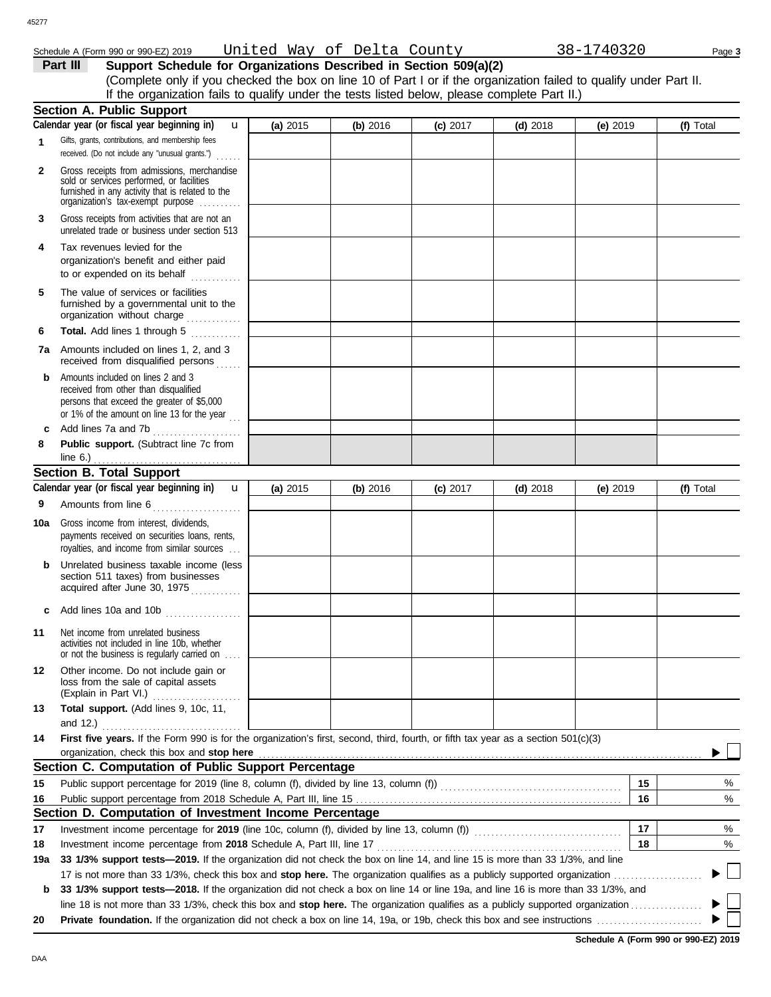DAA

#### Schedule A (Form 990 or 990-EZ) 2019 Page **3** United Way of Delta County 38-1740320

**Part III** Support Schedule for Organizations Described in Section 509(a)(2) (Complete only if you checked the box on line 10 of Part I or if the organization failed to qualify under Part II. If the organization fails to qualify under the tests listed below, please complete Part II.)

|     | <b>Section A. Public Support</b>                                                                                                                                                       |          |          |            |            |          |    |           |
|-----|----------------------------------------------------------------------------------------------------------------------------------------------------------------------------------------|----------|----------|------------|------------|----------|----|-----------|
|     | Calendar year (or fiscal year beginning in)<br>u                                                                                                                                       | (a) 2015 | (b) 2016 | $(c)$ 2017 | $(d)$ 2018 | (e) 2019 |    | (f) Total |
| 1   | Gifts, grants, contributions, and membership fees<br>received. (Do not include any "unusual grants.")                                                                                  |          |          |            |            |          |    |           |
| 2   | .<br>Gross receipts from admissions, merchandise<br>sold or services performed, or facilities<br>furnished in any activity that is related to the<br>organization's fax-exempt purpose |          |          |            |            |          |    |           |
| 3   | Gross receipts from activities that are not an<br>unrelated trade or business under section 513                                                                                        |          |          |            |            |          |    |           |
| 4   | Tax revenues levied for the<br>organization's benefit and either paid<br>to or expended on its behalf<br>.                                                                             |          |          |            |            |          |    |           |
| 5   | The value of services or facilities<br>furnished by a governmental unit to the<br>organization without charge                                                                          |          |          |            |            |          |    |           |
| 6   | Total. Add lines 1 through 5                                                                                                                                                           |          |          |            |            |          |    |           |
| 7a  | Amounts included on lines 1, 2, and 3<br>received from disqualified persons                                                                                                            |          |          |            |            |          |    |           |
| b   | Amounts included on lines 2 and 3<br>received from other than disqualified<br>persons that exceed the greater of \$5,000<br>or 1% of the amount on line 13 for the year $\ldots$       |          |          |            |            |          |    |           |
| c   | Add lines 7a and 7b                                                                                                                                                                    |          |          |            |            |          |    |           |
| 8   | Public support. (Subtract line 7c from<br>line $6.$ )                                                                                                                                  |          |          |            |            |          |    |           |
|     | .<br><b>Section B. Total Support</b>                                                                                                                                                   |          |          |            |            |          |    |           |
|     | Calendar year (or fiscal year beginning in)<br>$\mathbf{u}$                                                                                                                            | (a) 2015 | (b) 2016 | $(c)$ 2017 | $(d)$ 2018 | (e) 2019 |    | (f) Total |
| 9   | Amounts from line 6                                                                                                                                                                    |          |          |            |            |          |    |           |
| 10a | Gross income from interest, dividends,<br>payments received on securities loans, rents,<br>royalties, and income from similar sources                                                  |          |          |            |            |          |    |           |
| b   | Unrelated business taxable income (less<br>section 511 taxes) from businesses<br>acquired after June 30, 1975                                                                          |          |          |            |            |          |    |           |
| c   | Add lines 10a and 10b                                                                                                                                                                  |          |          |            |            |          |    |           |
| 11  | Net income from unrelated business<br>activities not included in line 10b, whether<br>or not the business is regularly carried on                                                      |          |          |            |            |          |    |           |
| 12  | Other income. Do not include gain or<br>loss from the sale of capital assets<br>(Explain in Part VI.)                                                                                  |          |          |            |            |          |    |           |
| 13  | Total support. (Add lines 9, 10c, 11,                                                                                                                                                  |          |          |            |            |          |    |           |
| 14  | and 12.) $\qquad \qquad$<br>First five years. If the Form 990 is for the organization's first, second, third, fourth, or fifth tax year as a section 501(c)(3)                         |          |          |            |            |          |    |           |
|     | organization, check this box and stop here                                                                                                                                             |          |          |            |            |          |    |           |
|     | Section C. Computation of Public Support Percentage                                                                                                                                    |          |          |            |            |          |    |           |
| 15  |                                                                                                                                                                                        |          |          |            |            |          | 15 | %         |
| 16  |                                                                                                                                                                                        |          |          |            |            |          | 16 | %         |
|     | Section D. Computation of Investment Income Percentage                                                                                                                                 |          |          |            |            |          |    |           |
| 17  | Investment income percentage for 2019 (line 10c, column (f), divided by line 13, column (f)) [[[[[[[[[[[[[[[[[                                                                         |          |          |            |            |          | 17 | %         |
| 18  |                                                                                                                                                                                        |          |          |            |            |          | 18 | %         |
| 19a | 33 1/3% support tests-2019. If the organization did not check the box on line 14, and line 15 is more than 33 1/3%, and line                                                           |          |          |            |            |          |    |           |
|     |                                                                                                                                                                                        |          |          |            |            |          |    |           |
| b   | 33 1/3% support tests—2018. If the organization did not check a box on line 14 or line 19a, and line 16 is more than 33 1/3%, and                                                      |          |          |            |            |          |    |           |
| 20  |                                                                                                                                                                                        |          |          |            |            |          |    |           |
|     |                                                                                                                                                                                        |          |          |            |            |          |    |           |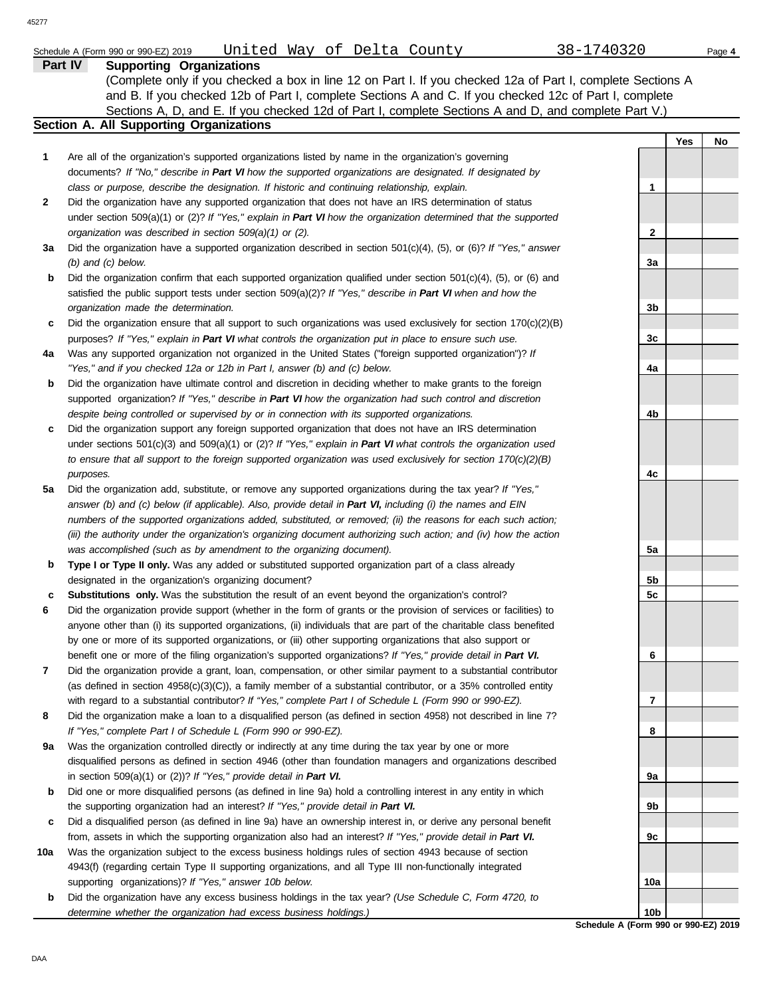| Part IV                              | <b>Supporting Organizations</b> |  |  |                            |            |        |
|--------------------------------------|---------------------------------|--|--|----------------------------|------------|--------|
| Schedule A (Form 990 or 990-EZ) 2019 |                                 |  |  | United Way of Delta County | 38-1740320 | Page 4 |

**Part IV Supporting Organizations** Sections A, D, and E. If you checked 12d of Part I, complete Sections A and D, and complete Part V.) (Complete only if you checked a box in line 12 on Part I. If you checked 12a of Part I, complete Sections A and B. If you checked 12b of Part I, complete Sections A and C. If you checked 12c of Part I, complete

#### **Section A. All Supporting Organizations**

|   | Are all of the organization's supported organizations listed by name in the organization's governing     |
|---|----------------------------------------------------------------------------------------------------------|
|   | documents? If "No," describe in Part VI how the supported organizations are designated. If designated by |
|   | class or purpose, describe the designation. If historic and continuing relationship, explain.            |
| ◠ | Bid the composition have any composited completeling that deep wat have an IBO determination of status   |

- Did the organization have any supported organization that does not have an IRS determination of status under section 509(a)(1) or (2)? *If "Yes," explain in Part VI how the organization determined that the supported organization was described in section 509(a)(1) or (2).* **2**
- **3a** Did the organization have a supported organization described in section 501(c)(4), (5), or (6)? *If "Yes," answer (b) and (c) below.*
- **b** Did the organization confirm that each supported organization qualified under section 501(c)(4), (5), or (6) and satisfied the public support tests under section 509(a)(2)? *If "Yes," describe in Part VI when and how the organization made the determination.*
- **c** Did the organization ensure that all support to such organizations was used exclusively for section 170(c)(2)(B) purposes? *If "Yes," explain in Part VI what controls the organization put in place to ensure such use.*
- **4a** Was any supported organization not organized in the United States ("foreign supported organization")? *If "Yes," and if you checked 12a or 12b in Part I, answer (b) and (c) below.*
- **b** Did the organization have ultimate control and discretion in deciding whether to make grants to the foreign supported organization? *If "Yes," describe in Part VI how the organization had such control and discretion despite being controlled or supervised by or in connection with its supported organizations.*
- **c** Did the organization support any foreign supported organization that does not have an IRS determination under sections 501(c)(3) and 509(a)(1) or (2)? *If "Yes," explain in Part VI what controls the organization used to ensure that all support to the foreign supported organization was used exclusively for section 170(c)(2)(B) purposes.*
- **5a** Did the organization add, substitute, or remove any supported organizations during the tax year? *If "Yes," answer (b) and (c) below (if applicable). Also, provide detail in Part VI, including (i) the names and EIN numbers of the supported organizations added, substituted, or removed; (ii) the reasons for each such action; (iii) the authority under the organization's organizing document authorizing such action; and (iv) how the action was accomplished (such as by amendment to the organizing document).*
- **b Type I or Type II only.** Was any added or substituted supported organization part of a class already designated in the organization's organizing document?
- **c Substitutions only.** Was the substitution the result of an event beyond the organization's control?
- **6** Did the organization provide support (whether in the form of grants or the provision of services or facilities) to anyone other than (i) its supported organizations, (ii) individuals that are part of the charitable class benefited by one or more of its supported organizations, or (iii) other supporting organizations that also support or benefit one or more of the filing organization's supported organizations? *If "Yes," provide detail in Part VI.*
- **7** Did the organization provide a grant, loan, compensation, or other similar payment to a substantial contributor (as defined in section 4958(c)(3)(C)), a family member of a substantial contributor, or a 35% controlled entity with regard to a substantial contributor? *If "Yes," complete Part I of Schedule L (Form 990 or 990-EZ).*
- **8** Did the organization make a loan to a disqualified person (as defined in section 4958) not described in line 7? *If "Yes," complete Part I of Schedule L (Form 990 or 990-EZ).*
- **9a** Was the organization controlled directly or indirectly at any time during the tax year by one or more disqualified persons as defined in section 4946 (other than foundation managers and organizations described in section 509(a)(1) or (2))? *If "Yes," provide detail in Part VI.*
- **b** Did one or more disqualified persons (as defined in line 9a) hold a controlling interest in any entity in which the supporting organization had an interest? *If "Yes," provide detail in Part VI.*
- **c** Did a disqualified person (as defined in line 9a) have an ownership interest in, or derive any personal benefit from, assets in which the supporting organization also had an interest? *If "Yes," provide detail in Part VI.*
- **10a** Was the organization subject to the excess business holdings rules of section 4943 because of section 4943(f) (regarding certain Type II supporting organizations, and all Type III non-functionally integrated supporting organizations)? *If "Yes," answer 10b below.*
	- **b** Did the organization have any excess business holdings in the tax year? *(Use Schedule C, Form 4720, to determine whether the organization had excess business holdings.)*

**Yes No 1 2 3a 3b 3c 4a 4b 4c 5a 5b 5c 6 7 8 9a 9b 9c 10a 10b**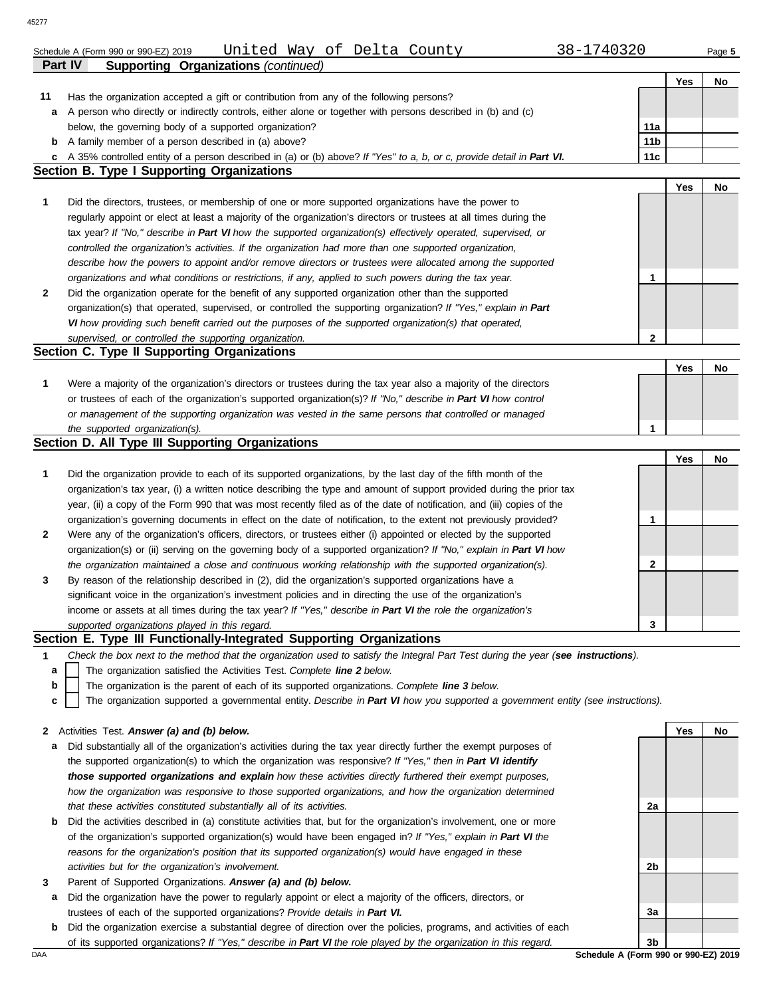**Part IV Supporting Organizations** *(continued)* Schedule A (Form 990 or 990-EZ) 2019 Page **5** United Way of Delta County 38-1740320

|     |                                                                                                                                                           |                 | Yes | No |
|-----|-----------------------------------------------------------------------------------------------------------------------------------------------------------|-----------------|-----|----|
| 11  | Has the organization accepted a gift or contribution from any of the following persons?                                                                   |                 |     |    |
|     | a A person who directly or indirectly controls, either alone or together with persons described in (b) and (c)                                            |                 |     |    |
|     | below, the governing body of a supported organization?                                                                                                    | 11a             |     |    |
|     | <b>b</b> A family member of a person described in (a) above?                                                                                              | 11 <sub>b</sub> |     |    |
|     | c A 35% controlled entity of a person described in (a) or (b) above? If "Yes" to a, b, or c, provide detail in Part VI.                                   | 11c             |     |    |
|     | <b>Section B. Type I Supporting Organizations</b>                                                                                                         |                 |     |    |
|     |                                                                                                                                                           |                 | Yes | No |
| 1   | Did the directors, trustees, or membership of one or more supported organizations have the power to                                                       |                 |     |    |
|     | regularly appoint or elect at least a majority of the organization's directors or trustees at all times during the                                        |                 |     |    |
|     | tax year? If "No," describe in Part VI how the supported organization(s) effectively operated, supervised, or                                             |                 |     |    |
|     | controlled the organization's activities. If the organization had more than one supported organization,                                                   |                 |     |    |
|     | describe how the powers to appoint and/or remove directors or trustees were allocated among the supported                                                 |                 |     |    |
|     | organizations and what conditions or restrictions, if any, applied to such powers during the tax year.                                                    | 1               |     |    |
| 2   | Did the organization operate for the benefit of any supported organization other than the supported                                                       |                 |     |    |
|     | organization(s) that operated, supervised, or controlled the supporting organization? If "Yes," explain in Part                                           |                 |     |    |
|     | VI how providing such benefit carried out the purposes of the supported organization(s) that operated,                                                    |                 |     |    |
|     | supervised, or controlled the supporting organization.                                                                                                    | 2               |     |    |
|     | Section C. Type II Supporting Organizations                                                                                                               |                 |     |    |
|     |                                                                                                                                                           |                 | Yes | No |
| 1   | Were a majority of the organization's directors or trustees during the tax year also a majority of the directors                                          |                 |     |    |
|     | or trustees of each of the organization's supported organization(s)? If "No," describe in Part VI how control                                             |                 |     |    |
|     | or management of the supporting organization was vested in the same persons that controlled or managed                                                    |                 |     |    |
|     | the supported organization(s).                                                                                                                            | $\mathbf 1$     |     |    |
|     | Section D. All Type III Supporting Organizations                                                                                                          |                 |     |    |
|     |                                                                                                                                                           |                 | Yes | No |
| 1   | Did the organization provide to each of its supported organizations, by the last day of the fifth month of the                                            |                 |     |    |
|     | organization's tax year, (i) a written notice describing the type and amount of support provided during the prior tax                                     |                 |     |    |
|     | year, (ii) a copy of the Form 990 that was most recently filed as of the date of notification, and (iii) copies of the                                    |                 |     |    |
|     | organization's governing documents in effect on the date of notification, to the extent not previously provided?                                          | 1               |     |    |
| 2   | Were any of the organization's officers, directors, or trustees either (i) appointed or elected by the supported                                          |                 |     |    |
|     | organization(s) or (ii) serving on the governing body of a supported organization? If "No," explain in Part VI how                                        |                 |     |    |
|     | the organization maintained a close and continuous working relationship with the supported organization(s).                                               | 2               |     |    |
| 3   | By reason of the relationship described in (2), did the organization's supported organizations have a                                                     |                 |     |    |
|     | significant voice in the organization's investment policies and in directing the use of the organization's                                                |                 |     |    |
|     | income or assets at all times during the tax year? If "Yes," describe in Part VI the role the organization's                                              |                 |     |    |
|     | supported organizations played in this regard.                                                                                                            | 3               |     |    |
|     | Section E. Type III Functionally-Integrated Supporting Organizations                                                                                      |                 |     |    |
| 1   | Check the box next to the method that the organization used to satisfy the Integral Part Test during the year (see instructions).                         |                 |     |    |
| а   | The organization satisfied the Activities Test. Complete line 2 below.                                                                                    |                 |     |    |
| b   | The organization is the parent of each of its supported organizations. Complete line 3 below.                                                             |                 |     |    |
| c   | The organization supported a governmental entity. Describe in Part VI how you supported a government entity (see instructions).                           |                 |     |    |
|     |                                                                                                                                                           |                 |     |    |
|     | 2 Activities Test. Answer (a) and (b) below.                                                                                                              |                 | Yes | No |
| a   | Did substantially all of the organization's activities during the tax year directly further the exempt purposes of                                        |                 |     |    |
|     | the supported organization(s) to which the organization was responsive? If "Yes," then in Part VI identify                                                |                 |     |    |
|     | those supported organizations and explain how these activities directly furthered their exempt purposes,                                                  |                 |     |    |
|     | how the organization was responsive to those supported organizations, and how the organization determined                                                 |                 |     |    |
|     | that these activities constituted substantially all of its activities.                                                                                    | 2a              |     |    |
| b   | Did the activities described in (a) constitute activities that, but for the organization's involvement, one or more                                       |                 |     |    |
|     | of the organization's supported organization(s) would have been engaged in? If "Yes," explain in Part VI the                                              |                 |     |    |
|     | reasons for the organization's position that its supported organization(s) would have engaged in these                                                    |                 |     |    |
|     | activities but for the organization's involvement.                                                                                                        | 2b              |     |    |
| 3   | Parent of Supported Organizations. Answer (a) and (b) below.                                                                                              |                 |     |    |
| а   | Did the organization have the power to regularly appoint or elect a majority of the officers, directors, or                                               |                 |     |    |
|     | trustees of each of the supported organizations? Provide details in Part VI.                                                                              | За              |     |    |
| b   | Did the organization exercise a substantial degree of direction over the policies, programs, and activities of each                                       |                 |     |    |
| DAA | of its supported organizations? If "Yes," describe in Part VI the role played by the organization in this regard.<br>Schedule A (Form 990 or 990-EZ) 2019 | 3b              |     |    |
|     |                                                                                                                                                           |                 |     |    |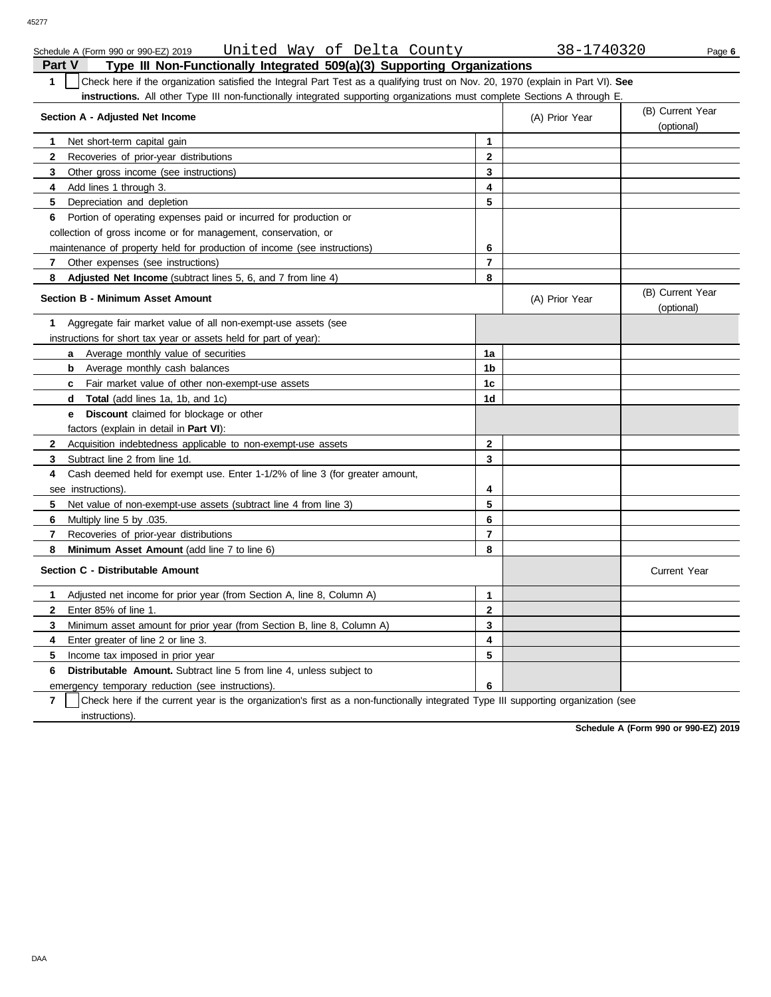|                | United Way of Delta County<br>Schedule A (Form 990 or 990-EZ) 2019                                                               |                | 38-1740320     |                                | Page 6 |
|----------------|----------------------------------------------------------------------------------------------------------------------------------|----------------|----------------|--------------------------------|--------|
| Part V         | Type III Non-Functionally Integrated 509(a)(3) Supporting Organizations                                                          |                |                |                                |        |
| $\mathbf{1}$   | Check here if the organization satisfied the Integral Part Test as a qualifying trust on Nov. 20, 1970 (explain in Part VI). See |                |                |                                |        |
|                | instructions. All other Type III non-functionally integrated supporting organizations must complete Sections A through E.        |                |                |                                |        |
|                | Section A - Adjusted Net Income                                                                                                  |                | (A) Prior Year | (B) Current Year               |        |
|                |                                                                                                                                  |                |                | (optional)                     |        |
| 1              | Net short-term capital gain                                                                                                      | 1              |                |                                |        |
| $\mathbf{2}$   | Recoveries of prior-year distributions                                                                                           | $\mathbf{2}$   |                |                                |        |
| 3              | Other gross income (see instructions)                                                                                            | 3              |                |                                |        |
| 4              | Add lines 1 through 3.                                                                                                           | 4              |                |                                |        |
| 5              | Depreciation and depletion                                                                                                       | 5              |                |                                |        |
| 6              | Portion of operating expenses paid or incurred for production or                                                                 |                |                |                                |        |
|                | collection of gross income or for management, conservation, or                                                                   |                |                |                                |        |
|                | maintenance of property held for production of income (see instructions)                                                         | 6              |                |                                |        |
| $\overline{7}$ | Other expenses (see instructions)                                                                                                | 7              |                |                                |        |
| 8              | Adjusted Net Income (subtract lines 5, 6, and 7 from line 4)                                                                     | 8              |                |                                |        |
|                | Section B - Minimum Asset Amount                                                                                                 |                | (A) Prior Year | (B) Current Year<br>(optional) |        |
| 1              | Aggregate fair market value of all non-exempt-use assets (see                                                                    |                |                |                                |        |
|                | instructions for short tax year or assets held for part of year):                                                                |                |                |                                |        |
|                | <b>a</b> Average monthly value of securities                                                                                     | 1a             |                |                                |        |
|                | <b>b</b> Average monthly cash balances                                                                                           | 1b             |                |                                |        |
|                | Fair market value of other non-exempt-use assets<br>c.                                                                           | 1c             |                |                                |        |
|                | <b>Total</b> (add lines 1a, 1b, and 1c)<br>d                                                                                     | 1 <sub>d</sub> |                |                                |        |
|                | <b>Discount</b> claimed for blockage or other<br>е                                                                               |                |                |                                |        |
|                | factors (explain in detail in <b>Part VI</b> ):                                                                                  |                |                |                                |        |
| $\overline{2}$ | Acquisition indebtedness applicable to non-exempt-use assets                                                                     | $\mathbf{2}$   |                |                                |        |
| 3              | Subtract line 2 from line 1d.                                                                                                    | 3              |                |                                |        |
| 4              | Cash deemed held for exempt use. Enter 1-1/2% of line 3 (for greater amount,                                                     |                |                |                                |        |
|                | see instructions)                                                                                                                | 4              |                |                                |        |
| 5              | Net value of non-exempt-use assets (subtract line 4 from line 3)                                                                 | 5              |                |                                |        |
| 6              | Multiply line 5 by .035.                                                                                                         | 6              |                |                                |        |
| 7              | Recoveries of prior-year distributions                                                                                           | $\overline{7}$ |                |                                |        |
| 8              | Minimum Asset Amount (add line 7 to line 6)                                                                                      | 8              |                |                                |        |
|                | <b>Section C - Distributable Amount</b>                                                                                          |                |                | Current Year                   |        |
| 1              | Adjusted net income for prior year (from Section A, line 8, Column A)                                                            | 1              |                |                                |        |
| $\mathbf{2}$   | Enter 85% of line 1.                                                                                                             | $\mathbf{2}$   |                |                                |        |
| 3              | Minimum asset amount for prior year (from Section B, line 8, Column A)                                                           | 3              |                |                                |        |
| 4              | Enter greater of line 2 or line 3.                                                                                               | 4              |                |                                |        |
| 5              | Income tax imposed in prior year                                                                                                 | 5              |                |                                |        |
| 6              | <b>Distributable Amount.</b> Subtract line 5 from line 4, unless subject to                                                      |                |                |                                |        |
|                |                                                                                                                                  | c              |                |                                |        |

emergency temporary reduction (see instructions).

**7** instructions). Check here if the current year is the organization's first as a non-functionally integrated Type III supporting organization (see

**6**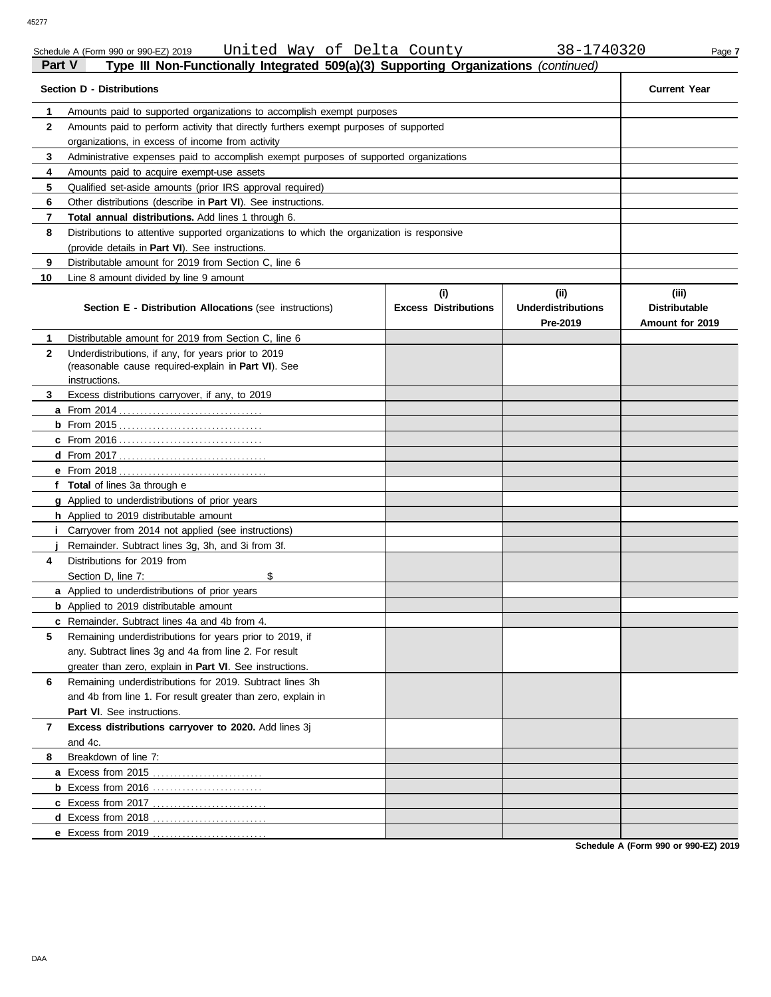| Part V       | Type III Non-Functionally Integrated 509(a)(3) Supporting Organizations (continued)                                         |                                    |                                               |                                                  |
|--------------|-----------------------------------------------------------------------------------------------------------------------------|------------------------------------|-----------------------------------------------|--------------------------------------------------|
|              | <b>Section D - Distributions</b>                                                                                            |                                    |                                               | <b>Current Year</b>                              |
| 1            | Amounts paid to supported organizations to accomplish exempt purposes                                                       |                                    |                                               |                                                  |
| $\mathbf{2}$ | Amounts paid to perform activity that directly furthers exempt purposes of supported                                        |                                    |                                               |                                                  |
|              | organizations, in excess of income from activity                                                                            |                                    |                                               |                                                  |
| 3            | Administrative expenses paid to accomplish exempt purposes of supported organizations                                       |                                    |                                               |                                                  |
| 4            | Amounts paid to acquire exempt-use assets                                                                                   |                                    |                                               |                                                  |
| 5            | Qualified set-aside amounts (prior IRS approval required)                                                                   |                                    |                                               |                                                  |
| 6            | Other distributions (describe in Part VI). See instructions.                                                                |                                    |                                               |                                                  |
| 7            | Total annual distributions. Add lines 1 through 6.                                                                          |                                    |                                               |                                                  |
| 8            | Distributions to attentive supported organizations to which the organization is responsive                                  |                                    |                                               |                                                  |
|              | (provide details in Part VI). See instructions.                                                                             |                                    |                                               |                                                  |
| 9            | Distributable amount for 2019 from Section C, line 6                                                                        |                                    |                                               |                                                  |
| 10           | Line 8 amount divided by line 9 amount                                                                                      |                                    |                                               |                                                  |
|              | <b>Section E - Distribution Allocations (see instructions)</b>                                                              | (i)<br><b>Excess Distributions</b> | (ii)<br><b>Underdistributions</b><br>Pre-2019 | (iii)<br><b>Distributable</b><br>Amount for 2019 |
| 1            | Distributable amount for 2019 from Section C, line 6                                                                        |                                    |                                               |                                                  |
| 2            | Underdistributions, if any, for years prior to 2019<br>(reasonable cause required-explain in Part VI). See<br>instructions. |                                    |                                               |                                                  |
| 3            | Excess distributions carryover, if any, to 2019                                                                             |                                    |                                               |                                                  |
|              |                                                                                                                             |                                    |                                               |                                                  |
|              |                                                                                                                             |                                    |                                               |                                                  |
|              |                                                                                                                             |                                    |                                               |                                                  |
|              |                                                                                                                             |                                    |                                               |                                                  |
|              |                                                                                                                             |                                    |                                               |                                                  |
|              | f Total of lines 3a through e                                                                                               |                                    |                                               |                                                  |
|              | <b>g</b> Applied to underdistributions of prior years                                                                       |                                    |                                               |                                                  |
|              | <b>h</b> Applied to 2019 distributable amount                                                                               |                                    |                                               |                                                  |
| $\mathbf{L}$ | Carryover from 2014 not applied (see instructions)                                                                          |                                    |                                               |                                                  |
|              | Remainder. Subtract lines 3g, 3h, and 3i from 3f.                                                                           |                                    |                                               |                                                  |
| 4            | Distributions for 2019 from                                                                                                 |                                    |                                               |                                                  |
|              | \$<br>Section D, line 7:                                                                                                    |                                    |                                               |                                                  |
|              | a Applied to underdistributions of prior years                                                                              |                                    |                                               |                                                  |
|              | <b>b</b> Applied to 2019 distributable amount                                                                               |                                    |                                               |                                                  |
|              | c Remainder. Subtract lines 4a and 4b from 4.                                                                               |                                    |                                               |                                                  |
| 5            | Remaining underdistributions for years prior to 2019, if                                                                    |                                    |                                               |                                                  |
|              | any. Subtract lines 3g and 4a from line 2. For result                                                                       |                                    |                                               |                                                  |
|              | greater than zero, explain in Part VI. See instructions.                                                                    |                                    |                                               |                                                  |
| 6            | Remaining underdistributions for 2019. Subtract lines 3h                                                                    |                                    |                                               |                                                  |
|              | and 4b from line 1. For result greater than zero, explain in                                                                |                                    |                                               |                                                  |
|              | Part VI. See instructions.                                                                                                  |                                    |                                               |                                                  |
| 7            | Excess distributions carryover to 2020. Add lines 3j                                                                        |                                    |                                               |                                                  |
| 8            | and 4c.<br>Breakdown of line 7:                                                                                             |                                    |                                               |                                                  |
|              | a Excess from 2015                                                                                                          |                                    |                                               |                                                  |
|              |                                                                                                                             |                                    |                                               |                                                  |
|              |                                                                                                                             |                                    |                                               |                                                  |
|              |                                                                                                                             |                                    |                                               |                                                  |
|              | e Excess from 2019                                                                                                          |                                    |                                               |                                                  |
|              |                                                                                                                             |                                    |                                               |                                                  |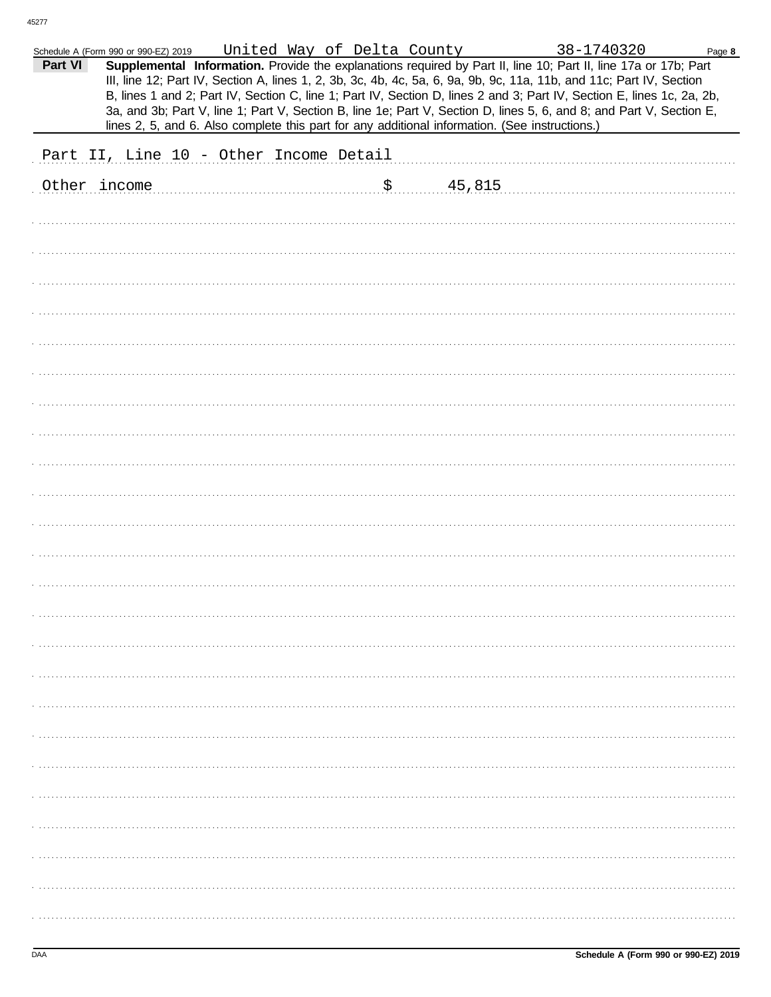| Part VI      | Schedule A (Form 990 or 990-EZ) 2019   | lines 2, 5, and 6. Also complete this part for any additional information. (See instructions.) |    | United Way of Delta County | 38-1740320<br>Supplemental Information. Provide the explanations required by Part II, line 10; Part II, line 17a or 17b; Part<br>III, line 12; Part IV, Section A, lines 1, 2, 3b, 3c, 4b, 4c, 5a, 6, 9a, 9b, 9c, 11a, 11b, and 11c; Part IV, Section<br>B, lines 1 and 2; Part IV, Section C, line 1; Part IV, Section D, lines 2 and 3; Part IV, Section E, lines 1c, 2a, 2b,<br>3a, and 3b; Part V, line 1; Part V, Section B, line 1e; Part V, Section D, lines 5, 6, and 8; and Part V, Section E, | Page 8 |
|--------------|----------------------------------------|------------------------------------------------------------------------------------------------|----|----------------------------|---------------------------------------------------------------------------------------------------------------------------------------------------------------------------------------------------------------------------------------------------------------------------------------------------------------------------------------------------------------------------------------------------------------------------------------------------------------------------------------------------------|--------|
|              | Part II, Line 10 - Other Income Detail |                                                                                                |    |                            |                                                                                                                                                                                                                                                                                                                                                                                                                                                                                                         |        |
| Other income |                                        |                                                                                                | \$ | 45,815                     |                                                                                                                                                                                                                                                                                                                                                                                                                                                                                                         |        |
|              |                                        |                                                                                                |    |                            |                                                                                                                                                                                                                                                                                                                                                                                                                                                                                                         |        |
|              |                                        |                                                                                                |    |                            |                                                                                                                                                                                                                                                                                                                                                                                                                                                                                                         |        |
|              |                                        |                                                                                                |    |                            |                                                                                                                                                                                                                                                                                                                                                                                                                                                                                                         |        |
|              |                                        |                                                                                                |    |                            |                                                                                                                                                                                                                                                                                                                                                                                                                                                                                                         |        |
|              |                                        |                                                                                                |    |                            |                                                                                                                                                                                                                                                                                                                                                                                                                                                                                                         |        |
|              |                                        |                                                                                                |    |                            |                                                                                                                                                                                                                                                                                                                                                                                                                                                                                                         |        |
|              |                                        |                                                                                                |    |                            |                                                                                                                                                                                                                                                                                                                                                                                                                                                                                                         |        |
|              |                                        |                                                                                                |    |                            |                                                                                                                                                                                                                                                                                                                                                                                                                                                                                                         |        |
|              |                                        |                                                                                                |    |                            |                                                                                                                                                                                                                                                                                                                                                                                                                                                                                                         |        |
|              |                                        |                                                                                                |    |                            |                                                                                                                                                                                                                                                                                                                                                                                                                                                                                                         |        |
|              |                                        |                                                                                                |    |                            |                                                                                                                                                                                                                                                                                                                                                                                                                                                                                                         |        |
|              |                                        |                                                                                                |    |                            |                                                                                                                                                                                                                                                                                                                                                                                                                                                                                                         |        |
|              |                                        |                                                                                                |    |                            |                                                                                                                                                                                                                                                                                                                                                                                                                                                                                                         |        |
|              |                                        |                                                                                                |    |                            |                                                                                                                                                                                                                                                                                                                                                                                                                                                                                                         |        |
|              |                                        |                                                                                                |    |                            |                                                                                                                                                                                                                                                                                                                                                                                                                                                                                                         |        |
|              |                                        |                                                                                                |    |                            |                                                                                                                                                                                                                                                                                                                                                                                                                                                                                                         |        |
|              |                                        |                                                                                                |    |                            |                                                                                                                                                                                                                                                                                                                                                                                                                                                                                                         |        |
|              |                                        |                                                                                                |    |                            |                                                                                                                                                                                                                                                                                                                                                                                                                                                                                                         |        |
|              |                                        |                                                                                                |    |                            |                                                                                                                                                                                                                                                                                                                                                                                                                                                                                                         |        |
|              |                                        |                                                                                                |    |                            |                                                                                                                                                                                                                                                                                                                                                                                                                                                                                                         |        |
|              |                                        |                                                                                                |    |                            |                                                                                                                                                                                                                                                                                                                                                                                                                                                                                                         |        |
|              |                                        |                                                                                                |    |                            |                                                                                                                                                                                                                                                                                                                                                                                                                                                                                                         |        |
|              |                                        |                                                                                                |    |                            |                                                                                                                                                                                                                                                                                                                                                                                                                                                                                                         |        |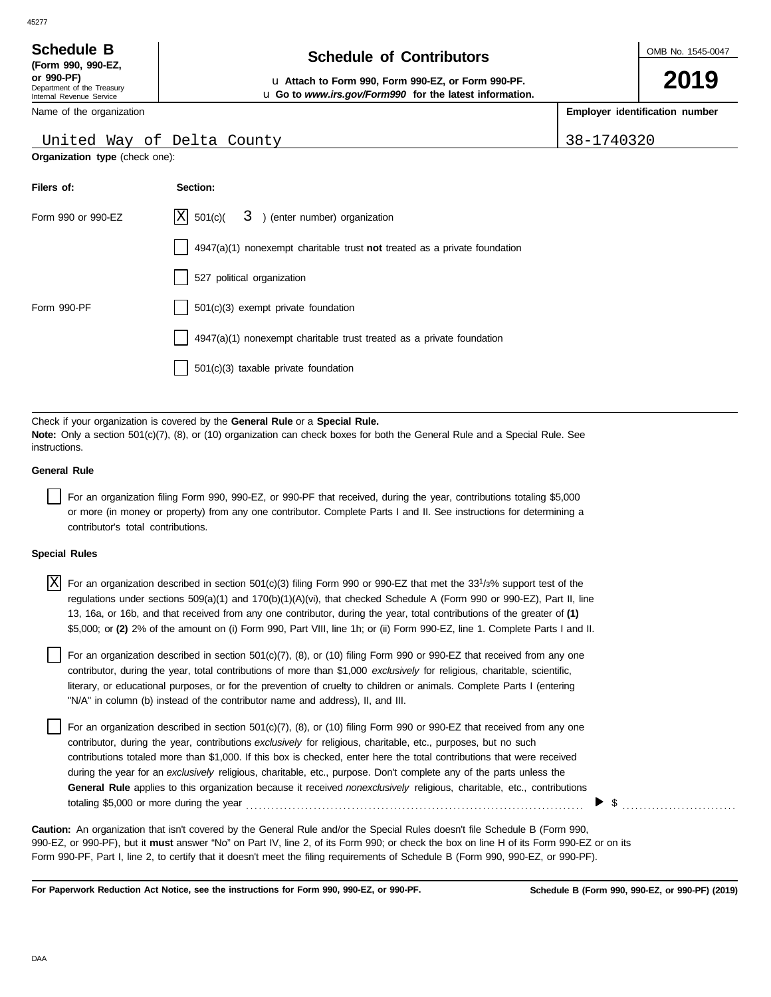## **Schedule of Contributors Schedule B**

OMB No. 1545-0047

**2019**

**or 990-PF)** u **Attach to Form 990, Form 990-EZ, or Form 990-PF.** u **Go to** *www.irs.gov/Form990* **for the latest information.**

**Employer identification number**

United Way of Delta County 38-1740320

**Organization type** (check one):

Department of the Treasury Internal Revenue Service Name of the organization

**(Form 990, 990-EZ,**

| Filers of:         | Section:                                                                    |
|--------------------|-----------------------------------------------------------------------------|
| Form 990 or 990-EZ | $ X $ 501(c)(<br>3) (enter number) organization                             |
|                    | $4947(a)(1)$ nonexempt charitable trust not treated as a private foundation |
|                    | 527 political organization                                                  |
| Form 990-PF        | 501(c)(3) exempt private foundation                                         |
|                    | 4947(a)(1) nonexempt charitable trust treated as a private foundation       |
|                    | 501(c)(3) taxable private foundation                                        |

Check if your organization is covered by the **General Rule** or a **Special Rule. Note:** Only a section 501(c)(7), (8), or (10) organization can check boxes for both the General Rule and a Special Rule. See instructions.

#### **General Rule**

For an organization filing Form 990, 990-EZ, or 990-PF that received, during the year, contributions totaling \$5,000 or more (in money or property) from any one contributor. Complete Parts I and II. See instructions for determining a contributor's total contributions.

#### **Special Rules**

| $\overline{X}$ For an organization described in section 501(c)(3) filing Form 990 or 990-EZ that met the 33 <sup>1</sup> /3% support test of the |
|--------------------------------------------------------------------------------------------------------------------------------------------------|
| regulations under sections 509(a)(1) and 170(b)(1)(A)(vi), that checked Schedule A (Form 990 or 990-EZ), Part II, line                           |
| 13, 16a, or 16b, and that received from any one contributor, during the year, total contributions of the greater of (1)                          |
| \$5,000; or (2) 2% of the amount on (i) Form 990, Part VIII, line 1h; or (ii) Form 990-EZ, line 1. Complete Parts I and II.                      |

literary, or educational purposes, or for the prevention of cruelty to children or animals. Complete Parts I (entering For an organization described in section 501(c)(7), (8), or (10) filing Form 990 or 990-EZ that received from any one contributor, during the year, total contributions of more than \$1,000 *exclusively* for religious, charitable, scientific, "N/A" in column (b) instead of the contributor name and address), II, and III.

For an organization described in section 501(c)(7), (8), or (10) filing Form 990 or 990-EZ that received from any one contributor, during the year, contributions *exclusively* for religious, charitable, etc., purposes, but no such contributions totaled more than \$1,000. If this box is checked, enter here the total contributions that were received during the year for an *exclusively* religious, charitable, etc., purpose. Don't complete any of the parts unless the **General Rule** applies to this organization because it received *nonexclusively* religious, charitable, etc., contributions totaling \$5,000 or more during the year . . . . . . . . . . . . . . . . . . . . . . . . . . . . . . . . . . . . . . . . . . . . . . . . . . . . . . . . . . . . . . . . . . . . . . . . . . . . . . . .

990-EZ, or 990-PF), but it **must** answer "No" on Part IV, line 2, of its Form 990; or check the box on line H of its Form 990-EZ or on its Form 990-PF, Part I, line 2, to certify that it doesn't meet the filing requirements of Schedule B (Form 990, 990-EZ, or 990-PF). **Caution:** An organization that isn't covered by the General Rule and/or the Special Rules doesn't file Schedule B (Form 990,

**For Paperwork Reduction Act Notice, see the instructions for Form 990, 990-EZ, or 990-PF.**

\$ . . . . . . . . . . . . . . . . . . . . . . . . . . .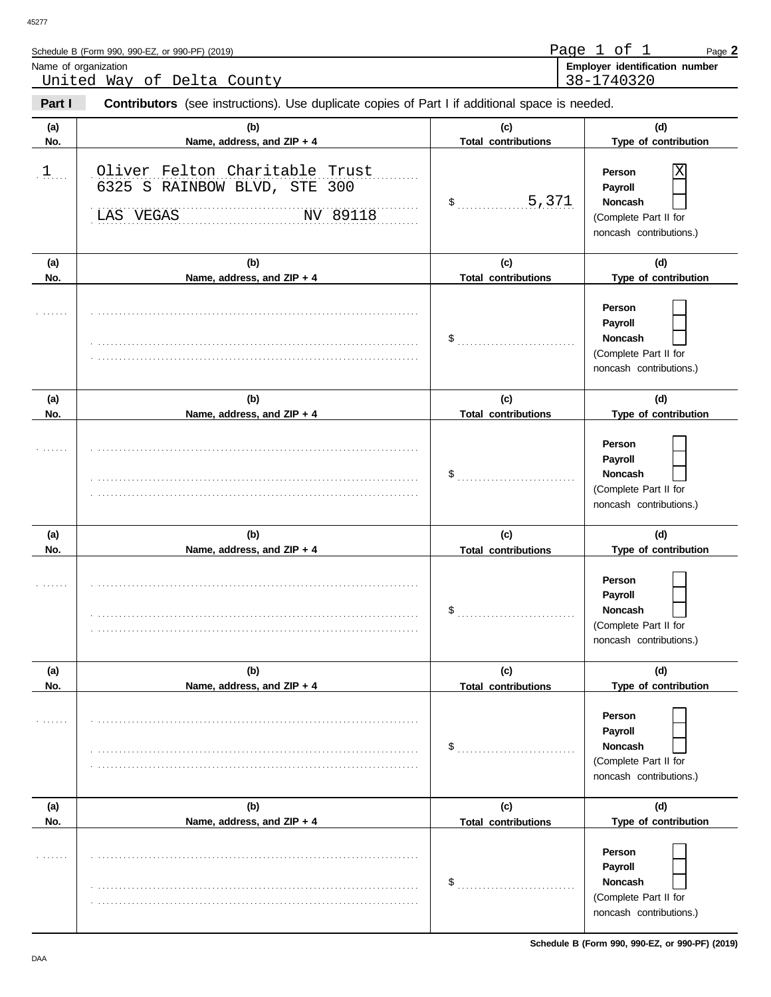|            | Schedule B (Form 990, 990-EZ, or 990-PF) (2019)                                                       |                                   | Page $1$ of $1$<br>Page 2                                                 |
|------------|-------------------------------------------------------------------------------------------------------|-----------------------------------|---------------------------------------------------------------------------|
|            | Name of organization<br>United Way of Delta County                                                    |                                   | Employer identification number<br>38-1740320                              |
| Part I     | <b>Contributors</b> (see instructions). Use duplicate copies of Part I if additional space is needed. |                                   |                                                                           |
| (a)<br>No. | (b)<br>Name, address, and $ZIP + 4$                                                                   | (c)<br><b>Total contributions</b> | (d)<br>Type of contribution                                               |
| 1          | Oliver Felton Charitable Trust<br>6325 S RAINBOW BLVD, STE 300<br>89118<br>ΝV<br>LAS<br>VEGAS         | 5,371<br>\$                       | ΙX<br>Person<br><b>Payroll</b><br><b>Noncash</b><br>(Complete Part II for |

|     |                            |                            | (Complete Tail II Ioi<br>noncash contributions.)                                 |
|-----|----------------------------|----------------------------|----------------------------------------------------------------------------------|
| (a) | (b)                        | (c)                        | (d)                                                                              |
| No. | Name, address, and ZIP + 4 | <b>Total contributions</b> | Type of contribution                                                             |
|     |                            | $\$\quad$                  | Person<br>Payroll<br>Noncash<br>(Complete Part II for<br>noncash contributions.) |
| (a) | (b)                        | (c)                        | (d)                                                                              |
| No. | Name, address, and ZIP + 4 | <b>Total contributions</b> | Type of contribution                                                             |
|     |                            | $\$\quad$                  | Person<br>Payroll<br>Noncash<br>(Complete Part II for<br>noncash contributions.) |
| (a) | (b)                        | (c)                        | (d)                                                                              |
| No. | Name, address, and ZIP + 4 | <b>Total contributions</b> | Type of contribution                                                             |
|     |                            | $\$\quad$                  | Person<br>Payroll<br>Noncash<br>(Complete Part II for<br>noncash contributions.) |
| (a) | (b)                        | (c)                        | (d)                                                                              |
| No. | Name, address, and ZIP + 4 | <b>Total contributions</b> | Type of contribution                                                             |
|     |                            |                            | Person<br>Payroll<br>Noncash<br>(Complete Part II for<br>noncash contributions.) |
| (a) | (b)                        | (c)                        | (d)                                                                              |
| No. | Name, address, and ZIP + 4 | <b>Total contributions</b> | Type of contribution                                                             |
|     |                            | \$                         | Person<br>Payroll<br>Noncash<br>(Complete Part II for<br>noncash contributions.) |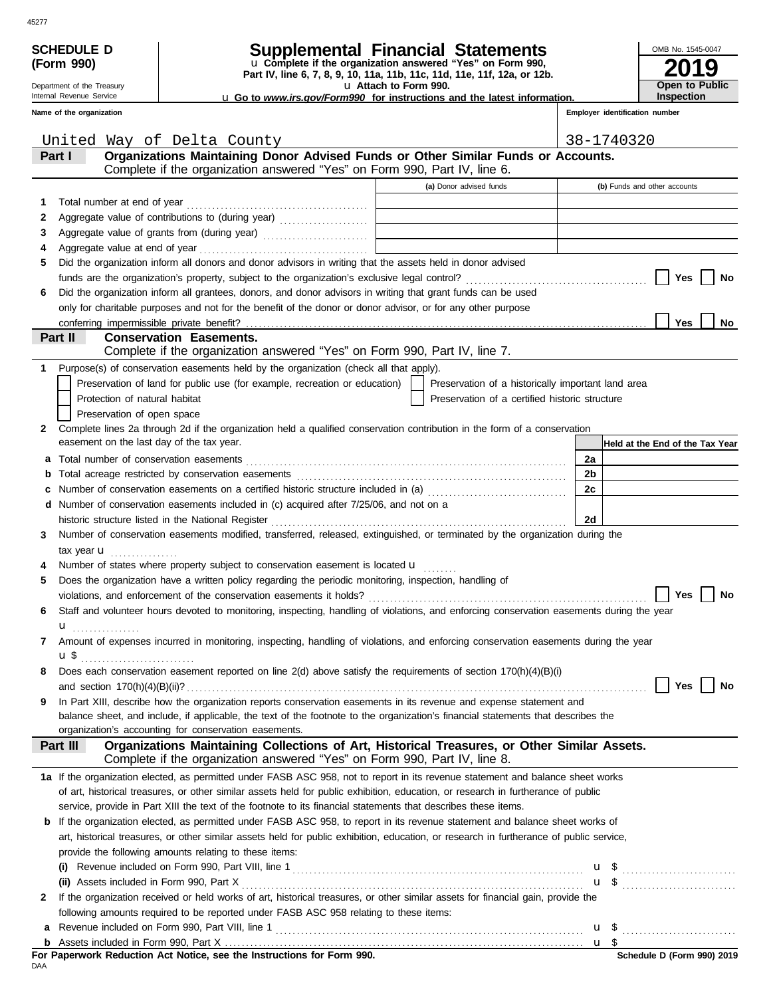| Part IV, line 6, 7, 8, 9, 10, 11a, 11b, 11c, 11d, 11e, 11f, 12a, or 12b.<br>Open to Public<br>u Attach to Form 990.<br>Department of the Treasury<br>Internal Revenue Service<br><b>Inspection</b><br><b>u</b> Go to www.irs.gov/Form990 for instructions and the latest information.<br>Employer identification number<br>Name of the organization<br>38-1740320<br>United Way of Delta County<br>Organizations Maintaining Donor Advised Funds or Other Similar Funds or Accounts.<br>Part I<br>Complete if the organization answered "Yes" on Form 990, Part IV, line 6.<br>(a) Donor advised funds<br>(b) Funds and other accounts<br>1<br>Aggregate value of contributions to (during year)<br>2<br>З<br>4<br>Did the organization inform all donors and donor advisors in writing that the assets held in donor advised<br>5<br>Yes<br>No<br>Did the organization inform all grantees, donors, and donor advisors in writing that grant funds can be used<br>6<br>only for charitable purposes and not for the benefit of the donor or donor advisor, or for any other purpose<br>Yes<br>conferring impermissible private benefit?<br>No<br>Part II<br><b>Conservation Easements.</b><br>Complete if the organization answered "Yes" on Form 990, Part IV, line 7.<br>Purpose(s) of conservation easements held by the organization (check all that apply).<br>1<br>Preservation of land for public use (for example, recreation or education)<br>Preservation of a historically important land area<br>Protection of natural habitat<br>Preservation of a certified historic structure<br>Preservation of open space<br>Complete lines 2a through 2d if the organization held a qualified conservation contribution in the form of a conservation<br>$\mathbf{2}$<br>easement on the last day of the tax year.<br>Held at the End of the Tax Year<br>2a<br>а<br>2b<br>b<br>Number of conservation easements on a certified historic structure included in (a) [[[[[[[[[[[[[[[[[[[[[[[[]]]]]]]]<br>2c<br>с<br>Number of conservation easements included in (c) acquired after 7/25/06, and not on a<br>d<br>2d<br>historic structure listed in the National Register<br>Number of conservation easements modified, transferred, released, extinguished, or terminated by the organization during the<br>3<br>tax year $\mathbf u$<br>Number of states where property subject to conservation easement is located u<br>Does the organization have a written policy regarding the periodic monitoring, inspection, handling of<br>5<br>Yes<br>No<br>Staff and volunteer hours devoted to monitoring, inspecting, handling of violations, and enforcing conservation easements during the year<br>6<br>u<br>Amount of expenses incurred in monitoring, inspecting, handling of violations, and enforcing conservation easements during the year<br>7<br><b>u</b> \$<br>Does each conservation easement reported on line 2(d) above satisfy the requirements of section 170(h)(4)(B)(i)<br>8<br>Yes<br>No<br>In Part XIII, describe how the organization reports conservation easements in its revenue and expense statement and<br>9<br>balance sheet, and include, if applicable, the text of the footnote to the organization's financial statements that describes the<br>organization's accounting for conservation easements.<br>Organizations Maintaining Collections of Art, Historical Treasures, or Other Similar Assets.<br>Part III<br>Complete if the organization answered "Yes" on Form 990, Part IV, line 8.<br>1a If the organization elected, as permitted under FASB ASC 958, not to report in its revenue statement and balance sheet works<br>of art, historical treasures, or other similar assets held for public exhibition, education, or research in furtherance of public<br>service, provide in Part XIII the text of the footnote to its financial statements that describes these items.<br><b>b</b> If the organization elected, as permitted under FASB ASC 958, to report in its revenue statement and balance sheet works of<br>art, historical treasures, or other similar assets held for public exhibition, education, or research in furtherance of public service,<br>provide the following amounts relating to these items:<br>(i)<br>$\mathbf{u}$ \$<br>If the organization received or held works of art, historical treasures, or other similar assets for financial gain, provide the<br>2<br>following amounts required to be reported under FASB ASC 958 relating to these items:<br>а | <b>SCHEDULE D</b><br>(Form 990) |  | <b>Supplemental Financial Statements</b><br>u Complete if the organization answered "Yes" on Form 990, |  |  | OMB No. 1545-0047 |
|----------------------------------------------------------------------------------------------------------------------------------------------------------------------------------------------------------------------------------------------------------------------------------------------------------------------------------------------------------------------------------------------------------------------------------------------------------------------------------------------------------------------------------------------------------------------------------------------------------------------------------------------------------------------------------------------------------------------------------------------------------------------------------------------------------------------------------------------------------------------------------------------------------------------------------------------------------------------------------------------------------------------------------------------------------------------------------------------------------------------------------------------------------------------------------------------------------------------------------------------------------------------------------------------------------------------------------------------------------------------------------------------------------------------------------------------------------------------------------------------------------------------------------------------------------------------------------------------------------------------------------------------------------------------------------------------------------------------------------------------------------------------------------------------------------------------------------------------------------------------------------------------------------------------------------------------------------------------------------------------------------------------------------------------------------------------------------------------------------------------------------------------------------------------------------------------------------------------------------------------------------------------------------------------------------------------------------------------------------------------------------------------------------------------------------------------------------------------------------------------------------------------------------------------------------------------------------------------------------------------------------------------------------------------------------------------------------------------------------------------------------------------------------------------------------------------------------------------------------------------------------------------------------------------------------------------------------------------------------------------------------------------------------------------------------------------------------------------------------------------------------------------------------------------------------------------------------------------------------------------------------------------------------------------------------------------------------------------------------------------------------------------------------------------------------------------------------------------------------------------------------------------------------------------------------------------------------------------------------------------------------------------------------------------------------------------------------------------------------------------------------------------------------------------------------------------------------------------------------------------------------------------------------------------------------------------------------------------------------------------------------------------------------------------------------------------------------------------------------------------------------------------------------------------------------------------------------------------------------------------------------------------------------------------------------------------------------------------------------------------------------------------------------------------------------------------------------------------------------------------------------------------------------------|---------------------------------|--|--------------------------------------------------------------------------------------------------------|--|--|-------------------|
|                                                                                                                                                                                                                                                                                                                                                                                                                                                                                                                                                                                                                                                                                                                                                                                                                                                                                                                                                                                                                                                                                                                                                                                                                                                                                                                                                                                                                                                                                                                                                                                                                                                                                                                                                                                                                                                                                                                                                                                                                                                                                                                                                                                                                                                                                                                                                                                                                                                                                                                                                                                                                                                                                                                                                                                                                                                                                                                                                                                                                                                                                                                                                                                                                                                                                                                                                                                                                                                                                                                                                                                                                                                                                                                                                                                                                                                                                                                                                                                                                                                                                                                                                                                                                                                                                                                                                                                                                                                                                                                                        |                                 |  |                                                                                                        |  |  | Ÿ                 |
|                                                                                                                                                                                                                                                                                                                                                                                                                                                                                                                                                                                                                                                                                                                                                                                                                                                                                                                                                                                                                                                                                                                                                                                                                                                                                                                                                                                                                                                                                                                                                                                                                                                                                                                                                                                                                                                                                                                                                                                                                                                                                                                                                                                                                                                                                                                                                                                                                                                                                                                                                                                                                                                                                                                                                                                                                                                                                                                                                                                                                                                                                                                                                                                                                                                                                                                                                                                                                                                                                                                                                                                                                                                                                                                                                                                                                                                                                                                                                                                                                                                                                                                                                                                                                                                                                                                                                                                                                                                                                                                                        |                                 |  |                                                                                                        |  |  |                   |
|                                                                                                                                                                                                                                                                                                                                                                                                                                                                                                                                                                                                                                                                                                                                                                                                                                                                                                                                                                                                                                                                                                                                                                                                                                                                                                                                                                                                                                                                                                                                                                                                                                                                                                                                                                                                                                                                                                                                                                                                                                                                                                                                                                                                                                                                                                                                                                                                                                                                                                                                                                                                                                                                                                                                                                                                                                                                                                                                                                                                                                                                                                                                                                                                                                                                                                                                                                                                                                                                                                                                                                                                                                                                                                                                                                                                                                                                                                                                                                                                                                                                                                                                                                                                                                                                                                                                                                                                                                                                                                                                        |                                 |  |                                                                                                        |  |  |                   |
|                                                                                                                                                                                                                                                                                                                                                                                                                                                                                                                                                                                                                                                                                                                                                                                                                                                                                                                                                                                                                                                                                                                                                                                                                                                                                                                                                                                                                                                                                                                                                                                                                                                                                                                                                                                                                                                                                                                                                                                                                                                                                                                                                                                                                                                                                                                                                                                                                                                                                                                                                                                                                                                                                                                                                                                                                                                                                                                                                                                                                                                                                                                                                                                                                                                                                                                                                                                                                                                                                                                                                                                                                                                                                                                                                                                                                                                                                                                                                                                                                                                                                                                                                                                                                                                                                                                                                                                                                                                                                                                                        |                                 |  |                                                                                                        |  |  |                   |
|                                                                                                                                                                                                                                                                                                                                                                                                                                                                                                                                                                                                                                                                                                                                                                                                                                                                                                                                                                                                                                                                                                                                                                                                                                                                                                                                                                                                                                                                                                                                                                                                                                                                                                                                                                                                                                                                                                                                                                                                                                                                                                                                                                                                                                                                                                                                                                                                                                                                                                                                                                                                                                                                                                                                                                                                                                                                                                                                                                                                                                                                                                                                                                                                                                                                                                                                                                                                                                                                                                                                                                                                                                                                                                                                                                                                                                                                                                                                                                                                                                                                                                                                                                                                                                                                                                                                                                                                                                                                                                                                        |                                 |  |                                                                                                        |  |  |                   |
|                                                                                                                                                                                                                                                                                                                                                                                                                                                                                                                                                                                                                                                                                                                                                                                                                                                                                                                                                                                                                                                                                                                                                                                                                                                                                                                                                                                                                                                                                                                                                                                                                                                                                                                                                                                                                                                                                                                                                                                                                                                                                                                                                                                                                                                                                                                                                                                                                                                                                                                                                                                                                                                                                                                                                                                                                                                                                                                                                                                                                                                                                                                                                                                                                                                                                                                                                                                                                                                                                                                                                                                                                                                                                                                                                                                                                                                                                                                                                                                                                                                                                                                                                                                                                                                                                                                                                                                                                                                                                                                                        |                                 |  |                                                                                                        |  |  |                   |
|                                                                                                                                                                                                                                                                                                                                                                                                                                                                                                                                                                                                                                                                                                                                                                                                                                                                                                                                                                                                                                                                                                                                                                                                                                                                                                                                                                                                                                                                                                                                                                                                                                                                                                                                                                                                                                                                                                                                                                                                                                                                                                                                                                                                                                                                                                                                                                                                                                                                                                                                                                                                                                                                                                                                                                                                                                                                                                                                                                                                                                                                                                                                                                                                                                                                                                                                                                                                                                                                                                                                                                                                                                                                                                                                                                                                                                                                                                                                                                                                                                                                                                                                                                                                                                                                                                                                                                                                                                                                                                                                        |                                 |  |                                                                                                        |  |  |                   |
|                                                                                                                                                                                                                                                                                                                                                                                                                                                                                                                                                                                                                                                                                                                                                                                                                                                                                                                                                                                                                                                                                                                                                                                                                                                                                                                                                                                                                                                                                                                                                                                                                                                                                                                                                                                                                                                                                                                                                                                                                                                                                                                                                                                                                                                                                                                                                                                                                                                                                                                                                                                                                                                                                                                                                                                                                                                                                                                                                                                                                                                                                                                                                                                                                                                                                                                                                                                                                                                                                                                                                                                                                                                                                                                                                                                                                                                                                                                                                                                                                                                                                                                                                                                                                                                                                                                                                                                                                                                                                                                                        |                                 |  |                                                                                                        |  |  |                   |
|                                                                                                                                                                                                                                                                                                                                                                                                                                                                                                                                                                                                                                                                                                                                                                                                                                                                                                                                                                                                                                                                                                                                                                                                                                                                                                                                                                                                                                                                                                                                                                                                                                                                                                                                                                                                                                                                                                                                                                                                                                                                                                                                                                                                                                                                                                                                                                                                                                                                                                                                                                                                                                                                                                                                                                                                                                                                                                                                                                                                                                                                                                                                                                                                                                                                                                                                                                                                                                                                                                                                                                                                                                                                                                                                                                                                                                                                                                                                                                                                                                                                                                                                                                                                                                                                                                                                                                                                                                                                                                                                        |                                 |  |                                                                                                        |  |  |                   |
|                                                                                                                                                                                                                                                                                                                                                                                                                                                                                                                                                                                                                                                                                                                                                                                                                                                                                                                                                                                                                                                                                                                                                                                                                                                                                                                                                                                                                                                                                                                                                                                                                                                                                                                                                                                                                                                                                                                                                                                                                                                                                                                                                                                                                                                                                                                                                                                                                                                                                                                                                                                                                                                                                                                                                                                                                                                                                                                                                                                                                                                                                                                                                                                                                                                                                                                                                                                                                                                                                                                                                                                                                                                                                                                                                                                                                                                                                                                                                                                                                                                                                                                                                                                                                                                                                                                                                                                                                                                                                                                                        |                                 |  |                                                                                                        |  |  |                   |
|                                                                                                                                                                                                                                                                                                                                                                                                                                                                                                                                                                                                                                                                                                                                                                                                                                                                                                                                                                                                                                                                                                                                                                                                                                                                                                                                                                                                                                                                                                                                                                                                                                                                                                                                                                                                                                                                                                                                                                                                                                                                                                                                                                                                                                                                                                                                                                                                                                                                                                                                                                                                                                                                                                                                                                                                                                                                                                                                                                                                                                                                                                                                                                                                                                                                                                                                                                                                                                                                                                                                                                                                                                                                                                                                                                                                                                                                                                                                                                                                                                                                                                                                                                                                                                                                                                                                                                                                                                                                                                                                        |                                 |  |                                                                                                        |  |  |                   |
|                                                                                                                                                                                                                                                                                                                                                                                                                                                                                                                                                                                                                                                                                                                                                                                                                                                                                                                                                                                                                                                                                                                                                                                                                                                                                                                                                                                                                                                                                                                                                                                                                                                                                                                                                                                                                                                                                                                                                                                                                                                                                                                                                                                                                                                                                                                                                                                                                                                                                                                                                                                                                                                                                                                                                                                                                                                                                                                                                                                                                                                                                                                                                                                                                                                                                                                                                                                                                                                                                                                                                                                                                                                                                                                                                                                                                                                                                                                                                                                                                                                                                                                                                                                                                                                                                                                                                                                                                                                                                                                                        |                                 |  |                                                                                                        |  |  |                   |
|                                                                                                                                                                                                                                                                                                                                                                                                                                                                                                                                                                                                                                                                                                                                                                                                                                                                                                                                                                                                                                                                                                                                                                                                                                                                                                                                                                                                                                                                                                                                                                                                                                                                                                                                                                                                                                                                                                                                                                                                                                                                                                                                                                                                                                                                                                                                                                                                                                                                                                                                                                                                                                                                                                                                                                                                                                                                                                                                                                                                                                                                                                                                                                                                                                                                                                                                                                                                                                                                                                                                                                                                                                                                                                                                                                                                                                                                                                                                                                                                                                                                                                                                                                                                                                                                                                                                                                                                                                                                                                                                        |                                 |  |                                                                                                        |  |  |                   |
|                                                                                                                                                                                                                                                                                                                                                                                                                                                                                                                                                                                                                                                                                                                                                                                                                                                                                                                                                                                                                                                                                                                                                                                                                                                                                                                                                                                                                                                                                                                                                                                                                                                                                                                                                                                                                                                                                                                                                                                                                                                                                                                                                                                                                                                                                                                                                                                                                                                                                                                                                                                                                                                                                                                                                                                                                                                                                                                                                                                                                                                                                                                                                                                                                                                                                                                                                                                                                                                                                                                                                                                                                                                                                                                                                                                                                                                                                                                                                                                                                                                                                                                                                                                                                                                                                                                                                                                                                                                                                                                                        |                                 |  |                                                                                                        |  |  |                   |
|                                                                                                                                                                                                                                                                                                                                                                                                                                                                                                                                                                                                                                                                                                                                                                                                                                                                                                                                                                                                                                                                                                                                                                                                                                                                                                                                                                                                                                                                                                                                                                                                                                                                                                                                                                                                                                                                                                                                                                                                                                                                                                                                                                                                                                                                                                                                                                                                                                                                                                                                                                                                                                                                                                                                                                                                                                                                                                                                                                                                                                                                                                                                                                                                                                                                                                                                                                                                                                                                                                                                                                                                                                                                                                                                                                                                                                                                                                                                                                                                                                                                                                                                                                                                                                                                                                                                                                                                                                                                                                                                        |                                 |  |                                                                                                        |  |  |                   |
|                                                                                                                                                                                                                                                                                                                                                                                                                                                                                                                                                                                                                                                                                                                                                                                                                                                                                                                                                                                                                                                                                                                                                                                                                                                                                                                                                                                                                                                                                                                                                                                                                                                                                                                                                                                                                                                                                                                                                                                                                                                                                                                                                                                                                                                                                                                                                                                                                                                                                                                                                                                                                                                                                                                                                                                                                                                                                                                                                                                                                                                                                                                                                                                                                                                                                                                                                                                                                                                                                                                                                                                                                                                                                                                                                                                                                                                                                                                                                                                                                                                                                                                                                                                                                                                                                                                                                                                                                                                                                                                                        |                                 |  |                                                                                                        |  |  |                   |
|                                                                                                                                                                                                                                                                                                                                                                                                                                                                                                                                                                                                                                                                                                                                                                                                                                                                                                                                                                                                                                                                                                                                                                                                                                                                                                                                                                                                                                                                                                                                                                                                                                                                                                                                                                                                                                                                                                                                                                                                                                                                                                                                                                                                                                                                                                                                                                                                                                                                                                                                                                                                                                                                                                                                                                                                                                                                                                                                                                                                                                                                                                                                                                                                                                                                                                                                                                                                                                                                                                                                                                                                                                                                                                                                                                                                                                                                                                                                                                                                                                                                                                                                                                                                                                                                                                                                                                                                                                                                                                                                        |                                 |  |                                                                                                        |  |  |                   |
|                                                                                                                                                                                                                                                                                                                                                                                                                                                                                                                                                                                                                                                                                                                                                                                                                                                                                                                                                                                                                                                                                                                                                                                                                                                                                                                                                                                                                                                                                                                                                                                                                                                                                                                                                                                                                                                                                                                                                                                                                                                                                                                                                                                                                                                                                                                                                                                                                                                                                                                                                                                                                                                                                                                                                                                                                                                                                                                                                                                                                                                                                                                                                                                                                                                                                                                                                                                                                                                                                                                                                                                                                                                                                                                                                                                                                                                                                                                                                                                                                                                                                                                                                                                                                                                                                                                                                                                                                                                                                                                                        |                                 |  |                                                                                                        |  |  |                   |
|                                                                                                                                                                                                                                                                                                                                                                                                                                                                                                                                                                                                                                                                                                                                                                                                                                                                                                                                                                                                                                                                                                                                                                                                                                                                                                                                                                                                                                                                                                                                                                                                                                                                                                                                                                                                                                                                                                                                                                                                                                                                                                                                                                                                                                                                                                                                                                                                                                                                                                                                                                                                                                                                                                                                                                                                                                                                                                                                                                                                                                                                                                                                                                                                                                                                                                                                                                                                                                                                                                                                                                                                                                                                                                                                                                                                                                                                                                                                                                                                                                                                                                                                                                                                                                                                                                                                                                                                                                                                                                                                        |                                 |  |                                                                                                        |  |  |                   |
|                                                                                                                                                                                                                                                                                                                                                                                                                                                                                                                                                                                                                                                                                                                                                                                                                                                                                                                                                                                                                                                                                                                                                                                                                                                                                                                                                                                                                                                                                                                                                                                                                                                                                                                                                                                                                                                                                                                                                                                                                                                                                                                                                                                                                                                                                                                                                                                                                                                                                                                                                                                                                                                                                                                                                                                                                                                                                                                                                                                                                                                                                                                                                                                                                                                                                                                                                                                                                                                                                                                                                                                                                                                                                                                                                                                                                                                                                                                                                                                                                                                                                                                                                                                                                                                                                                                                                                                                                                                                                                                                        |                                 |  |                                                                                                        |  |  |                   |
|                                                                                                                                                                                                                                                                                                                                                                                                                                                                                                                                                                                                                                                                                                                                                                                                                                                                                                                                                                                                                                                                                                                                                                                                                                                                                                                                                                                                                                                                                                                                                                                                                                                                                                                                                                                                                                                                                                                                                                                                                                                                                                                                                                                                                                                                                                                                                                                                                                                                                                                                                                                                                                                                                                                                                                                                                                                                                                                                                                                                                                                                                                                                                                                                                                                                                                                                                                                                                                                                                                                                                                                                                                                                                                                                                                                                                                                                                                                                                                                                                                                                                                                                                                                                                                                                                                                                                                                                                                                                                                                                        |                                 |  |                                                                                                        |  |  |                   |
|                                                                                                                                                                                                                                                                                                                                                                                                                                                                                                                                                                                                                                                                                                                                                                                                                                                                                                                                                                                                                                                                                                                                                                                                                                                                                                                                                                                                                                                                                                                                                                                                                                                                                                                                                                                                                                                                                                                                                                                                                                                                                                                                                                                                                                                                                                                                                                                                                                                                                                                                                                                                                                                                                                                                                                                                                                                                                                                                                                                                                                                                                                                                                                                                                                                                                                                                                                                                                                                                                                                                                                                                                                                                                                                                                                                                                                                                                                                                                                                                                                                                                                                                                                                                                                                                                                                                                                                                                                                                                                                                        |                                 |  |                                                                                                        |  |  |                   |
|                                                                                                                                                                                                                                                                                                                                                                                                                                                                                                                                                                                                                                                                                                                                                                                                                                                                                                                                                                                                                                                                                                                                                                                                                                                                                                                                                                                                                                                                                                                                                                                                                                                                                                                                                                                                                                                                                                                                                                                                                                                                                                                                                                                                                                                                                                                                                                                                                                                                                                                                                                                                                                                                                                                                                                                                                                                                                                                                                                                                                                                                                                                                                                                                                                                                                                                                                                                                                                                                                                                                                                                                                                                                                                                                                                                                                                                                                                                                                                                                                                                                                                                                                                                                                                                                                                                                                                                                                                                                                                                                        |                                 |  |                                                                                                        |  |  |                   |
|                                                                                                                                                                                                                                                                                                                                                                                                                                                                                                                                                                                                                                                                                                                                                                                                                                                                                                                                                                                                                                                                                                                                                                                                                                                                                                                                                                                                                                                                                                                                                                                                                                                                                                                                                                                                                                                                                                                                                                                                                                                                                                                                                                                                                                                                                                                                                                                                                                                                                                                                                                                                                                                                                                                                                                                                                                                                                                                                                                                                                                                                                                                                                                                                                                                                                                                                                                                                                                                                                                                                                                                                                                                                                                                                                                                                                                                                                                                                                                                                                                                                                                                                                                                                                                                                                                                                                                                                                                                                                                                                        |                                 |  |                                                                                                        |  |  |                   |
|                                                                                                                                                                                                                                                                                                                                                                                                                                                                                                                                                                                                                                                                                                                                                                                                                                                                                                                                                                                                                                                                                                                                                                                                                                                                                                                                                                                                                                                                                                                                                                                                                                                                                                                                                                                                                                                                                                                                                                                                                                                                                                                                                                                                                                                                                                                                                                                                                                                                                                                                                                                                                                                                                                                                                                                                                                                                                                                                                                                                                                                                                                                                                                                                                                                                                                                                                                                                                                                                                                                                                                                                                                                                                                                                                                                                                                                                                                                                                                                                                                                                                                                                                                                                                                                                                                                                                                                                                                                                                                                                        |                                 |  |                                                                                                        |  |  |                   |
|                                                                                                                                                                                                                                                                                                                                                                                                                                                                                                                                                                                                                                                                                                                                                                                                                                                                                                                                                                                                                                                                                                                                                                                                                                                                                                                                                                                                                                                                                                                                                                                                                                                                                                                                                                                                                                                                                                                                                                                                                                                                                                                                                                                                                                                                                                                                                                                                                                                                                                                                                                                                                                                                                                                                                                                                                                                                                                                                                                                                                                                                                                                                                                                                                                                                                                                                                                                                                                                                                                                                                                                                                                                                                                                                                                                                                                                                                                                                                                                                                                                                                                                                                                                                                                                                                                                                                                                                                                                                                                                                        |                                 |  |                                                                                                        |  |  |                   |
|                                                                                                                                                                                                                                                                                                                                                                                                                                                                                                                                                                                                                                                                                                                                                                                                                                                                                                                                                                                                                                                                                                                                                                                                                                                                                                                                                                                                                                                                                                                                                                                                                                                                                                                                                                                                                                                                                                                                                                                                                                                                                                                                                                                                                                                                                                                                                                                                                                                                                                                                                                                                                                                                                                                                                                                                                                                                                                                                                                                                                                                                                                                                                                                                                                                                                                                                                                                                                                                                                                                                                                                                                                                                                                                                                                                                                                                                                                                                                                                                                                                                                                                                                                                                                                                                                                                                                                                                                                                                                                                                        |                                 |  |                                                                                                        |  |  |                   |
|                                                                                                                                                                                                                                                                                                                                                                                                                                                                                                                                                                                                                                                                                                                                                                                                                                                                                                                                                                                                                                                                                                                                                                                                                                                                                                                                                                                                                                                                                                                                                                                                                                                                                                                                                                                                                                                                                                                                                                                                                                                                                                                                                                                                                                                                                                                                                                                                                                                                                                                                                                                                                                                                                                                                                                                                                                                                                                                                                                                                                                                                                                                                                                                                                                                                                                                                                                                                                                                                                                                                                                                                                                                                                                                                                                                                                                                                                                                                                                                                                                                                                                                                                                                                                                                                                                                                                                                                                                                                                                                                        |                                 |  |                                                                                                        |  |  |                   |
|                                                                                                                                                                                                                                                                                                                                                                                                                                                                                                                                                                                                                                                                                                                                                                                                                                                                                                                                                                                                                                                                                                                                                                                                                                                                                                                                                                                                                                                                                                                                                                                                                                                                                                                                                                                                                                                                                                                                                                                                                                                                                                                                                                                                                                                                                                                                                                                                                                                                                                                                                                                                                                                                                                                                                                                                                                                                                                                                                                                                                                                                                                                                                                                                                                                                                                                                                                                                                                                                                                                                                                                                                                                                                                                                                                                                                                                                                                                                                                                                                                                                                                                                                                                                                                                                                                                                                                                                                                                                                                                                        |                                 |  |                                                                                                        |  |  |                   |
|                                                                                                                                                                                                                                                                                                                                                                                                                                                                                                                                                                                                                                                                                                                                                                                                                                                                                                                                                                                                                                                                                                                                                                                                                                                                                                                                                                                                                                                                                                                                                                                                                                                                                                                                                                                                                                                                                                                                                                                                                                                                                                                                                                                                                                                                                                                                                                                                                                                                                                                                                                                                                                                                                                                                                                                                                                                                                                                                                                                                                                                                                                                                                                                                                                                                                                                                                                                                                                                                                                                                                                                                                                                                                                                                                                                                                                                                                                                                                                                                                                                                                                                                                                                                                                                                                                                                                                                                                                                                                                                                        |                                 |  |                                                                                                        |  |  |                   |
|                                                                                                                                                                                                                                                                                                                                                                                                                                                                                                                                                                                                                                                                                                                                                                                                                                                                                                                                                                                                                                                                                                                                                                                                                                                                                                                                                                                                                                                                                                                                                                                                                                                                                                                                                                                                                                                                                                                                                                                                                                                                                                                                                                                                                                                                                                                                                                                                                                                                                                                                                                                                                                                                                                                                                                                                                                                                                                                                                                                                                                                                                                                                                                                                                                                                                                                                                                                                                                                                                                                                                                                                                                                                                                                                                                                                                                                                                                                                                                                                                                                                                                                                                                                                                                                                                                                                                                                                                                                                                                                                        |                                 |  |                                                                                                        |  |  |                   |
|                                                                                                                                                                                                                                                                                                                                                                                                                                                                                                                                                                                                                                                                                                                                                                                                                                                                                                                                                                                                                                                                                                                                                                                                                                                                                                                                                                                                                                                                                                                                                                                                                                                                                                                                                                                                                                                                                                                                                                                                                                                                                                                                                                                                                                                                                                                                                                                                                                                                                                                                                                                                                                                                                                                                                                                                                                                                                                                                                                                                                                                                                                                                                                                                                                                                                                                                                                                                                                                                                                                                                                                                                                                                                                                                                                                                                                                                                                                                                                                                                                                                                                                                                                                                                                                                                                                                                                                                                                                                                                                                        |                                 |  |                                                                                                        |  |  |                   |
|                                                                                                                                                                                                                                                                                                                                                                                                                                                                                                                                                                                                                                                                                                                                                                                                                                                                                                                                                                                                                                                                                                                                                                                                                                                                                                                                                                                                                                                                                                                                                                                                                                                                                                                                                                                                                                                                                                                                                                                                                                                                                                                                                                                                                                                                                                                                                                                                                                                                                                                                                                                                                                                                                                                                                                                                                                                                                                                                                                                                                                                                                                                                                                                                                                                                                                                                                                                                                                                                                                                                                                                                                                                                                                                                                                                                                                                                                                                                                                                                                                                                                                                                                                                                                                                                                                                                                                                                                                                                                                                                        |                                 |  |                                                                                                        |  |  |                   |
|                                                                                                                                                                                                                                                                                                                                                                                                                                                                                                                                                                                                                                                                                                                                                                                                                                                                                                                                                                                                                                                                                                                                                                                                                                                                                                                                                                                                                                                                                                                                                                                                                                                                                                                                                                                                                                                                                                                                                                                                                                                                                                                                                                                                                                                                                                                                                                                                                                                                                                                                                                                                                                                                                                                                                                                                                                                                                                                                                                                                                                                                                                                                                                                                                                                                                                                                                                                                                                                                                                                                                                                                                                                                                                                                                                                                                                                                                                                                                                                                                                                                                                                                                                                                                                                                                                                                                                                                                                                                                                                                        |                                 |  |                                                                                                        |  |  |                   |
|                                                                                                                                                                                                                                                                                                                                                                                                                                                                                                                                                                                                                                                                                                                                                                                                                                                                                                                                                                                                                                                                                                                                                                                                                                                                                                                                                                                                                                                                                                                                                                                                                                                                                                                                                                                                                                                                                                                                                                                                                                                                                                                                                                                                                                                                                                                                                                                                                                                                                                                                                                                                                                                                                                                                                                                                                                                                                                                                                                                                                                                                                                                                                                                                                                                                                                                                                                                                                                                                                                                                                                                                                                                                                                                                                                                                                                                                                                                                                                                                                                                                                                                                                                                                                                                                                                                                                                                                                                                                                                                                        |                                 |  |                                                                                                        |  |  |                   |
|                                                                                                                                                                                                                                                                                                                                                                                                                                                                                                                                                                                                                                                                                                                                                                                                                                                                                                                                                                                                                                                                                                                                                                                                                                                                                                                                                                                                                                                                                                                                                                                                                                                                                                                                                                                                                                                                                                                                                                                                                                                                                                                                                                                                                                                                                                                                                                                                                                                                                                                                                                                                                                                                                                                                                                                                                                                                                                                                                                                                                                                                                                                                                                                                                                                                                                                                                                                                                                                                                                                                                                                                                                                                                                                                                                                                                                                                                                                                                                                                                                                                                                                                                                                                                                                                                                                                                                                                                                                                                                                                        |                                 |  |                                                                                                        |  |  |                   |
|                                                                                                                                                                                                                                                                                                                                                                                                                                                                                                                                                                                                                                                                                                                                                                                                                                                                                                                                                                                                                                                                                                                                                                                                                                                                                                                                                                                                                                                                                                                                                                                                                                                                                                                                                                                                                                                                                                                                                                                                                                                                                                                                                                                                                                                                                                                                                                                                                                                                                                                                                                                                                                                                                                                                                                                                                                                                                                                                                                                                                                                                                                                                                                                                                                                                                                                                                                                                                                                                                                                                                                                                                                                                                                                                                                                                                                                                                                                                                                                                                                                                                                                                                                                                                                                                                                                                                                                                                                                                                                                                        |                                 |  |                                                                                                        |  |  |                   |
|                                                                                                                                                                                                                                                                                                                                                                                                                                                                                                                                                                                                                                                                                                                                                                                                                                                                                                                                                                                                                                                                                                                                                                                                                                                                                                                                                                                                                                                                                                                                                                                                                                                                                                                                                                                                                                                                                                                                                                                                                                                                                                                                                                                                                                                                                                                                                                                                                                                                                                                                                                                                                                                                                                                                                                                                                                                                                                                                                                                                                                                                                                                                                                                                                                                                                                                                                                                                                                                                                                                                                                                                                                                                                                                                                                                                                                                                                                                                                                                                                                                                                                                                                                                                                                                                                                                                                                                                                                                                                                                                        |                                 |  |                                                                                                        |  |  |                   |
|                                                                                                                                                                                                                                                                                                                                                                                                                                                                                                                                                                                                                                                                                                                                                                                                                                                                                                                                                                                                                                                                                                                                                                                                                                                                                                                                                                                                                                                                                                                                                                                                                                                                                                                                                                                                                                                                                                                                                                                                                                                                                                                                                                                                                                                                                                                                                                                                                                                                                                                                                                                                                                                                                                                                                                                                                                                                                                                                                                                                                                                                                                                                                                                                                                                                                                                                                                                                                                                                                                                                                                                                                                                                                                                                                                                                                                                                                                                                                                                                                                                                                                                                                                                                                                                                                                                                                                                                                                                                                                                                        |                                 |  |                                                                                                        |  |  |                   |
|                                                                                                                                                                                                                                                                                                                                                                                                                                                                                                                                                                                                                                                                                                                                                                                                                                                                                                                                                                                                                                                                                                                                                                                                                                                                                                                                                                                                                                                                                                                                                                                                                                                                                                                                                                                                                                                                                                                                                                                                                                                                                                                                                                                                                                                                                                                                                                                                                                                                                                                                                                                                                                                                                                                                                                                                                                                                                                                                                                                                                                                                                                                                                                                                                                                                                                                                                                                                                                                                                                                                                                                                                                                                                                                                                                                                                                                                                                                                                                                                                                                                                                                                                                                                                                                                                                                                                                                                                                                                                                                                        |                                 |  |                                                                                                        |  |  |                   |
|                                                                                                                                                                                                                                                                                                                                                                                                                                                                                                                                                                                                                                                                                                                                                                                                                                                                                                                                                                                                                                                                                                                                                                                                                                                                                                                                                                                                                                                                                                                                                                                                                                                                                                                                                                                                                                                                                                                                                                                                                                                                                                                                                                                                                                                                                                                                                                                                                                                                                                                                                                                                                                                                                                                                                                                                                                                                                                                                                                                                                                                                                                                                                                                                                                                                                                                                                                                                                                                                                                                                                                                                                                                                                                                                                                                                                                                                                                                                                                                                                                                                                                                                                                                                                                                                                                                                                                                                                                                                                                                                        |                                 |  |                                                                                                        |  |  |                   |
|                                                                                                                                                                                                                                                                                                                                                                                                                                                                                                                                                                                                                                                                                                                                                                                                                                                                                                                                                                                                                                                                                                                                                                                                                                                                                                                                                                                                                                                                                                                                                                                                                                                                                                                                                                                                                                                                                                                                                                                                                                                                                                                                                                                                                                                                                                                                                                                                                                                                                                                                                                                                                                                                                                                                                                                                                                                                                                                                                                                                                                                                                                                                                                                                                                                                                                                                                                                                                                                                                                                                                                                                                                                                                                                                                                                                                                                                                                                                                                                                                                                                                                                                                                                                                                                                                                                                                                                                                                                                                                                                        |                                 |  |                                                                                                        |  |  |                   |
|                                                                                                                                                                                                                                                                                                                                                                                                                                                                                                                                                                                                                                                                                                                                                                                                                                                                                                                                                                                                                                                                                                                                                                                                                                                                                                                                                                                                                                                                                                                                                                                                                                                                                                                                                                                                                                                                                                                                                                                                                                                                                                                                                                                                                                                                                                                                                                                                                                                                                                                                                                                                                                                                                                                                                                                                                                                                                                                                                                                                                                                                                                                                                                                                                                                                                                                                                                                                                                                                                                                                                                                                                                                                                                                                                                                                                                                                                                                                                                                                                                                                                                                                                                                                                                                                                                                                                                                                                                                                                                                                        |                                 |  |                                                                                                        |  |  |                   |
|                                                                                                                                                                                                                                                                                                                                                                                                                                                                                                                                                                                                                                                                                                                                                                                                                                                                                                                                                                                                                                                                                                                                                                                                                                                                                                                                                                                                                                                                                                                                                                                                                                                                                                                                                                                                                                                                                                                                                                                                                                                                                                                                                                                                                                                                                                                                                                                                                                                                                                                                                                                                                                                                                                                                                                                                                                                                                                                                                                                                                                                                                                                                                                                                                                                                                                                                                                                                                                                                                                                                                                                                                                                                                                                                                                                                                                                                                                                                                                                                                                                                                                                                                                                                                                                                                                                                                                                                                                                                                                                                        |                                 |  |                                                                                                        |  |  |                   |
|                                                                                                                                                                                                                                                                                                                                                                                                                                                                                                                                                                                                                                                                                                                                                                                                                                                                                                                                                                                                                                                                                                                                                                                                                                                                                                                                                                                                                                                                                                                                                                                                                                                                                                                                                                                                                                                                                                                                                                                                                                                                                                                                                                                                                                                                                                                                                                                                                                                                                                                                                                                                                                                                                                                                                                                                                                                                                                                                                                                                                                                                                                                                                                                                                                                                                                                                                                                                                                                                                                                                                                                                                                                                                                                                                                                                                                                                                                                                                                                                                                                                                                                                                                                                                                                                                                                                                                                                                                                                                                                                        |                                 |  |                                                                                                        |  |  |                   |
|                                                                                                                                                                                                                                                                                                                                                                                                                                                                                                                                                                                                                                                                                                                                                                                                                                                                                                                                                                                                                                                                                                                                                                                                                                                                                                                                                                                                                                                                                                                                                                                                                                                                                                                                                                                                                                                                                                                                                                                                                                                                                                                                                                                                                                                                                                                                                                                                                                                                                                                                                                                                                                                                                                                                                                                                                                                                                                                                                                                                                                                                                                                                                                                                                                                                                                                                                                                                                                                                                                                                                                                                                                                                                                                                                                                                                                                                                                                                                                                                                                                                                                                                                                                                                                                                                                                                                                                                                                                                                                                                        |                                 |  |                                                                                                        |  |  |                   |
|                                                                                                                                                                                                                                                                                                                                                                                                                                                                                                                                                                                                                                                                                                                                                                                                                                                                                                                                                                                                                                                                                                                                                                                                                                                                                                                                                                                                                                                                                                                                                                                                                                                                                                                                                                                                                                                                                                                                                                                                                                                                                                                                                                                                                                                                                                                                                                                                                                                                                                                                                                                                                                                                                                                                                                                                                                                                                                                                                                                                                                                                                                                                                                                                                                                                                                                                                                                                                                                                                                                                                                                                                                                                                                                                                                                                                                                                                                                                                                                                                                                                                                                                                                                                                                                                                                                                                                                                                                                                                                                                        |                                 |  |                                                                                                        |  |  |                   |
|                                                                                                                                                                                                                                                                                                                                                                                                                                                                                                                                                                                                                                                                                                                                                                                                                                                                                                                                                                                                                                                                                                                                                                                                                                                                                                                                                                                                                                                                                                                                                                                                                                                                                                                                                                                                                                                                                                                                                                                                                                                                                                                                                                                                                                                                                                                                                                                                                                                                                                                                                                                                                                                                                                                                                                                                                                                                                                                                                                                                                                                                                                                                                                                                                                                                                                                                                                                                                                                                                                                                                                                                                                                                                                                                                                                                                                                                                                                                                                                                                                                                                                                                                                                                                                                                                                                                                                                                                                                                                                                                        |                                 |  |                                                                                                        |  |  |                   |
|                                                                                                                                                                                                                                                                                                                                                                                                                                                                                                                                                                                                                                                                                                                                                                                                                                                                                                                                                                                                                                                                                                                                                                                                                                                                                                                                                                                                                                                                                                                                                                                                                                                                                                                                                                                                                                                                                                                                                                                                                                                                                                                                                                                                                                                                                                                                                                                                                                                                                                                                                                                                                                                                                                                                                                                                                                                                                                                                                                                                                                                                                                                                                                                                                                                                                                                                                                                                                                                                                                                                                                                                                                                                                                                                                                                                                                                                                                                                                                                                                                                                                                                                                                                                                                                                                                                                                                                                                                                                                                                                        |                                 |  |                                                                                                        |  |  |                   |
|                                                                                                                                                                                                                                                                                                                                                                                                                                                                                                                                                                                                                                                                                                                                                                                                                                                                                                                                                                                                                                                                                                                                                                                                                                                                                                                                                                                                                                                                                                                                                                                                                                                                                                                                                                                                                                                                                                                                                                                                                                                                                                                                                                                                                                                                                                                                                                                                                                                                                                                                                                                                                                                                                                                                                                                                                                                                                                                                                                                                                                                                                                                                                                                                                                                                                                                                                                                                                                                                                                                                                                                                                                                                                                                                                                                                                                                                                                                                                                                                                                                                                                                                                                                                                                                                                                                                                                                                                                                                                                                                        |                                 |  |                                                                                                        |  |  |                   |
|                                                                                                                                                                                                                                                                                                                                                                                                                                                                                                                                                                                                                                                                                                                                                                                                                                                                                                                                                                                                                                                                                                                                                                                                                                                                                                                                                                                                                                                                                                                                                                                                                                                                                                                                                                                                                                                                                                                                                                                                                                                                                                                                                                                                                                                                                                                                                                                                                                                                                                                                                                                                                                                                                                                                                                                                                                                                                                                                                                                                                                                                                                                                                                                                                                                                                                                                                                                                                                                                                                                                                                                                                                                                                                                                                                                                                                                                                                                                                                                                                                                                                                                                                                                                                                                                                                                                                                                                                                                                                                                                        |                                 |  |                                                                                                        |  |  |                   |
|                                                                                                                                                                                                                                                                                                                                                                                                                                                                                                                                                                                                                                                                                                                                                                                                                                                                                                                                                                                                                                                                                                                                                                                                                                                                                                                                                                                                                                                                                                                                                                                                                                                                                                                                                                                                                                                                                                                                                                                                                                                                                                                                                                                                                                                                                                                                                                                                                                                                                                                                                                                                                                                                                                                                                                                                                                                                                                                                                                                                                                                                                                                                                                                                                                                                                                                                                                                                                                                                                                                                                                                                                                                                                                                                                                                                                                                                                                                                                                                                                                                                                                                                                                                                                                                                                                                                                                                                                                                                                                                                        |                                 |  |                                                                                                        |  |  |                   |
|                                                                                                                                                                                                                                                                                                                                                                                                                                                                                                                                                                                                                                                                                                                                                                                                                                                                                                                                                                                                                                                                                                                                                                                                                                                                                                                                                                                                                                                                                                                                                                                                                                                                                                                                                                                                                                                                                                                                                                                                                                                                                                                                                                                                                                                                                                                                                                                                                                                                                                                                                                                                                                                                                                                                                                                                                                                                                                                                                                                                                                                                                                                                                                                                                                                                                                                                                                                                                                                                                                                                                                                                                                                                                                                                                                                                                                                                                                                                                                                                                                                                                                                                                                                                                                                                                                                                                                                                                                                                                                                                        |                                 |  |                                                                                                        |  |  |                   |
|                                                                                                                                                                                                                                                                                                                                                                                                                                                                                                                                                                                                                                                                                                                                                                                                                                                                                                                                                                                                                                                                                                                                                                                                                                                                                                                                                                                                                                                                                                                                                                                                                                                                                                                                                                                                                                                                                                                                                                                                                                                                                                                                                                                                                                                                                                                                                                                                                                                                                                                                                                                                                                                                                                                                                                                                                                                                                                                                                                                                                                                                                                                                                                                                                                                                                                                                                                                                                                                                                                                                                                                                                                                                                                                                                                                                                                                                                                                                                                                                                                                                                                                                                                                                                                                                                                                                                                                                                                                                                                                                        |                                 |  |                                                                                                        |  |  |                   |

| For Paperwork Reduction Act Notice, see the Instructions for Form 990. |  |  |  |
|------------------------------------------------------------------------|--|--|--|
| DAA                                                                    |  |  |  |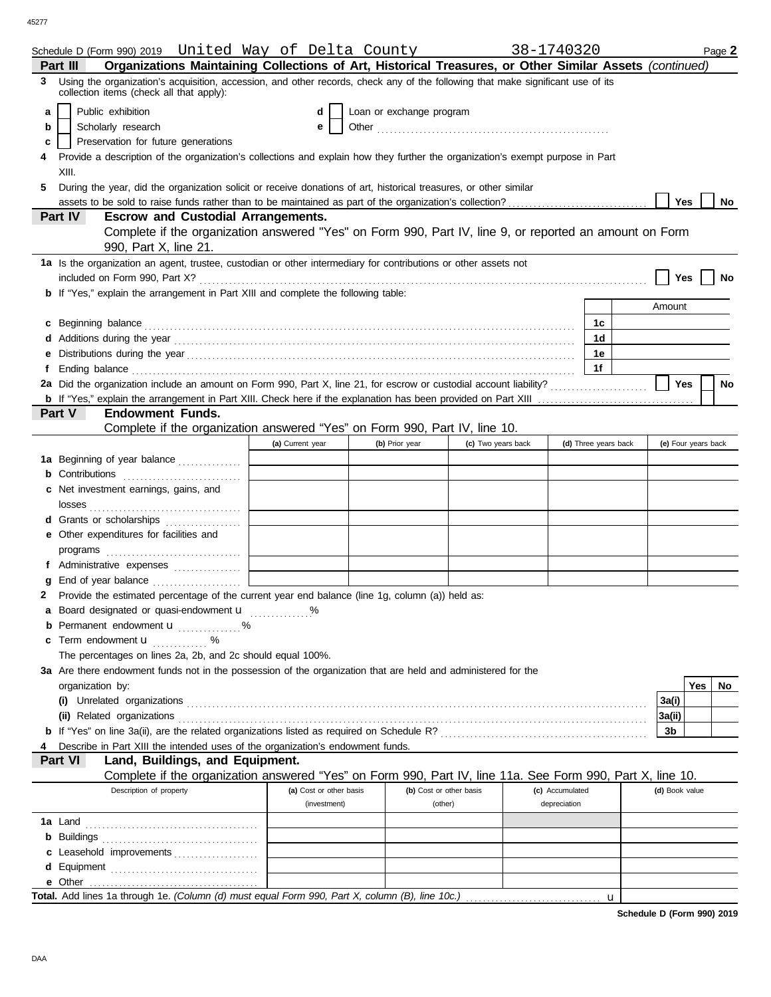45277

|   |                                                                                                                                                                                                                                      |                                              |                          |                         | 38-1740320      |                      |                     | Page 2 |
|---|--------------------------------------------------------------------------------------------------------------------------------------------------------------------------------------------------------------------------------------|----------------------------------------------|--------------------------|-------------------------|-----------------|----------------------|---------------------|--------|
|   | Organizations Maintaining Collections of Art, Historical Treasures, or Other Similar Assets (continued)<br>Part III                                                                                                                  |                                              |                          |                         |                 |                      |                     |        |
|   | 3 Using the organization's acquisition, accession, and other records, check any of the following that make significant use of its<br>collection items (check all that apply):                                                        |                                              |                          |                         |                 |                      |                     |        |
| a | Public exhibition                                                                                                                                                                                                                    | d                                            | Loan or exchange program |                         |                 |                      |                     |        |
| b | Scholarly research                                                                                                                                                                                                                   | е                                            |                          |                         |                 |                      |                     |        |
| c | Preservation for future generations                                                                                                                                                                                                  |                                              |                          |                         |                 |                      |                     |        |
|   | Provide a description of the organization's collections and explain how they further the organization's exempt purpose in Part                                                                                                       |                                              |                          |                         |                 |                      |                     |        |
|   | XIII.                                                                                                                                                                                                                                |                                              |                          |                         |                 |                      |                     |        |
| 5 | During the year, did the organization solicit or receive donations of art, historical treasures, or other similar                                                                                                                    |                                              |                          |                         |                 |                      |                     |        |
|   |                                                                                                                                                                                                                                      |                                              |                          |                         |                 |                      | <b>Yes</b>          | No.    |
|   | <b>Escrow and Custodial Arrangements.</b><br>Part IV                                                                                                                                                                                 |                                              |                          |                         |                 |                      |                     |        |
|   | Complete if the organization answered "Yes" on Form 990, Part IV, line 9, or reported an amount on Form                                                                                                                              |                                              |                          |                         |                 |                      |                     |        |
|   | 990, Part X, line 21.<br>1a Is the organization an agent, trustee, custodian or other intermediary for contributions or other assets not                                                                                             |                                              |                          |                         |                 |                      |                     |        |
|   |                                                                                                                                                                                                                                      |                                              |                          |                         |                 |                      | Yes                 | No     |
|   | <b>b</b> If "Yes," explain the arrangement in Part XIII and complete the following table:                                                                                                                                            |                                              |                          |                         |                 |                      |                     |        |
|   |                                                                                                                                                                                                                                      |                                              |                          |                         |                 |                      | Amount              |        |
|   |                                                                                                                                                                                                                                      |                                              |                          |                         |                 | 1c                   |                     |        |
|   | c Beginning balance <b>contract to the contract of the set of the contract of the contract of the contract of the contract of the contract of the contract of the contract of the contract of the contract of the contract of th</b> |                                              |                          |                         |                 | 1d                   |                     |        |
|   |                                                                                                                                                                                                                                      |                                              |                          |                         |                 | 1е                   |                     |        |
| f |                                                                                                                                                                                                                                      |                                              |                          |                         |                 | 1f                   |                     |        |
|   | Ending balance <i>communication</i> and the contract of the contract of the contract of the contract of the contract of the contract of the contract of the contract of the contract of the contract of the contract of the contrac  |                                              |                          |                         |                 |                      | Yes                 | No     |
|   |                                                                                                                                                                                                                                      |                                              |                          |                         |                 |                      |                     |        |
|   | Part V<br><b>Endowment Funds.</b>                                                                                                                                                                                                    |                                              |                          |                         |                 |                      |                     |        |
|   | Complete if the organization answered "Yes" on Form 990, Part IV, line 10.                                                                                                                                                           |                                              |                          |                         |                 |                      |                     |        |
|   |                                                                                                                                                                                                                                      | (a) Current year                             | (b) Prior year           | (c) Two years back      |                 | (d) Three years back | (e) Four years back |        |
|   | 1a Beginning of year balance                                                                                                                                                                                                         | the control of the control of the control of |                          |                         |                 |                      |                     |        |
|   | <b>b</b> Contributions                                                                                                                                                                                                               |                                              |                          |                         |                 |                      |                     |        |
|   | c Net investment earnings, gains, and                                                                                                                                                                                                |                                              |                          |                         |                 |                      |                     |        |
|   |                                                                                                                                                                                                                                      |                                              |                          |                         |                 |                      |                     |        |
|   | d Grants or scholarships                                                                                                                                                                                                             |                                              |                          |                         |                 |                      |                     |        |
|   | e Other expenditures for facilities and                                                                                                                                                                                              |                                              |                          |                         |                 |                      |                     |        |
|   |                                                                                                                                                                                                                                      |                                              |                          |                         |                 |                      |                     |        |
|   | f Administrative expenses                                                                                                                                                                                                            |                                              |                          |                         |                 |                      |                     |        |
|   |                                                                                                                                                                                                                                      |                                              |                          |                         |                 |                      |                     |        |
|   | 2 Provide the estimated percentage of the current year end balance (line 1g, column (a)) held as:                                                                                                                                    |                                              |                          |                         |                 |                      |                     |        |
|   | a Board designated or quasi-endowment u %                                                                                                                                                                                            |                                              |                          |                         |                 |                      |                     |        |
|   | <b>b</b> Permanent endowment <b>u</b> %                                                                                                                                                                                              |                                              |                          |                         |                 |                      |                     |        |
|   | c Term endowment <b>u</b>                                                                                                                                                                                                            |                                              |                          |                         |                 |                      |                     |        |
|   | The percentages on lines 2a, 2b, and 2c should equal 100%.                                                                                                                                                                           |                                              |                          |                         |                 |                      |                     |        |
|   | 3a Are there endowment funds not in the possession of the organization that are held and administered for the                                                                                                                        |                                              |                          |                         |                 |                      |                     |        |
|   | organization by:                                                                                                                                                                                                                     |                                              |                          |                         |                 |                      | Yes                 | No     |
|   |                                                                                                                                                                                                                                      |                                              |                          |                         |                 |                      | 3a(i)               |        |
|   |                                                                                                                                                                                                                                      |                                              |                          |                         |                 |                      | 3a(ii)              |        |
|   |                                                                                                                                                                                                                                      |                                              |                          |                         |                 |                      | 3b                  |        |
|   | Describe in Part XIII the intended uses of the organization's endowment funds.                                                                                                                                                       |                                              |                          |                         |                 |                      |                     |        |
|   | Part VI<br>Land, Buildings, and Equipment.                                                                                                                                                                                           |                                              |                          |                         |                 |                      |                     |        |
|   | Complete if the organization answered "Yes" on Form 990, Part IV, line 11a. See Form 990, Part X, line 10.                                                                                                                           |                                              |                          |                         |                 |                      |                     |        |
|   | Description of property                                                                                                                                                                                                              | (a) Cost or other basis                      |                          | (b) Cost or other basis | (c) Accumulated |                      | (d) Book value      |        |
|   |                                                                                                                                                                                                                                      | (investment)                                 |                          | (other)                 | depreciation    |                      |                     |        |
|   |                                                                                                                                                                                                                                      |                                              |                          |                         |                 |                      |                     |        |
|   |                                                                                                                                                                                                                                      |                                              |                          |                         |                 |                      |                     |        |
|   | c Leasehold improvements                                                                                                                                                                                                             |                                              |                          |                         |                 |                      |                     |        |
|   |                                                                                                                                                                                                                                      |                                              |                          |                         |                 |                      |                     |        |
|   |                                                                                                                                                                                                                                      |                                              |                          |                         |                 |                      |                     |        |
|   |                                                                                                                                                                                                                                      |                                              |                          |                         |                 |                      |                     |        |

**Schedule D (Form 990) 2019**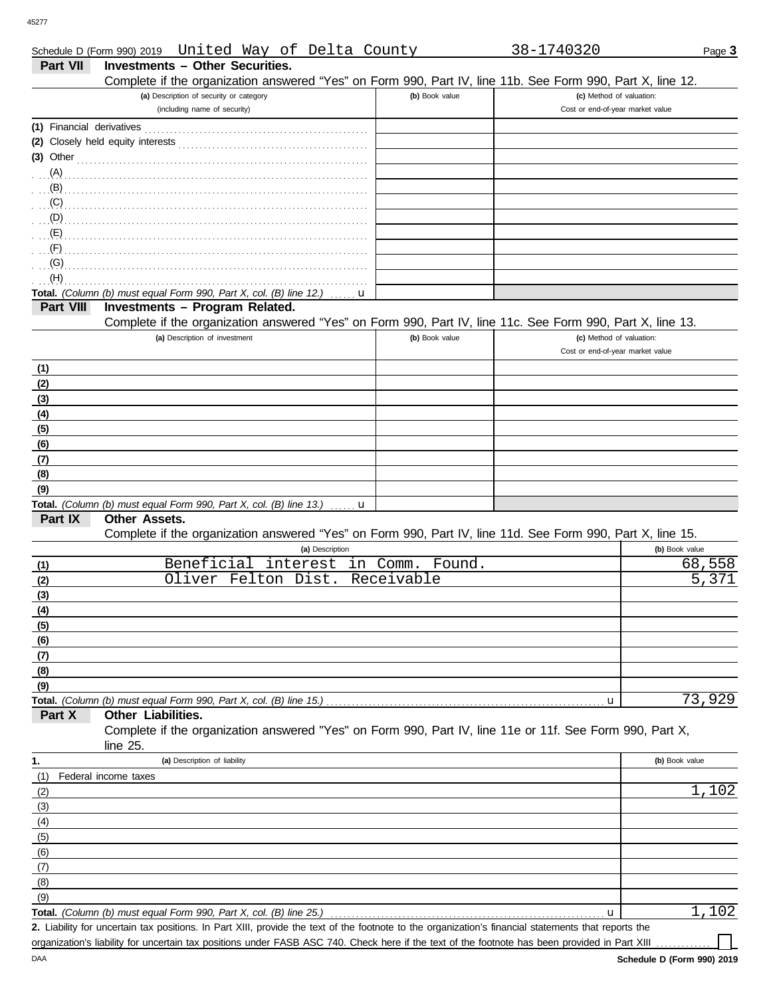|                           | Schedule D (Form 990) 2019 United Way of Delta County                                                      |                    | 38-1740320                                                   | Page 3         |
|---------------------------|------------------------------------------------------------------------------------------------------------|--------------------|--------------------------------------------------------------|----------------|
| Part VII                  | <b>Investments - Other Securities.</b>                                                                     |                    |                                                              |                |
|                           | Complete if the organization answered "Yes" on Form 990, Part IV, line 11b. See Form 990, Part X, line 12. |                    |                                                              |                |
|                           | (a) Description of security or category                                                                    | (b) Book value     | (c) Method of valuation:                                     |                |
|                           | (including name of security)                                                                               |                    | Cost or end-of-year market value                             |                |
| (1) Financial derivatives |                                                                                                            |                    |                                                              |                |
|                           |                                                                                                            |                    |                                                              |                |
|                           | $(3)$ Other                                                                                                |                    |                                                              |                |
| (A)                       |                                                                                                            |                    |                                                              |                |
| (B)                       |                                                                                                            |                    |                                                              |                |
| (C)                       |                                                                                                            |                    |                                                              |                |
| (0)                       |                                                                                                            |                    |                                                              |                |
| (E)                       |                                                                                                            |                    |                                                              |                |
| (F)                       |                                                                                                            |                    |                                                              |                |
| (G)                       |                                                                                                            |                    |                                                              |                |
| (H)                       |                                                                                                            |                    |                                                              |                |
|                           | Total. (Column (b) must equal Form 990, Part X, col. (B) line 12.)<br>u                                    |                    |                                                              |                |
| Part VIII                 | Investments - Program Related.                                                                             |                    |                                                              |                |
|                           | Complete if the organization answered "Yes" on Form 990, Part IV, line 11c. See Form 990, Part X, line 13. |                    |                                                              |                |
|                           | (a) Description of investment                                                                              | (b) Book value     | (c) Method of valuation:<br>Cost or end-of-year market value |                |
|                           |                                                                                                            |                    |                                                              |                |
| (1)                       |                                                                                                            |                    |                                                              |                |
| (2)                       |                                                                                                            |                    |                                                              |                |
| (3)                       |                                                                                                            |                    |                                                              |                |
| (4)                       |                                                                                                            |                    |                                                              |                |
| (5)                       |                                                                                                            |                    |                                                              |                |
| (6)                       |                                                                                                            |                    |                                                              |                |
| (7)                       |                                                                                                            |                    |                                                              |                |
| (8)<br>(9)                |                                                                                                            |                    |                                                              |                |
|                           | Total. (Column (b) must equal Form 990, Part X, col. (B) line 13.)<br>u                                    |                    |                                                              |                |
| Part IX                   | Other Assets.                                                                                              |                    |                                                              |                |
|                           | Complete if the organization answered "Yes" on Form 990, Part IV, line 11d. See Form 990, Part X, line 15. |                    |                                                              |                |
|                           | (a) Description                                                                                            |                    |                                                              | (b) Book value |
| (1)                       | Beneficial<br>interest                                                                                     | in Comm.<br>Found. |                                                              | 68,558         |
| (2)                       | Oliver Felton Dist.                                                                                        | Receivable         |                                                              | 5,371          |
| (3)                       |                                                                                                            |                    |                                                              |                |
| (4)                       |                                                                                                            |                    |                                                              |                |
| (5)                       |                                                                                                            |                    |                                                              |                |
| (6)                       |                                                                                                            |                    |                                                              |                |
| (7)                       |                                                                                                            |                    |                                                              |                |
| (8)                       |                                                                                                            |                    |                                                              |                |
| (9)                       |                                                                                                            |                    |                                                              |                |
|                           | Total. (Column (b) must equal Form 990, Part X, col. (B) line 15.)                                         |                    | u                                                            | 73,929         |
| Part X                    | Other Liabilities.                                                                                         |                    |                                                              |                |
|                           | Complete if the organization answered "Yes" on Form 990, Part IV, line 11e or 11f. See Form 990, Part X,   |                    |                                                              |                |
|                           | line $25$ .                                                                                                |                    |                                                              |                |
| 1.                        | (a) Description of liability                                                                               |                    |                                                              | (b) Book value |
| (1)                       | Federal income taxes                                                                                       |                    |                                                              |                |
| (2)                       |                                                                                                            |                    |                                                              | 1,102          |
| (3)                       |                                                                                                            |                    |                                                              |                |
| (4)                       |                                                                                                            |                    |                                                              |                |
| (5)                       |                                                                                                            |                    |                                                              |                |
| (6)                       |                                                                                                            |                    |                                                              |                |
| (7)                       |                                                                                                            |                    |                                                              |                |
| (8)                       |                                                                                                            |                    |                                                              |                |
| (9)                       |                                                                                                            |                    |                                                              |                |
|                           | Total. (Column (b) must equal Form 990, Part X, col. (B) line 25.)                                         |                    | $\mathbf u$                                                  | 1,102          |

Liability for uncertain tax positions. In Part XIII, provide the text of the footnote to the organization's financial statements that reports the **2.** organization's liability for uncertain tax positions under FASB ASC 740. Check here if the text of the footnote has been provided in Part XIII

| nization's liability f |  |
|------------------------|--|
|                        |  |

DAA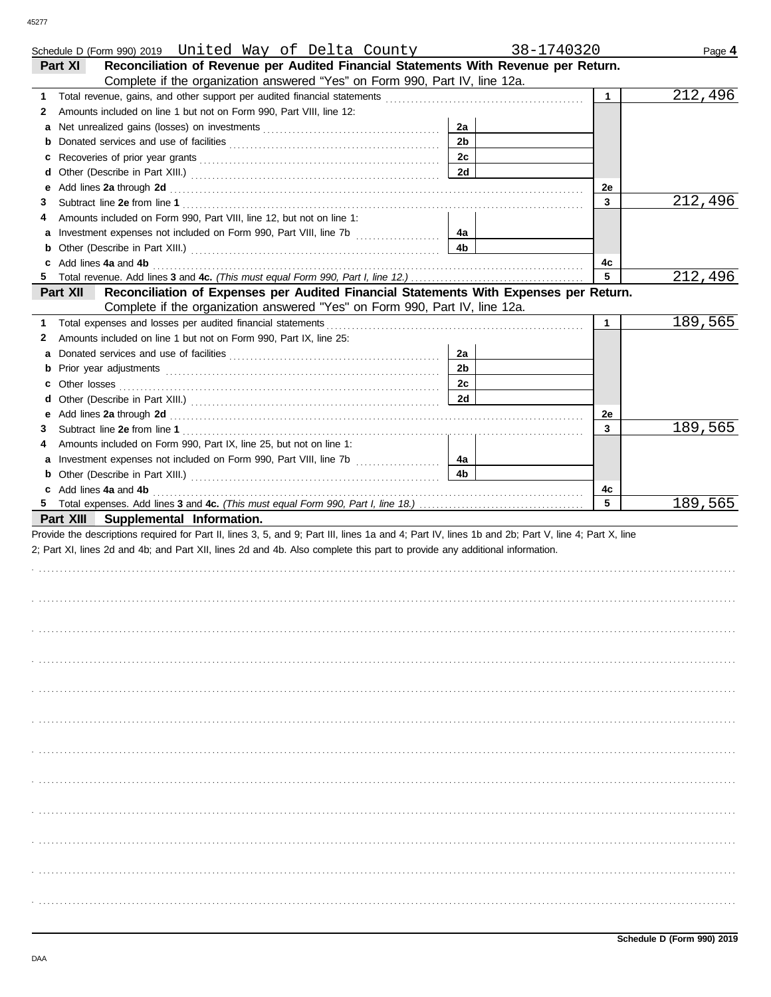|        | Schedule D (Form 990) 2019 United Way of Delta County                                                                                                                                                                          |                | 38-1740320   | Page 4  |
|--------|--------------------------------------------------------------------------------------------------------------------------------------------------------------------------------------------------------------------------------|----------------|--------------|---------|
|        | Reconciliation of Revenue per Audited Financial Statements With Revenue per Return.<br>Part XI                                                                                                                                 |                |              |         |
|        | Complete if the organization answered "Yes" on Form 990, Part IV, line 12a.                                                                                                                                                    |                |              |         |
| 1      |                                                                                                                                                                                                                                |                | $\mathbf{1}$ | 212,496 |
| 2      | Amounts included on line 1 but not on Form 990, Part VIII, line 12:                                                                                                                                                            |                |              |         |
| а      |                                                                                                                                                                                                                                | 2a             |              |         |
| b      |                                                                                                                                                                                                                                | 2 <sub>b</sub> |              |         |
| c      |                                                                                                                                                                                                                                | 2c             |              |         |
| d      |                                                                                                                                                                                                                                | 2d             |              |         |
| е      | Add lines 2a through 2d [11] Additional Property and Property and Property and Property and Property and Property and Property and Property and Property and Property and Property and Property and Property and Property and  |                | 2e           |         |
| 3      |                                                                                                                                                                                                                                |                | 3            | 212,496 |
| 4      | Amounts included on Form 990, Part VIII, line 12, but not on line 1:                                                                                                                                                           |                |              |         |
| a      |                                                                                                                                                                                                                                | 4a             |              |         |
| b      |                                                                                                                                                                                                                                | 4b             |              |         |
|        | Add lines 4a and 4b                                                                                                                                                                                                            |                | 4с           |         |
| c<br>5 |                                                                                                                                                                                                                                |                | 5            | 212,496 |
|        | Reconciliation of Expenses per Audited Financial Statements With Expenses per Return.                                                                                                                                          |                |              |         |
|        | Part XII                                                                                                                                                                                                                       |                |              |         |
|        | Complete if the organization answered "Yes" on Form 990, Part IV, line 12a.                                                                                                                                                    |                |              |         |
| 1      | Total expenses and losses per audited financial statements                                                                                                                                                                     |                | $\mathbf{1}$ | 189,565 |
| 2      | Amounts included on line 1 but not on Form 990, Part IX, line 25:                                                                                                                                                              |                |              |         |
| а      |                                                                                                                                                                                                                                | 2a             |              |         |
| b      |                                                                                                                                                                                                                                | 2b             |              |         |
| c      | Other losses                                                                                                                                                                                                                   | 2c             |              |         |
| d      |                                                                                                                                                                                                                                | 2d             |              |         |
| е      | Add lines 2a through 2d [11] March 2014 [12] March 2014 [12] March 2014 [12] March 2014 [12] March 2014 [12] March 2014 [12] March 2014 [12] March 2014 [12] March 2014 [12] March 2014 [12] March 2014 [12] March 2014 [12] M |                | 2e           |         |
| 3      |                                                                                                                                                                                                                                |                | 3            | 189,565 |
| 4      | Amounts included on Form 990, Part IX, line 25, but not on line 1:                                                                                                                                                             |                |              |         |
| a      | Investment expenses not included on Form 990, Part VIII, line 7b [                                                                                                                                                             | 4a             |              |         |
| b      |                                                                                                                                                                                                                                | 4b             |              |         |
|        | c Add lines 4a and 4b                                                                                                                                                                                                          |                | 4c           |         |
|        |                                                                                                                                                                                                                                |                | 5            | 189,565 |
|        | Part XIII Supplemental Information.                                                                                                                                                                                            |                |              |         |
|        | Provide the descriptions required for Part II, lines 3, 5, and 9; Part III, lines 1a and 4; Part IV, lines 1b and 2b; Part V, line 4; Part X, line                                                                             |                |              |         |
|        | 2; Part XI, lines 2d and 4b; and Part XII, lines 2d and 4b. Also complete this part to provide any additional information.                                                                                                     |                |              |         |
|        |                                                                                                                                                                                                                                |                |              |         |
|        |                                                                                                                                                                                                                                |                |              |         |
|        |                                                                                                                                                                                                                                |                |              |         |
|        |                                                                                                                                                                                                                                |                |              |         |
|        |                                                                                                                                                                                                                                |                |              |         |
|        |                                                                                                                                                                                                                                |                |              |         |
|        |                                                                                                                                                                                                                                |                |              |         |
|        |                                                                                                                                                                                                                                |                |              |         |
|        |                                                                                                                                                                                                                                |                |              |         |
|        |                                                                                                                                                                                                                                |                |              |         |
|        |                                                                                                                                                                                                                                |                |              |         |
|        |                                                                                                                                                                                                                                |                |              |         |
|        |                                                                                                                                                                                                                                |                |              |         |
|        |                                                                                                                                                                                                                                |                |              |         |
|        |                                                                                                                                                                                                                                |                |              |         |
|        |                                                                                                                                                                                                                                |                |              |         |
|        |                                                                                                                                                                                                                                |                |              |         |
|        |                                                                                                                                                                                                                                |                |              |         |
|        |                                                                                                                                                                                                                                |                |              |         |
|        |                                                                                                                                                                                                                                |                |              |         |
|        |                                                                                                                                                                                                                                |                |              |         |
|        |                                                                                                                                                                                                                                |                |              |         |
|        |                                                                                                                                                                                                                                |                |              |         |
|        |                                                                                                                                                                                                                                |                |              |         |
|        |                                                                                                                                                                                                                                |                |              |         |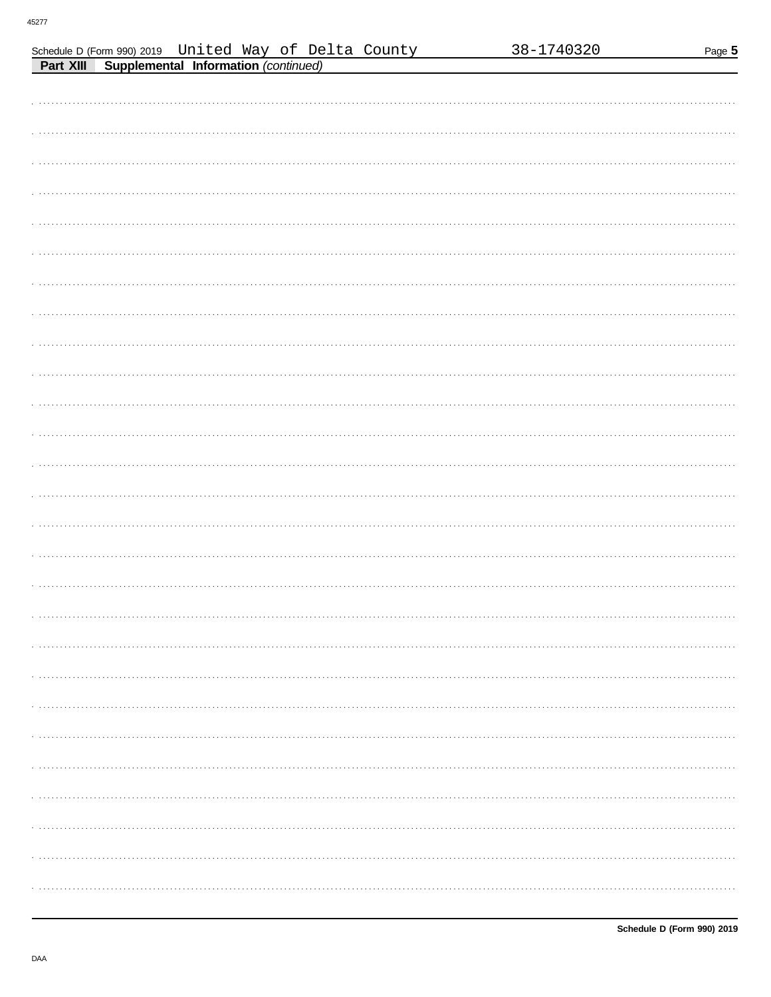Schedule D (Form 990) 2019 United Way of Delta County

|                                                       | <b>Part XIII Supplemental Information (continued)</b> |
|-------------------------------------------------------|-------------------------------------------------------|
|                                                       |                                                       |
|                                                       |                                                       |
|                                                       |                                                       |
|                                                       |                                                       |
|                                                       |                                                       |
| $\alpha$ , and $\alpha$ , and $\alpha$ , and $\alpha$ |                                                       |
|                                                       |                                                       |
|                                                       |                                                       |
|                                                       |                                                       |
|                                                       |                                                       |
|                                                       |                                                       |
|                                                       |                                                       |
|                                                       |                                                       |
|                                                       |                                                       |
|                                                       |                                                       |
|                                                       |                                                       |
|                                                       |                                                       |
|                                                       |                                                       |
|                                                       |                                                       |
|                                                       |                                                       |
|                                                       |                                                       |
|                                                       |                                                       |
|                                                       |                                                       |
|                                                       |                                                       |
|                                                       |                                                       |
|                                                       |                                                       |
|                                                       |                                                       |
|                                                       |                                                       |
|                                                       |                                                       |
|                                                       |                                                       |
|                                                       |                                                       |
|                                                       |                                                       |
|                                                       |                                                       |
|                                                       |                                                       |
|                                                       |                                                       |
|                                                       |                                                       |
|                                                       |                                                       |
|                                                       |                                                       |
|                                                       |                                                       |
|                                                       |                                                       |
|                                                       |                                                       |
|                                                       |                                                       |
|                                                       |                                                       |
|                                                       |                                                       |
|                                                       |                                                       |
|                                                       |                                                       |
|                                                       |                                                       |
|                                                       |                                                       |
|                                                       |                                                       |
|                                                       |                                                       |
|                                                       |                                                       |
|                                                       |                                                       |
|                                                       |                                                       |
|                                                       |                                                       |
|                                                       |                                                       |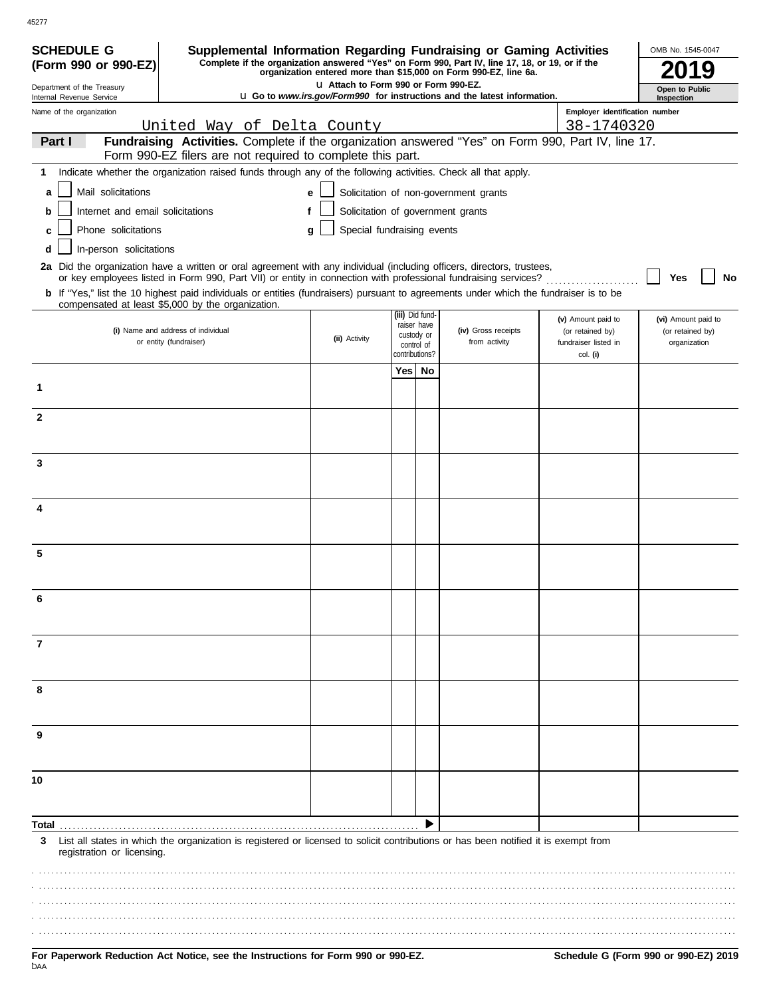| <b>SCHEDULE G</b><br>(Form 990 or 990-EZ)                                                                 | Supplemental Information Regarding Fundraising or Gaming Activities<br>Complete if the organization answered "Yes" on Form 990, Part IV, line 17, 18, or 19, or if the                                                                                  |                                 |     |                                |                                                                                 |                                        | OMB No. 1545-0047                       |
|-----------------------------------------------------------------------------------------------------------|---------------------------------------------------------------------------------------------------------------------------------------------------------------------------------------------------------------------------------------------------------|---------------------------------|-----|--------------------------------|---------------------------------------------------------------------------------|----------------------------------------|-----------------------------------------|
| organization entered more than \$15,000 on Form 990-EZ, line 6a.<br>LI Attach to Form 990 or Form 990-EZ. |                                                                                                                                                                                                                                                         |                                 |     |                                |                                                                                 |                                        |                                         |
| Department of the Treasury<br>Internal Revenue Service                                                    |                                                                                                                                                                                                                                                         |                                 |     |                                | <b>u</b> Go to www.irs.gov/Form990 for instructions and the latest information. |                                        | Open to Public<br>Inspection            |
| Name of the organization                                                                                  |                                                                                                                                                                                                                                                         |                                 |     |                                |                                                                                 | Employer identification number         |                                         |
|                                                                                                           | United Way of Delta County<br>Fundraising Activities. Complete if the organization answered "Yes" on Form 990, Part IV, line 17.                                                                                                                        |                                 |     |                                |                                                                                 | 38-1740320                             |                                         |
| Part I                                                                                                    | Form 990-EZ filers are not required to complete this part.                                                                                                                                                                                              |                                 |     |                                |                                                                                 |                                        |                                         |
| 1                                                                                                         | Indicate whether the organization raised funds through any of the following activities. Check all that apply.                                                                                                                                           |                                 |     |                                |                                                                                 |                                        |                                         |
| Mail solicitations<br>a                                                                                   |                                                                                                                                                                                                                                                         | e                               |     |                                | Solicitation of non-government grants                                           |                                        |                                         |
| Internet and email solicitations<br>b                                                                     |                                                                                                                                                                                                                                                         | f                               |     |                                | Solicitation of government grants                                               |                                        |                                         |
| Phone solicitations<br>C                                                                                  |                                                                                                                                                                                                                                                         | Special fundraising events<br>g |     |                                |                                                                                 |                                        |                                         |
| In-person solicitations<br>d                                                                              |                                                                                                                                                                                                                                                         |                                 |     |                                |                                                                                 |                                        |                                         |
|                                                                                                           | 2a Did the organization have a written or oral agreement with any individual (including officers, directors, trustees,                                                                                                                                  |                                 |     |                                |                                                                                 |                                        |                                         |
|                                                                                                           | or key employees listed in Form 990, Part VII) or entity in connection with professional fundraising services?<br>b If "Yes," list the 10 highest paid individuals or entities (fundraisers) pursuant to agreements under which the fundraiser is to be |                                 |     |                                |                                                                                 |                                        | Yes<br>No                               |
|                                                                                                           | compensated at least \$5,000 by the organization.                                                                                                                                                                                                       |                                 |     |                                |                                                                                 |                                        |                                         |
|                                                                                                           | (i) Name and address of individual                                                                                                                                                                                                                      |                                 |     | (iii) Did fund-<br>raiser have | (iv) Gross receipts                                                             | (v) Amount paid to<br>(or retained by) | (vi) Amount paid to<br>(or retained by) |
|                                                                                                           | or entity (fundraiser)                                                                                                                                                                                                                                  | (ii) Activity                   |     | custody or<br>control of       | from activity                                                                   | fundraiser listed in                   | organization                            |
|                                                                                                           |                                                                                                                                                                                                                                                         |                                 |     | contributions?                 |                                                                                 | col. (i)                               |                                         |
| 1                                                                                                         |                                                                                                                                                                                                                                                         |                                 | Yes | No                             |                                                                                 |                                        |                                         |
|                                                                                                           |                                                                                                                                                                                                                                                         |                                 |     |                                |                                                                                 |                                        |                                         |
| $\overline{2}$                                                                                            |                                                                                                                                                                                                                                                         |                                 |     |                                |                                                                                 |                                        |                                         |
|                                                                                                           |                                                                                                                                                                                                                                                         |                                 |     |                                |                                                                                 |                                        |                                         |
| 3                                                                                                         |                                                                                                                                                                                                                                                         |                                 |     |                                |                                                                                 |                                        |                                         |
|                                                                                                           |                                                                                                                                                                                                                                                         |                                 |     |                                |                                                                                 |                                        |                                         |
|                                                                                                           |                                                                                                                                                                                                                                                         |                                 |     |                                |                                                                                 |                                        |                                         |
| 4                                                                                                         |                                                                                                                                                                                                                                                         |                                 |     |                                |                                                                                 |                                        |                                         |
|                                                                                                           |                                                                                                                                                                                                                                                         |                                 |     |                                |                                                                                 |                                        |                                         |
| 5                                                                                                         |                                                                                                                                                                                                                                                         |                                 |     |                                |                                                                                 |                                        |                                         |
|                                                                                                           |                                                                                                                                                                                                                                                         |                                 |     |                                |                                                                                 |                                        |                                         |
| 6                                                                                                         |                                                                                                                                                                                                                                                         |                                 |     |                                |                                                                                 |                                        |                                         |
|                                                                                                           |                                                                                                                                                                                                                                                         |                                 |     |                                |                                                                                 |                                        |                                         |
|                                                                                                           |                                                                                                                                                                                                                                                         |                                 |     |                                |                                                                                 |                                        |                                         |
| 7                                                                                                         |                                                                                                                                                                                                                                                         |                                 |     |                                |                                                                                 |                                        |                                         |
|                                                                                                           |                                                                                                                                                                                                                                                         |                                 |     |                                |                                                                                 |                                        |                                         |
| 8                                                                                                         |                                                                                                                                                                                                                                                         |                                 |     |                                |                                                                                 |                                        |                                         |
|                                                                                                           |                                                                                                                                                                                                                                                         |                                 |     |                                |                                                                                 |                                        |                                         |
|                                                                                                           |                                                                                                                                                                                                                                                         |                                 |     |                                |                                                                                 |                                        |                                         |
|                                                                                                           |                                                                                                                                                                                                                                                         |                                 |     |                                |                                                                                 |                                        |                                         |
|                                                                                                           |                                                                                                                                                                                                                                                         |                                 |     |                                |                                                                                 |                                        |                                         |
| 10                                                                                                        |                                                                                                                                                                                                                                                         |                                 |     |                                |                                                                                 |                                        |                                         |
|                                                                                                           |                                                                                                                                                                                                                                                         |                                 |     |                                |                                                                                 |                                        |                                         |
| Total                                                                                                     |                                                                                                                                                                                                                                                         |                                 |     |                                |                                                                                 |                                        |                                         |
| 3<br>registration or licensing.                                                                           | List all states in which the organization is registered or licensed to solicit contributions or has been notified it is exempt from                                                                                                                     |                                 |     |                                |                                                                                 |                                        |                                         |
|                                                                                                           |                                                                                                                                                                                                                                                         |                                 |     |                                |                                                                                 |                                        |                                         |
|                                                                                                           |                                                                                                                                                                                                                                                         |                                 |     |                                |                                                                                 |                                        |                                         |
|                                                                                                           |                                                                                                                                                                                                                                                         |                                 |     |                                |                                                                                 |                                        |                                         |
|                                                                                                           |                                                                                                                                                                                                                                                         |                                 |     |                                |                                                                                 |                                        |                                         |
|                                                                                                           |                                                                                                                                                                                                                                                         |                                 |     |                                |                                                                                 |                                        |                                         |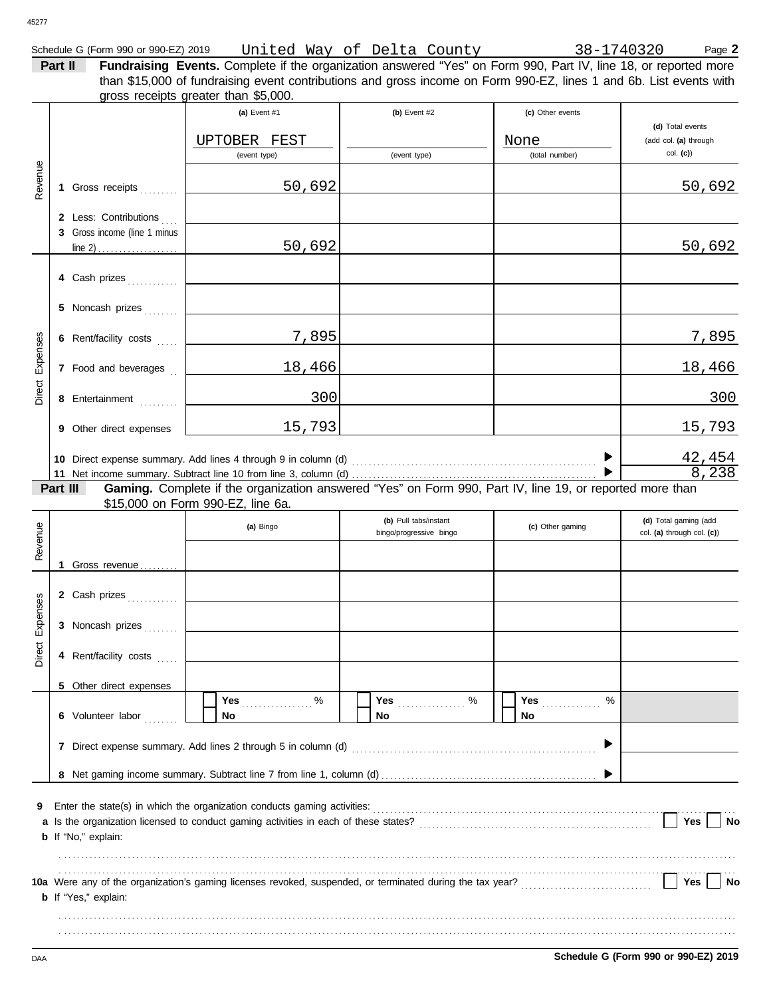### Schedule G (Form 990 or 990-EZ) 2019 United Way of Delta County 38-1740320 Page **2**

| Part II | <b>Fundraising Events.</b> Complete if the organization answered "Yes" on Form 990, Part IV, line 18, or reported more |
|---------|------------------------------------------------------------------------------------------------------------------------|
|         | than \$15,000 of fundraising event contributions and gross income on Form 990-EZ, lines 1 and 6b. List events with     |
|         | gross receipts greater than \$5,000.                                                                                   |

|          |          |                              | (a) Event #1                                                                                              | $(b)$ Event #2                                   | (c) Other events       |                                                     |
|----------|----------|------------------------------|-----------------------------------------------------------------------------------------------------------|--------------------------------------------------|------------------------|-----------------------------------------------------|
|          |          |                              |                                                                                                           |                                                  |                        | (d) Total events                                    |
|          |          |                              | UPTOBER FEST<br>(event type)                                                                              | (event type)                                     | None<br>(total number) | (add col. (a) through<br>col. (c)                   |
|          |          |                              |                                                                                                           |                                                  |                        |                                                     |
| Revenue  |          | 1 Gross receipts             | 50,692                                                                                                    |                                                  |                        | 50,692                                              |
|          |          |                              |                                                                                                           |                                                  |                        |                                                     |
|          |          | 2 Less: Contributions        |                                                                                                           |                                                  |                        |                                                     |
|          |          | 3 Gross income (line 1 minus | 50,692                                                                                                    |                                                  |                        | 50,692                                              |
|          |          |                              |                                                                                                           |                                                  |                        |                                                     |
|          |          | 4 Cash prizes                |                                                                                                           |                                                  |                        |                                                     |
|          |          |                              |                                                                                                           |                                                  |                        |                                                     |
|          |          | 5 Noncash prizes             |                                                                                                           |                                                  |                        |                                                     |
|          |          |                              |                                                                                                           |                                                  |                        | 7,895                                               |
| Expenses |          | 6 Rent/facility costs        | <u>7,895</u>                                                                                              |                                                  |                        |                                                     |
|          |          | 7 Food and beverages         | 18,466                                                                                                    |                                                  |                        | 18,466                                              |
| Direct   |          |                              |                                                                                                           |                                                  |                        |                                                     |
|          |          | 8 Entertainment              | 300                                                                                                       |                                                  |                        | 300                                                 |
|          |          |                              | 15,793                                                                                                    |                                                  |                        | 15,793                                              |
|          |          | 9 Other direct expenses      |                                                                                                           |                                                  |                        |                                                     |
|          |          |                              |                                                                                                           |                                                  |                        |                                                     |
|          |          |                              |                                                                                                           |                                                  |                        | $\frac{42,454}{8,238}$                              |
|          | Part III |                              | Gaming. Complete if the organization answered "Yes" on Form 990, Part IV, line 19, or reported more than  |                                                  |                        |                                                     |
|          |          |                              | \$15,000 on Form 990-EZ, line 6a.                                                                         |                                                  |                        |                                                     |
|          |          |                              | (a) Bingo                                                                                                 | (b) Pull tabs/instant<br>bingo/progressive bingo | (c) Other gaming       | (d) Total gaming (add<br>col. (a) through col. (c)) |
| Revenue  |          |                              |                                                                                                           |                                                  |                        |                                                     |
|          |          | 1 Gross revenue              |                                                                                                           |                                                  |                        |                                                     |
|          |          |                              |                                                                                                           |                                                  |                        |                                                     |
|          |          | 2 Cash prizes                |                                                                                                           |                                                  |                        |                                                     |
| Expenses |          | 3 Noncash prizes             |                                                                                                           |                                                  |                        |                                                     |
|          |          |                              |                                                                                                           |                                                  |                        |                                                     |
| Direct   |          | 4 Rent/facility costs        |                                                                                                           |                                                  |                        |                                                     |
|          |          |                              |                                                                                                           |                                                  |                        |                                                     |
|          |          | 5 Other direct expenses      |                                                                                                           |                                                  |                        |                                                     |
|          |          | 6 Volunteer labor            | %<br>Yes<br>No                                                                                            | $\%$<br>Yes<br>No                                | Yes<br>%<br>No.        |                                                     |
|          |          |                              |                                                                                                           |                                                  |                        |                                                     |
|          |          |                              | 7 Direct expense summary. Add lines 2 through 5 in column (d)                                             |                                                  |                        |                                                     |
|          |          |                              |                                                                                                           |                                                  |                        |                                                     |
|          |          |                              |                                                                                                           |                                                  |                        |                                                     |
| 9        |          |                              | Enter the state(s) in which the organization conducts gaming activities:                                  |                                                  |                        |                                                     |
|          |          |                              |                                                                                                           |                                                  |                        | Yes<br>No                                           |
|          |          | <b>b</b> If "No," explain:   |                                                                                                           |                                                  |                        |                                                     |
|          |          |                              |                                                                                                           |                                                  |                        |                                                     |
|          |          |                              |                                                                                                           |                                                  |                        |                                                     |
|          |          | <b>b</b> If "Yes," explain:  | 10a Were any of the organization's gaming licenses revoked, suspended, or terminated during the tax year? |                                                  |                        | Yes<br>No                                           |
|          |          |                              |                                                                                                           |                                                  |                        |                                                     |
|          |          |                              |                                                                                                           |                                                  |                        |                                                     |
|          |          |                              |                                                                                                           |                                                  |                        |                                                     |
| DAA      |          |                              |                                                                                                           |                                                  |                        | Schedule G (Form 990 or 990-EZ) 2019                |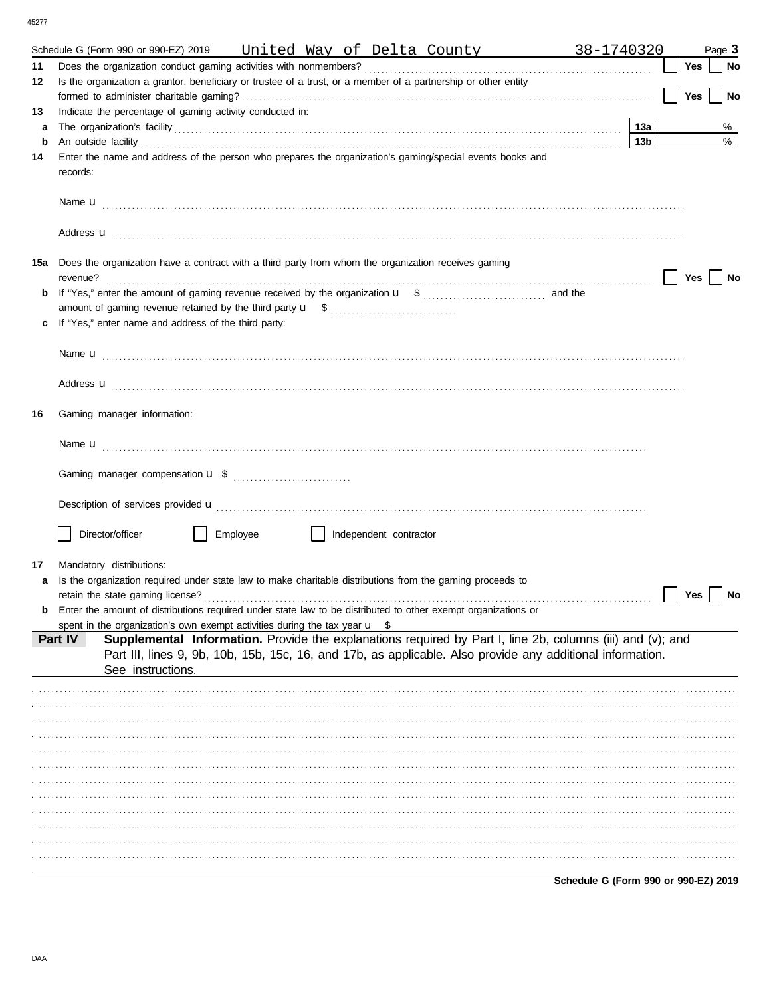|             | Schedule G (Form 990 or 990-EZ) 2019 United Way of Delta County                                                                                                                                                                                          | 38-1740320      |  | Page 3                 |
|-------------|----------------------------------------------------------------------------------------------------------------------------------------------------------------------------------------------------------------------------------------------------------|-----------------|--|------------------------|
| 11          |                                                                                                                                                                                                                                                          |                 |  | Yes $ $ No             |
| 12          | Is the organization a grantor, beneficiary or trustee of a trust, or a member of a partnership or other entity                                                                                                                                           |                 |  |                        |
|             |                                                                                                                                                                                                                                                          |                 |  | Yes $\vert$ No         |
| 13          | Indicate the percentage of gaming activity conducted in:                                                                                                                                                                                                 |                 |  |                        |
| a           |                                                                                                                                                                                                                                                          | 13a             |  | %                      |
| $\mathbf b$ | An outside facility <b>contract and the contract of a contract of a contract of a contract of a contract of a contract of a contract of a contract of a contract of a contract of a contract of a contract of a contract of a co</b>                     | 13 <sub>b</sub> |  | $\%$                   |
| 14          | Enter the name and address of the person who prepares the organization's gaming/special events books and<br>records:                                                                                                                                     |                 |  |                        |
|             |                                                                                                                                                                                                                                                          |                 |  |                        |
|             | Address <b>u</b>                                                                                                                                                                                                                                         |                 |  |                        |
| 15а         | Does the organization have a contract with a third party from whom the organization receives gaming                                                                                                                                                      |                 |  | Yes     No             |
| b           |                                                                                                                                                                                                                                                          |                 |  |                        |
|             |                                                                                                                                                                                                                                                          |                 |  |                        |
| c           | If "Yes," enter name and address of the third party:                                                                                                                                                                                                     |                 |  |                        |
|             |                                                                                                                                                                                                                                                          |                 |  |                        |
|             |                                                                                                                                                                                                                                                          |                 |  |                        |
|             | Address <b>u</b>                                                                                                                                                                                                                                         |                 |  |                        |
| 16          | Gaming manager information:                                                                                                                                                                                                                              |                 |  |                        |
|             |                                                                                                                                                                                                                                                          |                 |  |                        |
|             |                                                                                                                                                                                                                                                          |                 |  |                        |
|             | Description of services provided <b>u</b> electron control and a series of the series of the services are controlled unit of the services of the services of the services of the service of the service of the service of the servi                      |                 |  |                        |
|             | Director/officer<br>Employee<br>    Independent contractor                                                                                                                                                                                               |                 |  |                        |
| 17          | Mandatory distributions:                                                                                                                                                                                                                                 |                 |  |                        |
| a           | Is the organization required under state law to make charitable distributions from the gaming proceeds to                                                                                                                                                |                 |  |                        |
|             |                                                                                                                                                                                                                                                          |                 |  | Yes $\vert$ $\vert$ No |
| b           | Enter the amount of distributions required under state law to be distributed to other exempt organizations or                                                                                                                                            |                 |  |                        |
|             | spent in the organization's own exempt activities during the tax year $\mathbf{u}$ \$                                                                                                                                                                    |                 |  |                        |
|             | Supplemental Information. Provide the explanations required by Part I, line 2b, columns (iii) and (v); and<br>Part IV<br>Part III, lines 9, 9b, 10b, 15b, 15c, 16, and 17b, as applicable. Also provide any additional information.<br>See instructions. |                 |  |                        |
|             |                                                                                                                                                                                                                                                          |                 |  |                        |
|             |                                                                                                                                                                                                                                                          |                 |  |                        |
|             |                                                                                                                                                                                                                                                          |                 |  |                        |
|             |                                                                                                                                                                                                                                                          |                 |  |                        |
|             |                                                                                                                                                                                                                                                          |                 |  |                        |
|             |                                                                                                                                                                                                                                                          |                 |  |                        |
|             |                                                                                                                                                                                                                                                          |                 |  |                        |
|             |                                                                                                                                                                                                                                                          |                 |  |                        |
|             |                                                                                                                                                                                                                                                          |                 |  |                        |
|             |                                                                                                                                                                                                                                                          |                 |  |                        |
|             |                                                                                                                                                                                                                                                          |                 |  |                        |
|             |                                                                                                                                                                                                                                                          |                 |  |                        |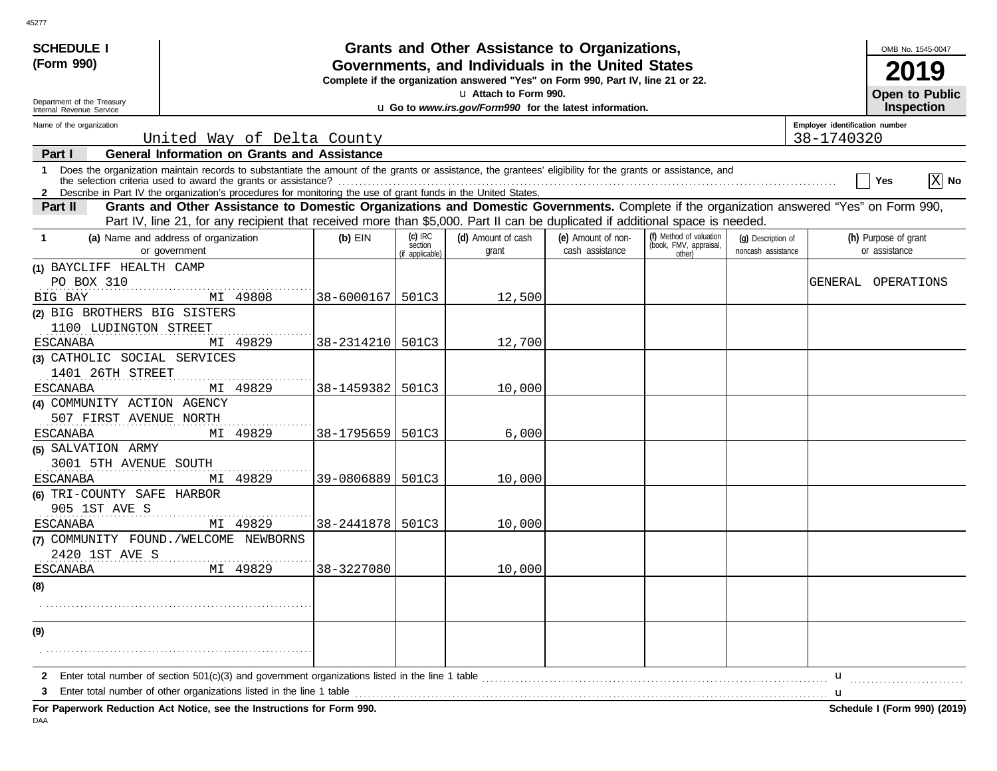| <b>SCHEDULE I</b>                 |                                                                                                                                                                                                                                                                               |                    |                                       | Grants and Other Assistance to Organizations,           |                                       |                                                             |                                          |                                              | OMB No. 1545-0047                     |
|-----------------------------------|-------------------------------------------------------------------------------------------------------------------------------------------------------------------------------------------------------------------------------------------------------------------------------|--------------------|---------------------------------------|---------------------------------------------------------|---------------------------------------|-------------------------------------------------------------|------------------------------------------|----------------------------------------------|---------------------------------------|
| (Form 990)                        | Governments, and Individuals in the United States<br>Complete if the organization answered "Yes" on Form 990, Part IV, line 21 or 22.                                                                                                                                         |                    |                                       |                                                         |                                       |                                                             |                                          |                                              | 2019                                  |
| Department of the Treasury        |                                                                                                                                                                                                                                                                               |                    |                                       | u Attach to Form 990.                                   |                                       |                                                             |                                          |                                              | <b>Open to Public</b>                 |
| Internal Revenue Service          |                                                                                                                                                                                                                                                                               |                    |                                       | u Go to www.irs.gov/Form990 for the latest information. |                                       |                                                             |                                          |                                              | <b>Inspection</b>                     |
| Name of the organization          | United Way of Delta County                                                                                                                                                                                                                                                    |                    |                                       |                                                         |                                       |                                                             |                                          | Employer identification number<br>38-1740320 |                                       |
| Part I                            | <b>General Information on Grants and Assistance</b>                                                                                                                                                                                                                           |                    |                                       |                                                         |                                       |                                                             |                                          |                                              |                                       |
| $\mathbf{1}$                      | Does the organization maintain records to substantiate the amount of the grants or assistance, the grantees' eligibility for the grants or assistance, and<br>2 Describe in Part IV the organization's procedures for monitoring the use of grant funds in the United States. |                    |                                       |                                                         |                                       |                                                             |                                          |                                              | $\overline{X}$ No<br>Yes              |
| Part II                           | Grants and Other Assistance to Domestic Organizations and Domestic Governments. Complete if the organization answered "Yes" on Form 990,                                                                                                                                      |                    |                                       |                                                         |                                       |                                                             |                                          |                                              |                                       |
|                                   | Part IV, line 21, for any recipient that received more than \$5,000. Part II can be duplicated if additional space is needed.                                                                                                                                                 |                    |                                       |                                                         |                                       |                                                             |                                          |                                              |                                       |
| -1                                | (a) Name and address of organization<br>or government                                                                                                                                                                                                                         | $(b)$ EIN          | (c) IRC<br>section<br>(if applicable) | (d) Amount of cash<br>grant                             | (e) Amount of non-<br>cash assistance | (f) Method of valuation<br>(book, FMV, appraisal,<br>other) | (q) Description of<br>noncash assistance |                                              | (h) Purpose of grant<br>or assistance |
| (1) BAYCLIFF HEALTH CAMP          |                                                                                                                                                                                                                                                                               |                    |                                       |                                                         |                                       |                                                             |                                          |                                              |                                       |
| PO BOX 310                        |                                                                                                                                                                                                                                                                               |                    |                                       |                                                         |                                       |                                                             |                                          |                                              | GENERAL OPERATIONS                    |
| BIG BAY                           | MI 49808                                                                                                                                                                                                                                                                      | 38-6000167   501C3 |                                       | 12,500                                                  |                                       |                                                             |                                          |                                              |                                       |
| (2) BIG BROTHERS BIG SISTERS      |                                                                                                                                                                                                                                                                               |                    |                                       |                                                         |                                       |                                                             |                                          |                                              |                                       |
| 1100 LUDINGTON STREET             |                                                                                                                                                                                                                                                                               |                    |                                       |                                                         |                                       |                                                             |                                          |                                              |                                       |
| ESCANABA                          | MI 49829                                                                                                                                                                                                                                                                      | 38-2314210 501C3   |                                       | 12,700                                                  |                                       |                                                             |                                          |                                              |                                       |
| (3) CATHOLIC SOCIAL SERVICES      |                                                                                                                                                                                                                                                                               |                    |                                       |                                                         |                                       |                                                             |                                          |                                              |                                       |
| 1401 26TH STREET                  |                                                                                                                                                                                                                                                                               |                    |                                       |                                                         |                                       |                                                             |                                          |                                              |                                       |
| ESCANABA                          | MI 49829                                                                                                                                                                                                                                                                      | 38-1459382   501C3 |                                       | 10,000                                                  |                                       |                                                             |                                          |                                              |                                       |
| (4) COMMUNITY ACTION AGENCY       |                                                                                                                                                                                                                                                                               |                    |                                       |                                                         |                                       |                                                             |                                          |                                              |                                       |
| 507 FIRST AVENUE NORTH            |                                                                                                                                                                                                                                                                               |                    |                                       |                                                         |                                       |                                                             |                                          |                                              |                                       |
| ESCANABA                          | MI 49829                                                                                                                                                                                                                                                                      | 38-1795659   501C3 |                                       | 6,000                                                   |                                       |                                                             |                                          |                                              |                                       |
| (5) SALVATION ARMY                |                                                                                                                                                                                                                                                                               |                    |                                       |                                                         |                                       |                                                             |                                          |                                              |                                       |
| 3001 5TH AVENUE SOUTH<br>ESCANABA | MI 49829                                                                                                                                                                                                                                                                      | 39-0806889   501C3 |                                       | 10,000                                                  |                                       |                                                             |                                          |                                              |                                       |
| (6) TRI-COUNTY SAFE HARBOR        |                                                                                                                                                                                                                                                                               |                    |                                       |                                                         |                                       |                                                             |                                          |                                              |                                       |
| 905 1ST AVE S                     |                                                                                                                                                                                                                                                                               |                    |                                       |                                                         |                                       |                                                             |                                          |                                              |                                       |
| ESCANABA                          | MI 49829                                                                                                                                                                                                                                                                      | 38-2441878   501C3 |                                       | 10,000                                                  |                                       |                                                             |                                          |                                              |                                       |
|                                   | (7) COMMUNITY FOUND. /WELCOME NEWBORNS                                                                                                                                                                                                                                        |                    |                                       |                                                         |                                       |                                                             |                                          |                                              |                                       |
| 2420 1ST AVE S                    |                                                                                                                                                                                                                                                                               |                    |                                       |                                                         |                                       |                                                             |                                          |                                              |                                       |
| ESCANABA                          | MI 49829                                                                                                                                                                                                                                                                      | 38-3227080         |                                       | 10,000                                                  |                                       |                                                             |                                          |                                              |                                       |
| (8)                               |                                                                                                                                                                                                                                                                               |                    |                                       |                                                         |                                       |                                                             |                                          |                                              |                                       |
|                                   |                                                                                                                                                                                                                                                                               |                    |                                       |                                                         |                                       |                                                             |                                          |                                              |                                       |
| (9)                               |                                                                                                                                                                                                                                                                               |                    |                                       |                                                         |                                       |                                                             |                                          |                                              |                                       |
|                                   |                                                                                                                                                                                                                                                                               |                    |                                       |                                                         |                                       |                                                             |                                          |                                              |                                       |
|                                   |                                                                                                                                                                                                                                                                               |                    |                                       |                                                         |                                       |                                                             |                                          | $\mathbf{u}$                                 |                                       |
| З                                 |                                                                                                                                                                                                                                                                               |                    |                                       |                                                         |                                       |                                                             |                                          |                                              |                                       |
|                                   | For Paperwork Reduction Act Notice, see the Instructions for Form 990.                                                                                                                                                                                                        |                    |                                       |                                                         |                                       |                                                             |                                          |                                              | Schedule I (Form 990) (2019)          |

DAA

45277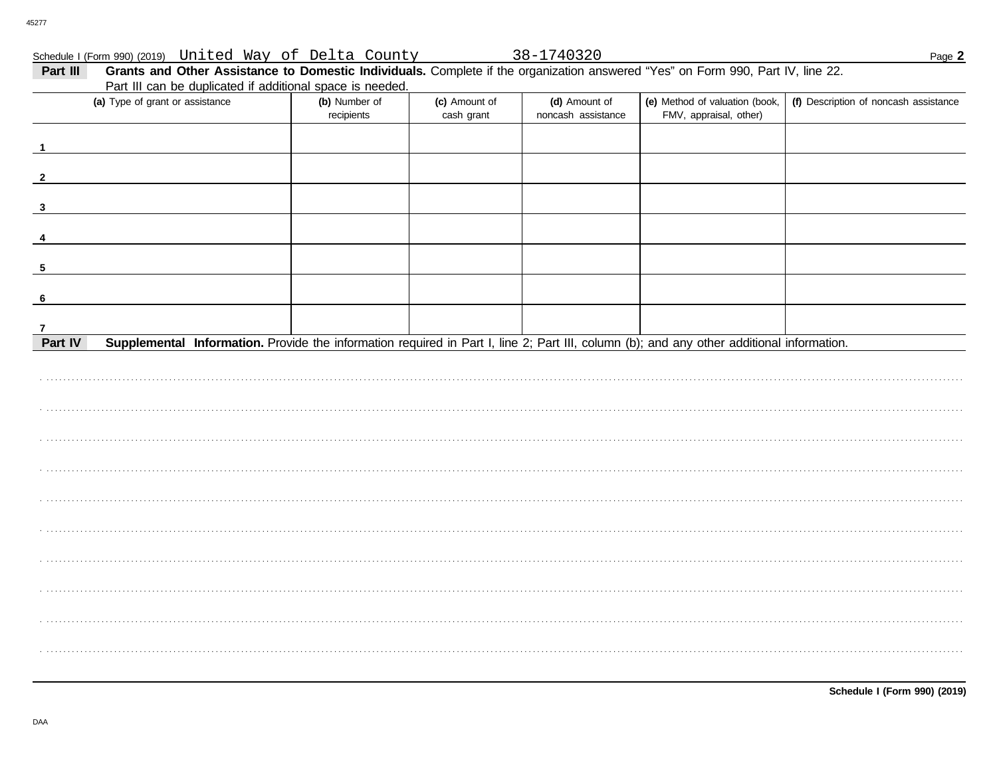|              | Schedule I (Form 990) (2019) United Way of Delta County                                                                                   |                             |                             | 38-1740320                          |                                                          | Page 2                                |
|--------------|-------------------------------------------------------------------------------------------------------------------------------------------|-----------------------------|-----------------------------|-------------------------------------|----------------------------------------------------------|---------------------------------------|
| Part III     | Grants and Other Assistance to Domestic Individuals. Complete if the organization answered "Yes" on Form 990, Part IV, line 22.           |                             |                             |                                     |                                                          |                                       |
|              | Part III can be duplicated if additional space is needed.                                                                                 |                             |                             |                                     |                                                          |                                       |
|              | (a) Type of grant or assistance                                                                                                           | (b) Number of<br>recipients | (c) Amount of<br>cash grant | (d) Amount of<br>noncash assistance | (e) Method of valuation (book,<br>FMV, appraisal, other) | (f) Description of noncash assistance |
|              |                                                                                                                                           |                             |                             |                                     |                                                          |                                       |
|              |                                                                                                                                           |                             |                             |                                     |                                                          |                                       |
| $\mathbf{3}$ |                                                                                                                                           |                             |                             |                                     |                                                          |                                       |
|              |                                                                                                                                           |                             |                             |                                     |                                                          |                                       |
| -5           |                                                                                                                                           |                             |                             |                                     |                                                          |                                       |
|              |                                                                                                                                           |                             |                             |                                     |                                                          |                                       |
| 7            |                                                                                                                                           |                             |                             |                                     |                                                          |                                       |
| Part IV      | Supplemental Information. Provide the information required in Part I, line 2; Part III, column (b); and any other additional information. |                             |                             |                                     |                                                          |                                       |
|              |                                                                                                                                           |                             |                             |                                     |                                                          |                                       |
|              |                                                                                                                                           |                             |                             |                                     |                                                          |                                       |
|              |                                                                                                                                           |                             |                             |                                     |                                                          |                                       |
|              |                                                                                                                                           |                             |                             |                                     |                                                          |                                       |
|              |                                                                                                                                           |                             |                             |                                     |                                                          |                                       |
|              |                                                                                                                                           |                             |                             |                                     |                                                          |                                       |
|              |                                                                                                                                           |                             |                             |                                     |                                                          |                                       |
|              |                                                                                                                                           |                             |                             |                                     |                                                          |                                       |
|              |                                                                                                                                           |                             |                             |                                     |                                                          |                                       |
|              |                                                                                                                                           |                             |                             |                                     |                                                          |                                       |
|              |                                                                                                                                           |                             |                             |                                     |                                                          |                                       |